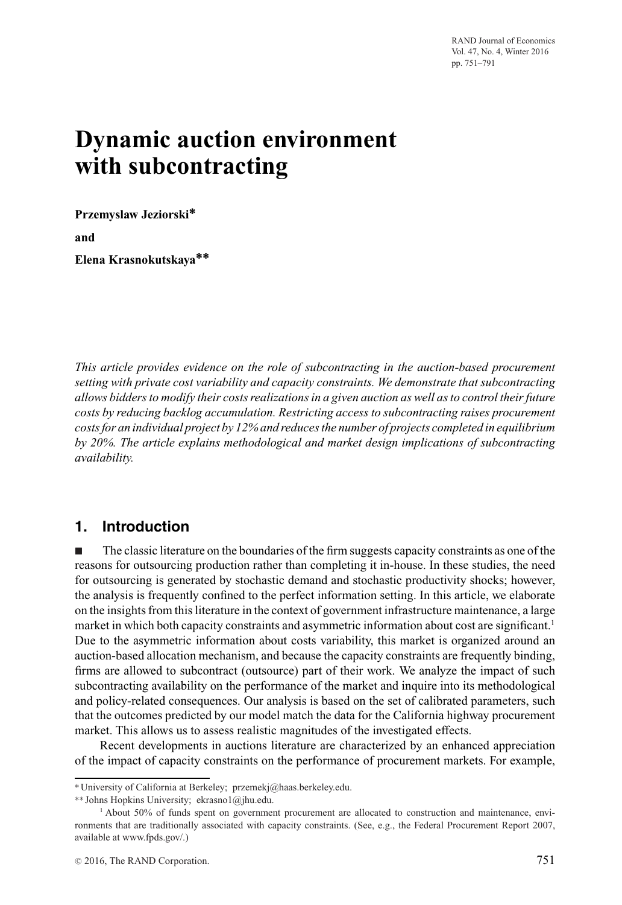RAND Journal of Economics Vol. 47, No. 4, Winter 2016 pp. 751–791

# **Dynamic auction environment with subcontracting**

**Przemyslaw Jeziorski∗ and**

**Elena Krasnokutskaya∗∗**

*This article provides evidence on the role of subcontracting in the auction-based procurement setting with private cost variability and capacity constraints. We demonstrate that subcontracting allows bidders to modify their costs realizations in a given auction as well as to control their future costs by reducing backlog accumulation. Restricting access to subcontracting raises procurement costs for an individual project by 12% and reduces the number of projects completed in equilibrium by 20%. The article explains methodological and market design implications of subcontracting availability.*

# **1. Introduction**

- The classic literature on the boundaries of the firm suggests capacity constraints as one of the reasons for outsourcing production rather than completing it in-house. In these studies, the need for outsourcing is generated by stochastic demand and stochastic productivity shocks; however, the analysis is frequently confined to the perfect information setting. In this article, we elaborate on the insights from this literature in the context of government infrastructure maintenance, a large market in which both capacity constraints and asymmetric information about cost are significant.<sup>1</sup> Due to the asymmetric information about costs variability, this market is organized around an auction-based allocation mechanism, and because the capacity constraints are frequently binding, firms are allowed to subcontract (outsource) part of their work. We analyze the impact of such subcontracting availability on the performance of the market and inquire into its methodological and policy-related consequences. Our analysis is based on the set of calibrated parameters, such that the outcomes predicted by our model match the data for the California highway procurement market. This allows us to assess realistic magnitudes of the investigated effects.

Recent developments in auctions literature are characterized by an enhanced appreciation of the impact of capacity constraints on the performance of procurement markets. For example,

<sup>∗</sup>University of California at Berkeley; przemekj@haas.berkeley.edu.

<sup>∗∗</sup> Johns Hopkins University; ekrasno1@jhu.edu.

<sup>1</sup> About 50% of funds spent on government procurement are allocated to construction and maintenance, environments that are traditionally associated with capacity constraints. (See, e.g., the Federal Procurement Report 2007, available at www.fpds.gov/.)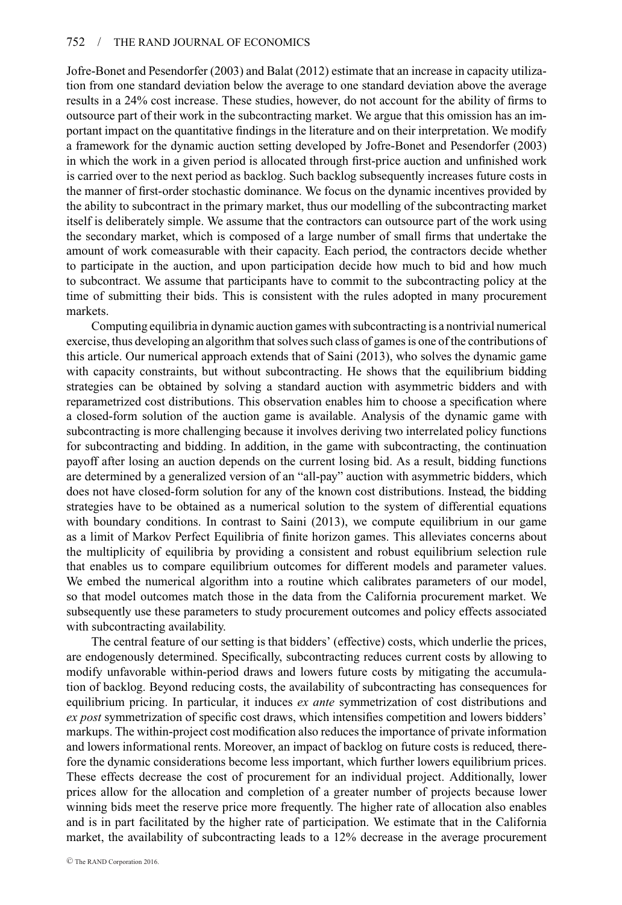Jofre-Bonet and Pesendorfer (2003) and Balat (2012) estimate that an increase in capacity utilization from one standard deviation below the average to one standard deviation above the average results in a 24% cost increase. These studies, however, do not account for the ability of firms to outsource part of their work in the subcontracting market. We argue that this omission has an important impact on the quantitative findings in the literature and on their interpretation. We modify a framework for the dynamic auction setting developed by Jofre-Bonet and Pesendorfer (2003) in which the work in a given period is allocated through first-price auction and unfinished work is carried over to the next period as backlog. Such backlog subsequently increases future costs in the manner of first-order stochastic dominance. We focus on the dynamic incentives provided by the ability to subcontract in the primary market, thus our modelling of the subcontracting market itself is deliberately simple. We assume that the contractors can outsource part of the work using the secondary market, which is composed of a large number of small firms that undertake the amount of work comeasurable with their capacity. Each period, the contractors decide whether to participate in the auction, and upon participation decide how much to bid and how much to subcontract. We assume that participants have to commit to the subcontracting policy at the time of submitting their bids. This is consistent with the rules adopted in many procurement markets.

Computing equilibria in dynamic auction games with subcontracting is a nontrivial numerical exercise, thus developing an algorithm that solves such class of games is one of the contributions of this article. Our numerical approach extends that of Saini (2013), who solves the dynamic game with capacity constraints, but without subcontracting. He shows that the equilibrium bidding strategies can be obtained by solving a standard auction with asymmetric bidders and with reparametrized cost distributions. This observation enables him to choose a specification where a closed-form solution of the auction game is available. Analysis of the dynamic game with subcontracting is more challenging because it involves deriving two interrelated policy functions for subcontracting and bidding. In addition, in the game with subcontracting, the continuation payoff after losing an auction depends on the current losing bid. As a result, bidding functions are determined by a generalized version of an "all-pay" auction with asymmetric bidders, which does not have closed-form solution for any of the known cost distributions. Instead, the bidding strategies have to be obtained as a numerical solution to the system of differential equations with boundary conditions. In contrast to Saini (2013), we compute equilibrium in our game as a limit of Markov Perfect Equilibria of finite horizon games. This alleviates concerns about the multiplicity of equilibria by providing a consistent and robust equilibrium selection rule that enables us to compare equilibrium outcomes for different models and parameter values. We embed the numerical algorithm into a routine which calibrates parameters of our model, so that model outcomes match those in the data from the California procurement market. We subsequently use these parameters to study procurement outcomes and policy effects associated with subcontracting availability.

The central feature of our setting is that bidders' (effective) costs, which underlie the prices, are endogenously determined. Specifically, subcontracting reduces current costs by allowing to modify unfavorable within-period draws and lowers future costs by mitigating the accumulation of backlog. Beyond reducing costs, the availability of subcontracting has consequences for equilibrium pricing. In particular, it induces *ex ante* symmetrization of cost distributions and *ex post* symmetrization of specific cost draws, which intensifies competition and lowers bidders' markups. The within-project cost modification also reduces the importance of private information and lowers informational rents. Moreover, an impact of backlog on future costs is reduced, therefore the dynamic considerations become less important, which further lowers equilibrium prices. These effects decrease the cost of procurement for an individual project. Additionally, lower prices allow for the allocation and completion of a greater number of projects because lower winning bids meet the reserve price more frequently. The higher rate of allocation also enables and is in part facilitated by the higher rate of participation. We estimate that in the California market, the availability of subcontracting leads to a 12% decrease in the average procurement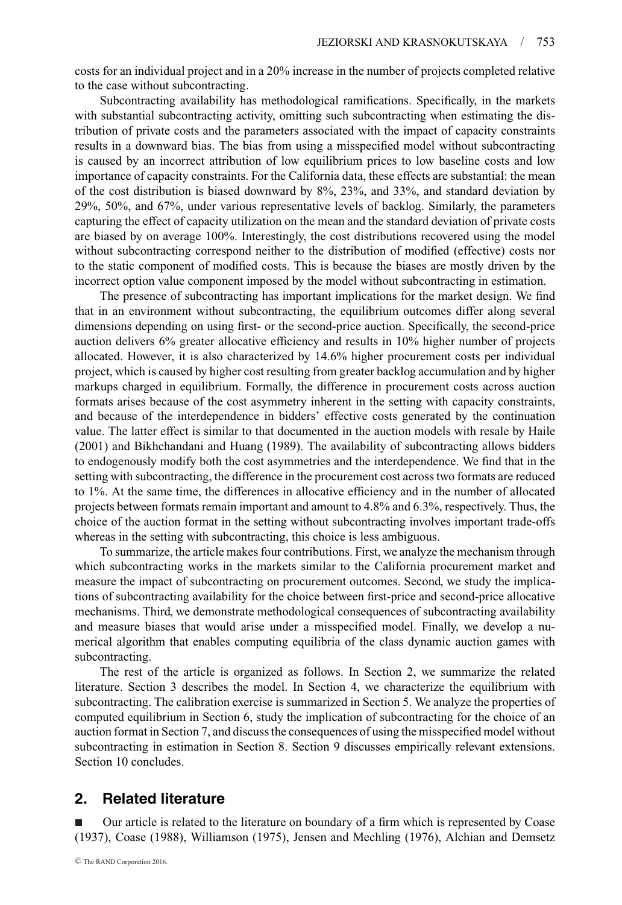costs for an individual project and in a 20% increase in the number of projects completed relative to the case without subcontracting.

Subcontracting availability has methodological ramifications. Specifically, in the markets with substantial subcontracting activity, omitting such subcontracting when estimating the distribution of private costs and the parameters associated with the impact of capacity constraints results in a downward bias. The bias from using a misspecified model without subcontracting is caused by an incorrect attribution of low equilibrium prices to low baseline costs and low importance of capacity constraints. For the California data, these effects are substantial: the mean of the cost distribution is biased downward by 8%, 23%, and 33%, and standard deviation by 29%, 50%, and 67%, under various representative levels of backlog. Similarly, the parameters capturing the effect of capacity utilization on the mean and the standard deviation of private costs are biased by on average 100%. Interestingly, the cost distributions recovered using the model without subcontracting correspond neither to the distribution of modified (effective) costs nor to the static component of modified costs. This is because the biases are mostly driven by the incorrect option value component imposed by the model without subcontracting in estimation.

The presence of subcontracting has important implications for the market design. We find that in an environment without subcontracting, the equilibrium outcomes differ along several dimensions depending on using first- or the second-price auction. Specifically, the second-price auction delivers 6% greater allocative efficiency and results in 10% higher number of projects allocated. However, it is also characterized by 14.6% higher procurement costs per individual project, which is caused by higher cost resulting from greater backlog accumulation and by higher markups charged in equilibrium. Formally, the difference in procurement costs across auction formats arises because of the cost asymmetry inherent in the setting with capacity constraints, and because of the interdependence in bidders' effective costs generated by the continuation value. The latter effect is similar to that documented in the auction models with resale by Haile (2001) and Bikhchandani and Huang (1989). The availability of subcontracting allows bidders to endogenously modify both the cost asymmetries and the interdependence. We find that in the setting with subcontracting, the difference in the procurement cost across two formats are reduced to 1%. At the same time, the differences in allocative efficiency and in the number of allocated projects between formats remain important and amount to 4.8% and 6.3%, respectively. Thus, the choice of the auction format in the setting without subcontracting involves important trade-offs whereas in the setting with subcontracting, this choice is less ambiguous.

To summarize, the article makes four contributions. First, we analyze the mechanism through which subcontracting works in the markets similar to the California procurement market and measure the impact of subcontracting on procurement outcomes. Second, we study the implications of subcontracting availability for the choice between first-price and second-price allocative mechanisms. Third, we demonstrate methodological consequences of subcontracting availability and measure biases that would arise under a misspecified model. Finally, we develop a numerical algorithm that enables computing equilibria of the class dynamic auction games with subcontracting.

The rest of the article is organized as follows. In Section 2, we summarize the related literature. Section 3 describes the model. In Section 4, we characterize the equilibrium with subcontracting. The calibration exercise is summarized in Section 5. We analyze the properties of computed equilibrium in Section 6, study the implication of subcontracting for the choice of an auction format in Section 7, and discuss the consequences of using the misspecified model without subcontracting in estimation in Section 8. Section 9 discusses empirically relevant extensions. Section 10 concludes.

# **2. Related literature**

- Our article is related to the literature on boundary of a firm which is represented by Coase (1937), Coase (1988), Williamson (1975), Jensen and Mechling (1976), Alchian and Demsetz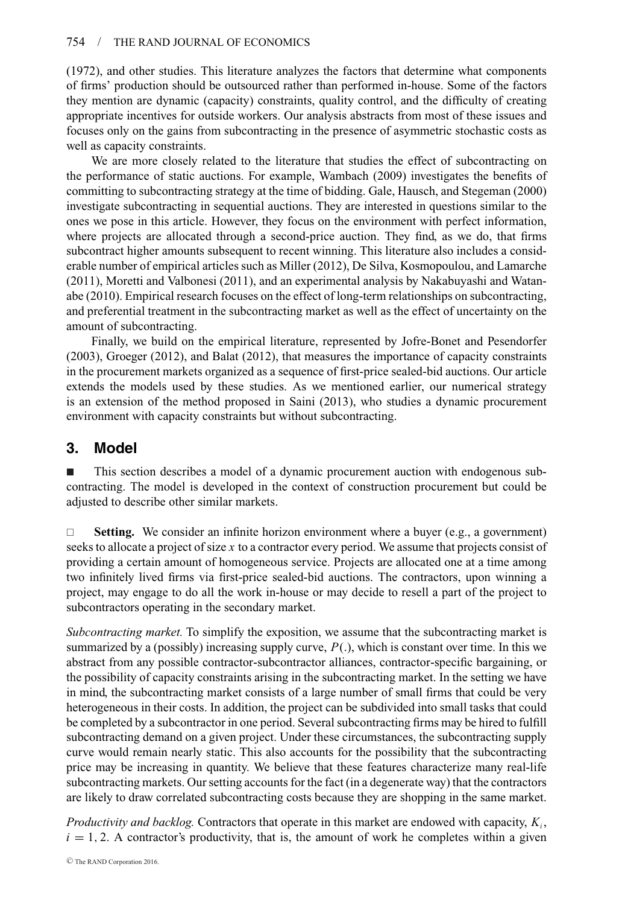## 754 / THE RAND JOURNAL OF ECONOMICS

(1972), and other studies. This literature analyzes the factors that determine what components of firms' production should be outsourced rather than performed in-house. Some of the factors they mention are dynamic (capacity) constraints, quality control, and the difficulty of creating appropriate incentives for outside workers. Our analysis abstracts from most of these issues and focuses only on the gains from subcontracting in the presence of asymmetric stochastic costs as well as capacity constraints.

We are more closely related to the literature that studies the effect of subcontracting on the performance of static auctions. For example, Wambach (2009) investigates the benefits of committing to subcontracting strategy at the time of bidding. Gale, Hausch, and Stegeman (2000) investigate subcontracting in sequential auctions. They are interested in questions similar to the ones we pose in this article. However, they focus on the environment with perfect information, where projects are allocated through a second-price auction. They find, as we do, that firms subcontract higher amounts subsequent to recent winning. This literature also includes a considerable number of empirical articles such as Miller (2012), De Silva, Kosmopoulou, and Lamarche (2011), Moretti and Valbonesi (2011), and an experimental analysis by Nakabuyashi and Watanabe (2010). Empirical research focuses on the effect of long-term relationships on subcontracting, and preferential treatment in the subcontracting market as well as the effect of uncertainty on the amount of subcontracting.

Finally, we build on the empirical literature, represented by Jofre-Bonet and Pesendorfer (2003), Groeger (2012), and Balat (2012), that measures the importance of capacity constraints in the procurement markets organized as a sequence of first-price sealed-bid auctions. Our article extends the models used by these studies. As we mentioned earlier, our numerical strategy is an extension of the method proposed in Saini (2013), who studies a dynamic procurement environment with capacity constraints but without subcontracting.

# **3. Model**

- This section describes a model of a dynamic procurement auction with endogenous subcontracting. The model is developed in the context of construction procurement but could be adjusted to describe other similar markets.

 $\Box$  **Setting.** We consider an infinite horizon environment where a buyer (e.g., a government) seeks to allocate a project of size *x* to a contractor every period. We assume that projects consist of providing a certain amount of homogeneous service. Projects are allocated one at a time among two infinitely lived firms via first-price sealed-bid auctions. The contractors, upon winning a project, may engage to do all the work in-house or may decide to resell a part of the project to subcontractors operating in the secondary market.

*Subcontracting market.* To simplify the exposition, we assume that the subcontracting market is summarized by a (possibly) increasing supply curve, *P*(.), which is constant over time. In this we abstract from any possible contractor-subcontractor alliances, contractor-specific bargaining, or the possibility of capacity constraints arising in the subcontracting market. In the setting we have in mind, the subcontracting market consists of a large number of small firms that could be very heterogeneous in their costs. In addition, the project can be subdivided into small tasks that could be completed by a subcontractor in one period. Several subcontracting firms may be hired to fulfill subcontracting demand on a given project. Under these circumstances, the subcontracting supply curve would remain nearly static. This also accounts for the possibility that the subcontracting price may be increasing in quantity. We believe that these features characterize many real-life subcontracting markets. Our setting accounts for the fact (in a degenerate way) that the contractors are likely to draw correlated subcontracting costs because they are shopping in the same market.

*Productivity and backlog.* Contractors that operate in this market are endowed with capacity, *Ki* ,  $i = 1, 2$ . A contractor's productivity, that is, the amount of work he completes within a given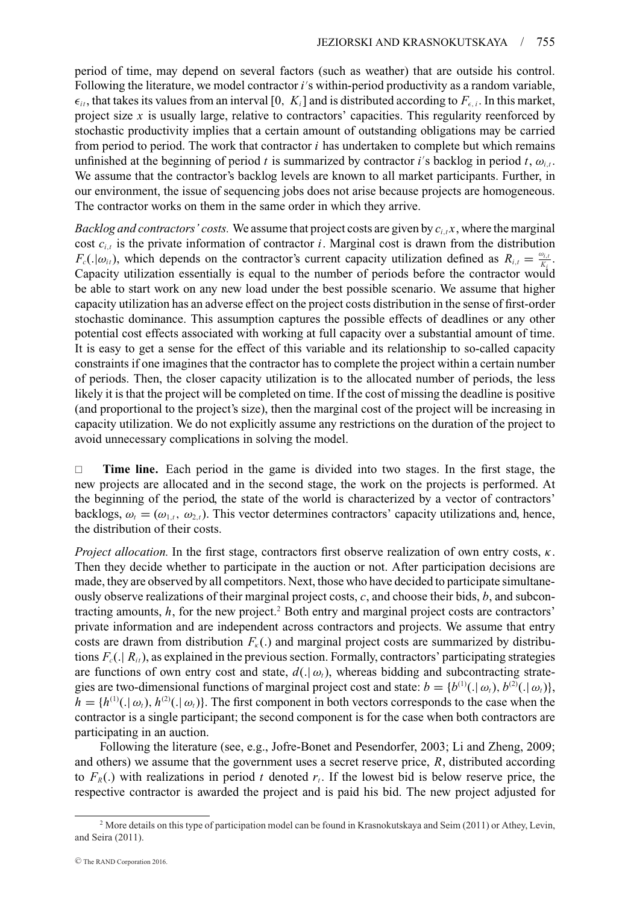period of time, may depend on several factors (such as weather) that are outside his control. Following the literature, we model contractor *i's* within-period productivity as a random variable,  $\epsilon_{ii}$ , that takes its values from an interval [0,  $K_i$ ] and is distributed according to  $F_{\epsilon,i}$ . In this market, project size  $x$  is usually large, relative to contractors' capacities. This regularity reenforced by stochastic productivity implies that a certain amount of outstanding obligations may be carried from period to period. The work that contractor *i* has undertaken to complete but which remains unfinished at the beginning of period *t* is summarized by contractor *i*'s backlog in period *t*,  $\omega_{i,t}$ . We assume that the contractor's backlog levels are known to all market participants. Further, in our environment, the issue of sequencing jobs does not arise because projects are homogeneous. The contractor works on them in the same order in which they arrive.

*Backlog and contractors' costs.* We assume that project costs are given by  $c_{i,t}x$ , where the marginal cost  $c_{i,t}$  is the private information of contractor *i*. Marginal cost is drawn from the distribution *F<sub>c</sub>*(. $|\omega_{it}|$ ), which depends on the contractor's current capacity utilization defined as  $R_{i,t} = \frac{\omega_{i,t}}{K_i}$ . Capacity utilization essentially is equal to the number of periods before the contractor would be able to start work on any new load under the best possible scenario. We assume that higher capacity utilization has an adverse effect on the project costs distribution in the sense of first-order stochastic dominance. This assumption captures the possible effects of deadlines or any other potential cost effects associated with working at full capacity over a substantial amount of time. It is easy to get a sense for the effect of this variable and its relationship to so-called capacity constraints if one imagines that the contractor has to complete the project within a certain number of periods. Then, the closer capacity utilization is to the allocated number of periods, the less likely it is that the project will be completed on time. If the cost of missing the deadline is positive (and proportional to the project's size), then the marginal cost of the project will be increasing in capacity utilization. We do not explicitly assume any restrictions on the duration of the project to avoid unnecessary complications in solving the model.

 **Time line.** Each period in the game is divided into two stages. In the first stage, the new projects are allocated and in the second stage, the work on the projects is performed. At the beginning of the period, the state of the world is characterized by a vector of contractors' backlogs,  $\omega_t = (\omega_{1,t}, \omega_{2,t})$ . This vector determines contractors' capacity utilizations and, hence, the distribution of their costs.

*Project allocation.* In the first stage, contractors first observe realization of own entry costs,  $\kappa$ . Then they decide whether to participate in the auction or not. After participation decisions are made, they are observed by all competitors. Next, those who have decided to participate simultaneously observe realizations of their marginal project costs, *c*, and choose their bids, *b*, and subcontracting amounts,  $h$ , for the new project.<sup>2</sup> Both entry and marginal project costs are contractors' private information and are independent across contractors and projects. We assume that entry costs are drawn from distribution  $F_{k}$ .) and marginal project costs are summarized by distributions  $F_c($ ,  $R_i$ ), as explained in the previous section. Formally, contractors' participating strategies are functions of own entry cost and state,  $d(.)\omega_t$ , whereas bidding and subcontracting strategies are two-dimensional functions of marginal project cost and state:  $b = \{b^{(1)}(. | \omega_t), b^{(2)}(. | \omega_t)\}$ ,  $h = \{h^{(1)}(.|\omega_t), h^{(2)}(.|\omega_t)\}\.$  The first component in both vectors corresponds to the case when the contractor is a single participant; the second component is for the case when both contractors are participating in an auction.

Following the literature (see, e.g., Jofre-Bonet and Pesendorfer, 2003; Li and Zheng, 2009; and others) we assume that the government uses a secret reserve price, *R*, distributed according to  $F_R(.)$  with realizations in period t denoted  $r_t$ . If the lowest bid is below reserve price, the respective contractor is awarded the project and is paid his bid. The new project adjusted for

<sup>&</sup>lt;sup>2</sup> More details on this type of participation model can be found in Krasnokutskaya and Seim (2011) or Athey, Levin, and Seira (2011).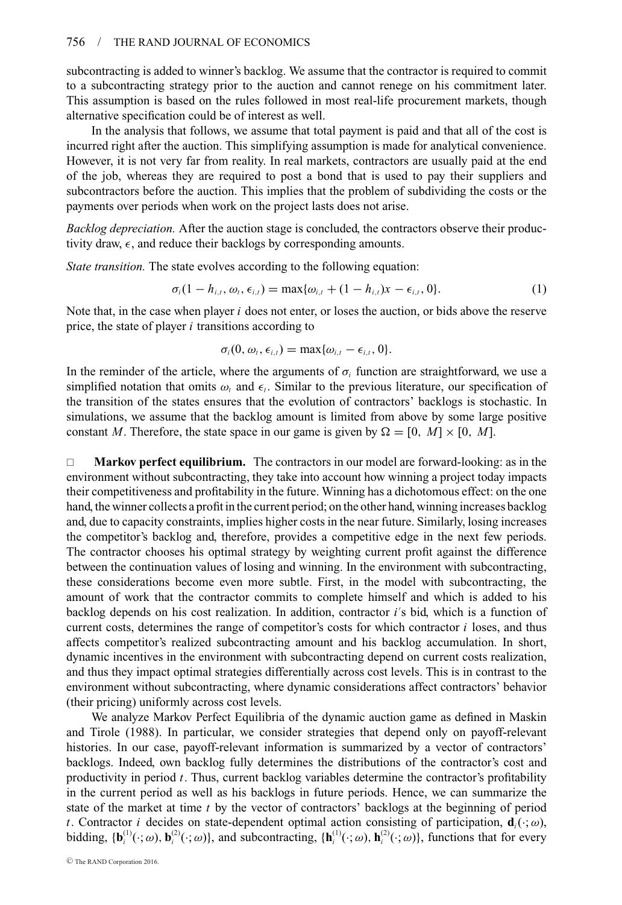subcontracting is added to winner's backlog. We assume that the contractor is required to commit to a subcontracting strategy prior to the auction and cannot renege on his commitment later. This assumption is based on the rules followed in most real-life procurement markets, though alternative specification could be of interest as well.

In the analysis that follows, we assume that total payment is paid and that all of the cost is incurred right after the auction. This simplifying assumption is made for analytical convenience. However, it is not very far from reality. In real markets, contractors are usually paid at the end of the job, whereas they are required to post a bond that is used to pay their suppliers and subcontractors before the auction. This implies that the problem of subdividing the costs or the payments over periods when work on the project lasts does not arise.

*Backlog depreciation.* After the auction stage is concluded, the contractors observe their productivity draw,  $\epsilon$ , and reduce their backlogs by corresponding amounts.

*State transition.* The state evolves according to the following equation:

$$
\sigma_i(1 - h_{i,t}, \omega_t, \epsilon_{i,t}) = \max{\{\omega_{i,t} + (1 - h_{i,t})x - \epsilon_{i,t}, 0\}}.
$$
 (1)

Note that, in the case when player *i* does not enter, or loses the auction, or bids above the reserve price, the state of player *i* transitions according to

$$
\sigma_i(0, \omega_t, \epsilon_{i,t}) = \max{\{\omega_{i,t} - \epsilon_{i,t}, 0\}}.
$$

In the reminder of the article, where the arguments of  $\sigma_i$  function are straightforward, we use a simplified notation that omits  $\omega_t$  and  $\epsilon_t$ . Similar to the previous literature, our specification of the transition of the states ensures that the evolution of contractors' backlogs is stochastic. In simulations, we assume that the backlog amount is limited from above by some large positive constant *M*. Therefore, the state space in our game is given by  $\Omega = [0, M] \times [0, M]$ .

□ **Markov perfect equilibrium.** The contractors in our model are forward-looking: as in the environment without subcontracting, they take into account how winning a project today impacts their competitiveness and profitability in the future. Winning has a dichotomous effect: on the one hand, the winner collects a profit in the current period; on the other hand, winning increases backlog and, due to capacity constraints, implies higher costs in the near future. Similarly, losing increases the competitor's backlog and, therefore, provides a competitive edge in the next few periods. The contractor chooses his optimal strategy by weighting current profit against the difference between the continuation values of losing and winning. In the environment with subcontracting, these considerations become even more subtle. First, in the model with subcontracting, the amount of work that the contractor commits to complete himself and which is added to his backlog depends on his cost realization. In addition, contractor *i's* bid, which is a function of current costs, determines the range of competitor's costs for which contractor *i* loses, and thus affects competitor's realized subcontracting amount and his backlog accumulation. In short, dynamic incentives in the environment with subcontracting depend on current costs realization, and thus they impact optimal strategies differentially across cost levels. This is in contrast to the environment without subcontracting, where dynamic considerations affect contractors' behavior (their pricing) uniformly across cost levels.

We analyze Markov Perfect Equilibria of the dynamic auction game as defined in Maskin and Tirole (1988). In particular, we consider strategies that depend only on payoff-relevant histories. In our case, payoff-relevant information is summarized by a vector of contractors' backlogs. Indeed, own backlog fully determines the distributions of the contractor's cost and productivity in period *t*. Thus, current backlog variables determine the contractor's profitability in the current period as well as his backlogs in future periods. Hence, we can summarize the state of the market at time *t* by the vector of contractors' backlogs at the beginning of period *t*. Contractor *i* decides on state-dependent optimal action consisting of participation,  $\mathbf{d}_i(\cdot;\omega)$ , bidding,  $\{b_i^{(1)}(\cdot;\omega), b_i^{(2)}(\cdot;\omega)\}$ , and subcontracting,  $\{h_i^{(1)}(\cdot;\omega), h_i^{(2)}(\cdot;\omega)\}$ , functions that for every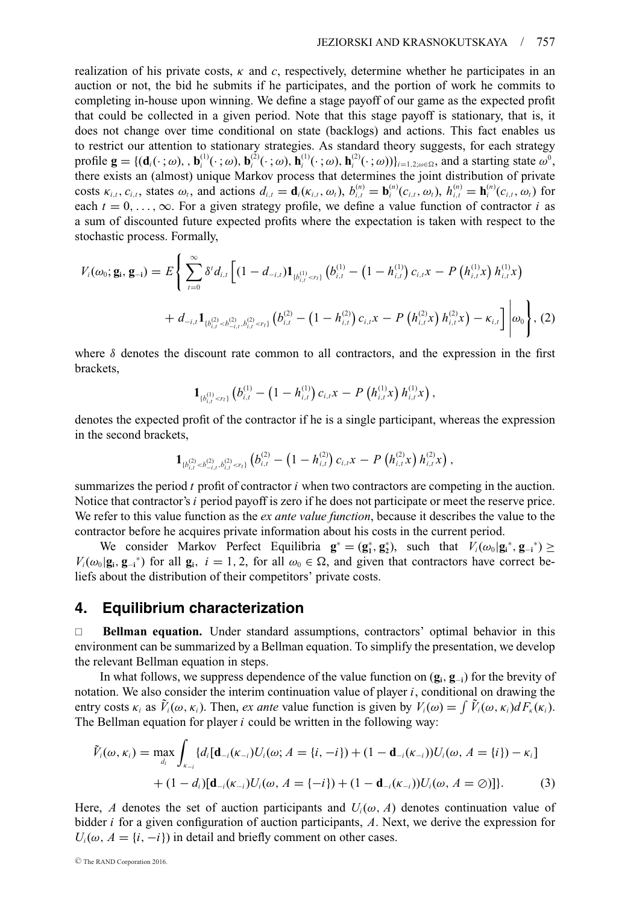realization of his private costs, κ and *c*, respectively, determine whether he participates in an auction or not, the bid he submits if he participates, and the portion of work he commits to completing in-house upon winning. We define a stage payoff of our game as the expected profit that could be collected in a given period. Note that this stage payoff is stationary, that is, it does not change over time conditional on state (backlogs) and actions. This fact enables us to restrict our attention to stationary strategies. As standard theory suggests, for each strategy profile  $\mathbf{g} = \{(\mathbf{d}_i(\cdot;\omega), \mathbf{b}_i^{(1)}(\cdot;\omega), \mathbf{b}_i^{(2)}(\cdot;\omega), \mathbf{h}_i^{(1)}(\cdot;\omega), \mathbf{h}_i^{(2)}(\cdot;\omega))\}_{i=1,2;\omega\in\Omega}$ , and a starting state  $\omega^0$ , there exists an (almost) unique Markov process that determines the joint distribution of private costs  $\kappa_{i,t}$ ,  $c_{i,t}$ , states  $\omega_t$ , and actions  $d_{i,t} = \mathbf{d}_i(\kappa_{i,t}, \omega_t)$ ,  $b_{i,t}^{(n)} = \mathbf{b}_i^{(n)}(c_{i,t}, \omega_t)$ ,  $h_{i,t}^{(n)} = \mathbf{h}_i^{(n)}(c_{i,t}, \omega_t)$  for each  $t = 0, \ldots, \infty$ . For a given strategy profile, we define a value function of contractor *i* as a sum of discounted future expected profits where the expectation is taken with respect to the stochastic process. Formally,

$$
V_{i}(\omega_{0}; \mathbf{g}_{i}, \mathbf{g}_{-i}) = E\Bigg\{\sum_{t=0}^{\infty} \delta^{t} d_{i,t} \Bigg[(1-d_{-i,t})\mathbf{1}_{\{b_{i,t}^{(1)}(2)
$$

where  $\delta$  denotes the discount rate common to all contractors, and the expression in the first brackets,

$$
\mathbf{1}_{\{b_{i,t}^{(1)} < r_t\}}\left(b_{i,t}^{(1)} - \left(1 - h_{i,t}^{(1)}\right)c_{i,t}x - P\left(h_{i,t}^{(1)}x\right)h_{i,t}^{(1)}x\right),
$$

denotes the expected profit of the contractor if he is a single participant, whereas the expression in the second brackets,

$$
\mathbf{1}_{\{b_{i,t}^{(2)} > b_{-i,t}^{(2)},b_{i,t}^{(2)} < r_t\}}\left(b_{i,t}^{(2)} - \left(1-h_{i,t}^{(2)}\right)c_{i,t}x - P\left(h_{i,t}^{(2)}x\right)h_{i,t}^{(2)}x\right),
$$

summarizes the period *t* profit of contractor *i* when two contractors are competing in the auction. Notice that contractor's *i* period payoff is zero if he does not participate or meet the reserve price. We refer to this value function as the *ex ante value function*, because it describes the value to the contractor before he acquires private information about his costs in the current period.

We consider Markov Perfect Equilibria  $\mathbf{g}^* = (\mathbf{g}_1^*, \mathbf{g}_2^*)$ , such that  $V_i(\omega_0 | \mathbf{g}_i^*, \mathbf{g}_{-i}^*) \ge$  $V_i(\omega_0|\mathbf{g}_i, \mathbf{g}_{-i}^*)$  for all  $\mathbf{g}_i$ ,  $i = 1, 2$ , for all  $\omega_0 \in \Omega$ , and given that contractors have correct beliefs about the distribution of their competitors' private costs.

# **4. Equilibrium characterization**

 **Bellman equation.** Under standard assumptions, contractors' optimal behavior in this environment can be summarized by a Bellman equation. To simplify the presentation, we develop the relevant Bellman equation in steps.

In what follows, we suppress dependence of the value function on (**gi**, **g**<sup>−</sup>**i**) for the brevity of notation. We also consider the interim continuation value of player *i*, conditional on drawing the entry costs  $\kappa_i$  as  $\tilde{V}_i(\omega, \kappa_i)$ . Then, *ex ante* value function is given by  $V_i(\omega) = \int \tilde{V}_i(\omega, \kappa_i) dF_{\kappa}(\kappa_i)$ . The Bellman equation for player *i* could be written in the following way:

$$
\tilde{V}_i(\omega,\kappa_i) = \max_{d_i} \int_{\kappa_{-i}} \{d_i[\mathbf{d}_{-i}(\kappa_{-i})U_i(\omega; A = \{i, -i\}) + (1 - \mathbf{d}_{-i}(\kappa_{-i}))U_i(\omega, A = \{i\}) - \kappa_i\} \\
+ (1 - d_i)[\mathbf{d}_{-i}(\kappa_{-i})U_i(\omega, A = \{-i\}) + (1 - \mathbf{d}_{-i}(\kappa_{-i}))U_i(\omega, A = \emptyset)]\}.
$$
\n(3)

Here, *A* denotes the set of auction participants and  $U_i(\omega, A)$  denotes continuation value of bidder *i* for a given configuration of auction participants, *A*. Next, we derive the expression for  $U_i(\omega, A = \{i, -i\})$  in detail and briefly comment on other cases.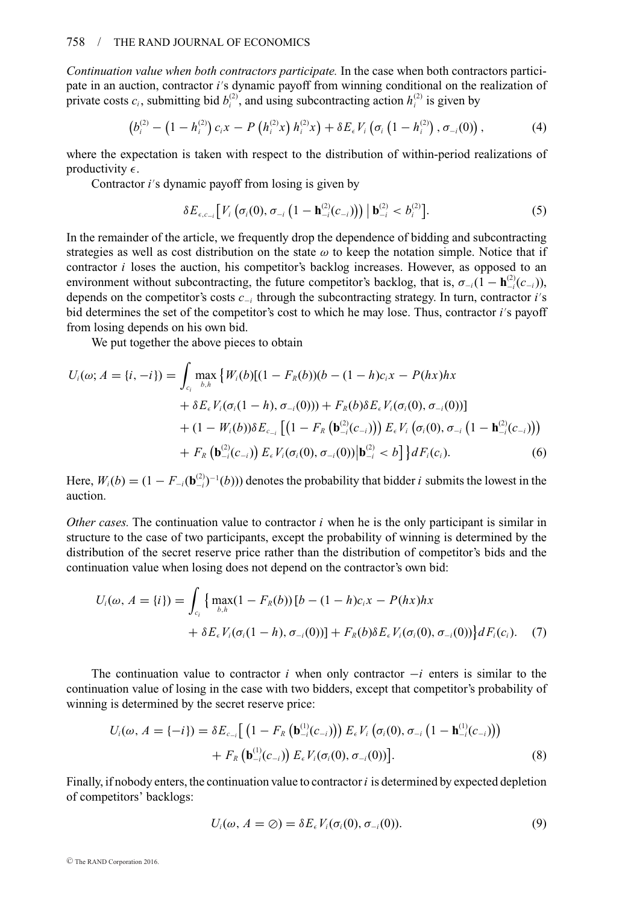*Continuation value when both contractors participate.* In the case when both contractors participate in an auction, contractor *i* s dynamic payoff from winning conditional on the realization of private costs  $c_i$ , submitting bid  $b_i^{(2)}$ , and using subcontracting action  $h_i^{(2)}$  is given by

$$
\left(b_i^{(2)} - \left(1-h_i^{(2)}\right)c_i x - P\left(h_i^{(2)} x\right) h_i^{(2)} x\right) + \delta E_{\epsilon} V_i \left(\sigma_i \left(1-h_i^{(2)}\right), \sigma_{-i}(0)\right),\tag{4}
$$

where the expectation is taken with respect to the distribution of within-period realizations of productivity  $\epsilon$ .

Contractor *i's* dynamic payoff from losing is given by

$$
\delta E_{\epsilon,c_{-i}} \big[ V_i \left( \sigma_i(0), \sigma_{-i} \left( 1 - \mathbf{h}_{-i}^{(2)}(c_{-i}) \right) \right) \, \big| \, \mathbf{b}_{-i}^{(2)} < b_i^{(2)} \big]. \tag{5}
$$

In the remainder of the article, we frequently drop the dependence of bidding and subcontracting strategies as well as cost distribution on the state  $\omega$  to keep the notation simple. Notice that if contractor *i* loses the auction, his competitor's backlog increases. However, as opposed to an environment without subcontracting, the future competitor's backlog, that is,  $\sigma_{-i}(1 - \mathbf{h}_{-i}^{(2)}(c_{-i}))$ , depends on the competitor's costs *c*<sup>−</sup>*<sup>i</sup>* through the subcontracting strategy. In turn, contractor *i* s bid determines the set of the competitor's cost to which he may lose. Thus, contractor *i's* payoff from losing depends on his own bid.

We put together the above pieces to obtain

$$
U_i(\omega; A = \{i, -i\}) = \int_{c_i} \max_{b, h} \{W_i(b)[(1 - F_R(b))(b - (1 - h)c_i x - P(hx)hx + \delta E_{\epsilon} V_i(\sigma_i(1 - h), \sigma_{-i}(0))) + F_R(b)\delta E_{\epsilon} V_i(\sigma_i(0), \sigma_{-i}(0))]
$$
  
+ (1 - W\_i(b))\delta E\_{c\_{-i}} [(1 - F\_R(b\_{-i}^{(2)}(c\_{-i}))) E\_{\epsilon} V\_i(\sigma\_i(0), \sigma\_{-i} (1 - h\_{-i}^{(2)}(c\_{-i})))   
+ F\_R(b\_{-i}^{(2)}(c\_{-i})) E\_{\epsilon} V\_i(\sigma\_i(0), \sigma\_{-i}(0)) |b\_{-i}^{(2)} < b] \} dF\_i(c\_i). (6)

Here,  $W_i(b) = (1 - F_{-i}(\mathbf{b}_{-i}^{(2)})^{-1}(b))$  denotes the probability that bidder *i* submits the lowest in the auction.

*Other cases.* The continuation value to contractor  $i$  when he is the only participant is similar in structure to the case of two participants, except the probability of winning is determined by the distribution of the secret reserve price rather than the distribution of competitor's bids and the continuation value when losing does not depend on the contractor's own bid:

$$
U_i(\omega, A = \{i\}) = \int_{c_i} \left\{ \max_{b,h} (1 - F_R(b)) [b - (1 - h)c_i x - P(hx)hx + \delta E_{\epsilon} V_i(\sigma_i(1 - h), \sigma_{-i}(0))] + F_R(b) \delta E_{\epsilon} V_i(\sigma_i(0), \sigma_{-i}(0)) \right\} dF_i(c_i). \quad (7)
$$

The continuation value to contractor *i* when only contractor −*i* enters is similar to the continuation value of losing in the case with two bidders, except that competitor's probability of winning is determined by the secret reserve price:

$$
U_i(\omega, A = \{-i\}) = \delta E_{c_{-i}} \left[ \left( 1 - F_R \left( \mathbf{b}_{-i}^{(1)}(c_{-i}) \right) \right) E_{\epsilon} V_i \left( \sigma_i(0), \sigma_{-i} \left( 1 - \mathbf{h}_{-i}^{(1)}(c_{-i}) \right) \right) + F_R \left( \mathbf{b}_{-i}^{(1)}(c_{-i}) \right) E_{\epsilon} V_i(\sigma_i(0), \sigma_{-i}(0)) \right].
$$
\n(8)

Finally, if nobody enters, the continuation value to contractor*i* is determined by expected depletion of competitors' backlogs:

$$
U_i(\omega, A = \emptyset) = \delta E_{\epsilon} V_i(\sigma_i(0), \sigma_{-i}(0)).
$$
\n(9)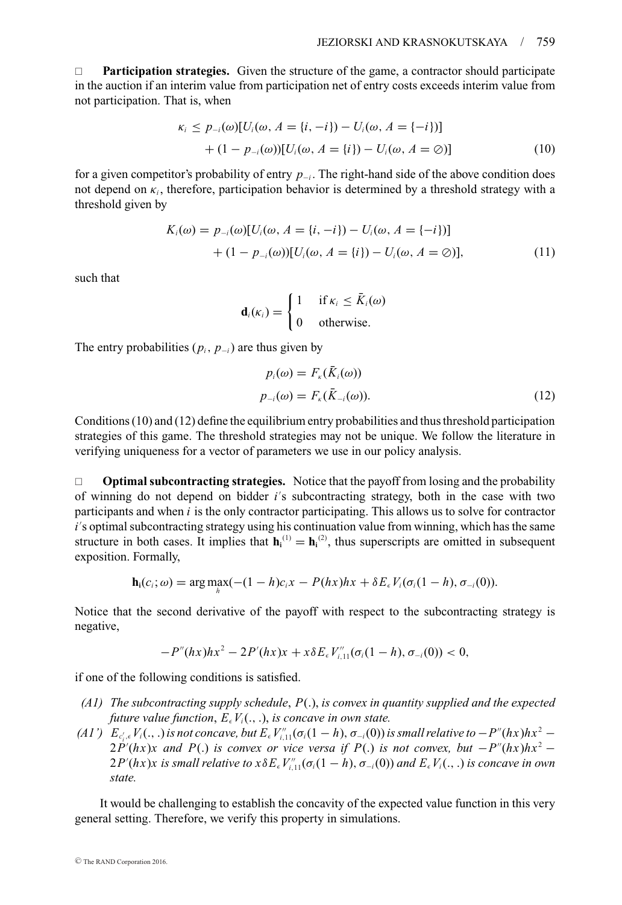**Participation strategies.** Given the structure of the game, a contractor should participate in the auction if an interim value from participation net of entry costs exceeds interim value from not participation. That is, when

$$
\kappa_i \le p_{-i}(\omega)[U_i(\omega, A = \{i, -i\}) - U_i(\omega, A = \{-i\})]
$$
  
+  $(1 - p_{-i}(\omega))[U_i(\omega, A = \{i\}) - U_i(\omega, A = \emptyset)]$  (10)

for a given competitor's probability of entry *p*<sup>−</sup>*<sup>i</sup>* . The right-hand side of the above condition does not depend on  $\kappa_i$ , therefore, participation behavior is determined by a threshold strategy with a threshold given by

$$
K_i(\omega) = p_{-i}(\omega)[U_i(\omega, A = \{i, -i\}) - U_i(\omega, A = \{-i\})]
$$
  
+  $(1 - p_{-i}(\omega))[U_i(\omega, A = \{i\}) - U_i(\omega, A = \emptyset)],$  (11)

such that

$$
\mathbf{d}_i(\kappa_i) = \begin{cases} 1 & \text{if } \kappa_i \leq \bar{K}_i(\omega) \\ 0 & \text{otherwise.} \end{cases}
$$

The entry probabilities ( $p_i$ ,  $p_{-i}$ ) are thus given by

$$
p_i(\omega) = F_{\kappa}(\bar{K}_i(\omega))
$$
  
\n
$$
p_{-i}(\omega) = F_{\kappa}(\bar{K}_{-i}(\omega)).
$$
\n(12)

Conditions (10) and (12) define the equilibrium entry probabilities and thus threshold participation strategies of this game. The threshold strategies may not be unique. We follow the literature in verifying uniqueness for a vector of parameters we use in our policy analysis.

 **Optimal subcontracting strategies.** Notice that the payoff from losing and the probability of winning do not depend on bidder *i* s subcontracting strategy, both in the case with two participants and when *i* is the only contractor participating. This allows us to solve for contractor i's optimal subcontracting strategy using his continuation value from winning, which has the same structure in both cases. It implies that  $h_i^{(1)} = h_i^{(2)}$ , thus superscripts are omitted in subsequent exposition. Formally,

$$
\mathbf{h}_i(c_i;\omega) = \arg\max_h(-(1-h)c_i x - P(hx)hx + \delta E_{\epsilon} V_i(\sigma_i(1-h), \sigma_{-i}(0)).
$$

Notice that the second derivative of the payoff with respect to the subcontracting strategy is negative,

$$
-P''(hx)hx^2-2P'(hx)x+x\delta E_{\epsilon}V''_{i,11}(\sigma_i(1-h),\sigma_{-i}(0))<0,
$$

if one of the following conditions is satisfied.

- *(A1) The subcontracting supply schedule*, *P*(.), *is convex in quantity supplied and the expected future value function,*  $E_{{\epsilon}}V_i(., .),$  *is concave in own state.*
- *(A1')*  $E_{c_i',\epsilon}V_i(.,.)$  *is not concave, but*  $E_{\epsilon}V_{i,11}''(\sigma_i(1-h),\sigma_{-i}(0))$  *is small relative to*  $-P''(hx)hx^2$   $2P(hx)x$  and P(.) *is convex or vice versa if* P(.) *is not convex, but*  $-P''(hx)hx^2$  −  $2P'(hx)x$  *is small relative to*  $x\delta E_\epsilon V_{i,11}''(\sigma_i(1-h), \sigma_{-i}(0))$  *and*  $E_\epsilon V_i(., .)$  *is concave in own state.*

It would be challenging to establish the concavity of the expected value function in this very general setting. Therefore, we verify this property in simulations.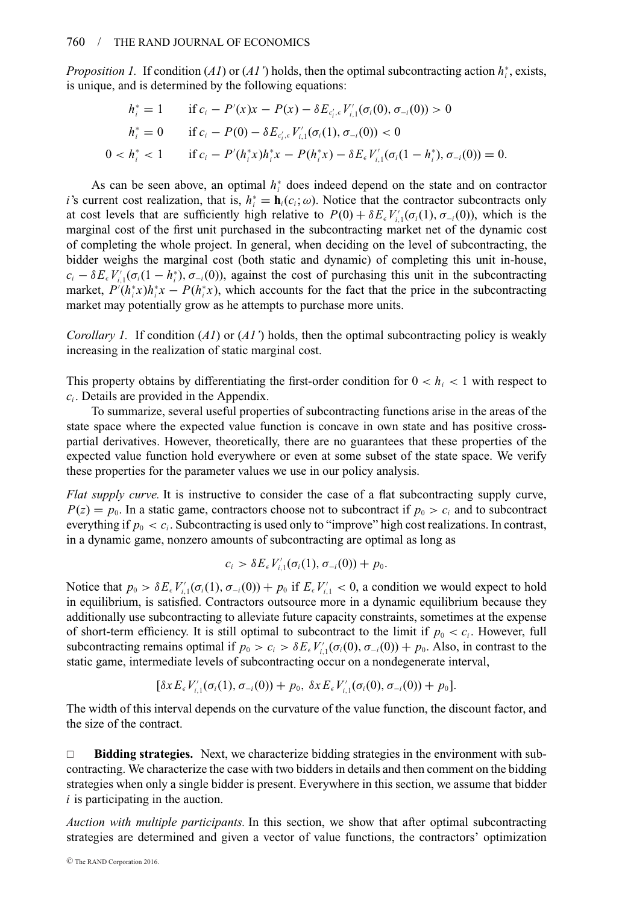*Proposition 1.* If condition  $(AI)$  or  $(AI')$  holds, then the optimal subcontracting action  $h_i^*$ , exists, is unique, and is determined by the following equations:

$$
h_i^* = 1 \qquad \text{if } c_i - P'(x)x - P(x) - \delta E_{c_i',\epsilon} V_{i,1}'(\sigma_i(0), \sigma_{-i}(0)) > 0
$$
\n
$$
h_i^* = 0 \qquad \text{if } c_i - P(0) - \delta E_{c_i',\epsilon} V_{i,1}'(\sigma_i(1), \sigma_{-i}(0)) < 0
$$
\n
$$
0 < h_i^* < 1 \qquad \text{if } c_i - P'(h_i^*x)h_i^*x - P(h_i^*x) - \delta E_{\epsilon} V_{i,1}'(\sigma_i(1 - h_i^*), \sigma_{-i}(0)) = 0.
$$

As can be seen above, an optimal *h*<sup>∗</sup> *<sup>i</sup>* does indeed depend on the state and on contractor *i*'s current cost realization, that is,  $h_i^* = \mathbf{h}_i(c_i; \omega)$ . Notice that the contractor subcontracts only at cost levels that are sufficiently high relative to  $P(0) + \delta E_{\epsilon} V'_{i,1}(\sigma_i(1), \sigma_{-i}(0))$ , which is the marginal cost of the first unit purchased in the subcontracting market net of the dynamic cost of completing the whole project. In general, when deciding on the level of subcontracting, the bidder weighs the marginal cost (both static and dynamic) of completing this unit in-house,  $c_i - \delta E_{\epsilon} V'_{i,1}(\sigma_i(1 - h_i^*), \sigma_{-i}(0))$ , against the cost of purchasing this unit in the subcontracting market,  $P'(h_i^*x)h_i^*x - P(h_i^*x)$ , which accounts for the fact that the price in the subcontracting market may potentially grow as he attempts to purchase more units.

*Corollary 1.* If condition (*A1*) or (*A1'*) holds, then the optimal subcontracting policy is weakly increasing in the realization of static marginal cost.

This property obtains by differentiating the first-order condition for  $0 < h<sub>i</sub> < 1$  with respect to *ci* . Details are provided in the Appendix.

To summarize, several useful properties of subcontracting functions arise in the areas of the state space where the expected value function is concave in own state and has positive crosspartial derivatives. However, theoretically, there are no guarantees that these properties of the expected value function hold everywhere or even at some subset of the state space. We verify these properties for the parameter values we use in our policy analysis.

*Flat supply curve.* It is instructive to consider the case of a flat subcontracting supply curve,  $P(z) = p_0$ . In a static game, contractors choose not to subcontract if  $p_0 > c_i$  and to subcontract everything if  $p_0 < c_i$ . Subcontracting is used only to "improve" high cost realizations. In contrast, in a dynamic game, nonzero amounts of subcontracting are optimal as long as

$$
c_i > \delta E_{\epsilon} V'_{i,1}(\sigma_i(1), \sigma_{-i}(0)) + p_0.
$$

Notice that  $p_0 > \delta E_\epsilon V'_{i,1}(\sigma_i(1), \sigma_{-i}(0)) + p_0$  if  $E_\epsilon V'_{i,1} < 0$ , a condition we would expect to hold in equilibrium, is satisfied. Contractors outsource more in a dynamic equilibrium because they additionally use subcontracting to alleviate future capacity constraints, sometimes at the expense of short-term efficiency. It is still optimal to subcontract to the limit if  $p_0 < c_i$ . However, full subcontracting remains optimal if  $p_0 > c_i > \delta E_{\epsilon} V'_{i,1}(\sigma_i(0), \sigma_{-i}(0)) + p_0$ . Also, in contrast to the static game, intermediate levels of subcontracting occur on a nondegenerate interval,

$$
[\delta x E_{\epsilon} V'_{i,1}(\sigma_i(1), \sigma_{-i}(0)) + p_0, \ \delta x E_{\epsilon} V'_{i,1}(\sigma_i(0), \sigma_{-i}(0)) + p_0].
$$

The width of this interval depends on the curvature of the value function, the discount factor, and the size of the contract.

 **Bidding strategies.** Next, we characterize bidding strategies in the environment with subcontracting. We characterize the case with two bidders in details and then comment on the bidding strategies when only a single bidder is present. Everywhere in this section, we assume that bidder *i* is participating in the auction.

*Auction with multiple participants.* In this section, we show that after optimal subcontracting strategies are determined and given a vector of value functions, the contractors' optimization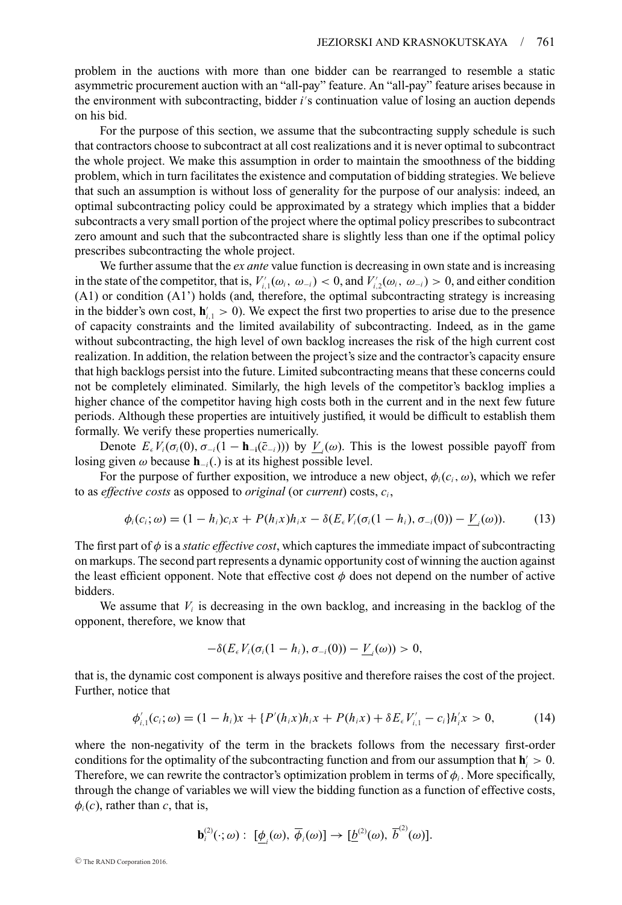problem in the auctions with more than one bidder can be rearranged to resemble a static asymmetric procurement auction with an "all-pay" feature. An "all-pay" feature arises because in the environment with subcontracting, bidder *i* s continuation value of losing an auction depends on his bid.

For the purpose of this section, we assume that the subcontracting supply schedule is such that contractors choose to subcontract at all cost realizations and it is never optimal to subcontract the whole project. We make this assumption in order to maintain the smoothness of the bidding problem, which in turn facilitates the existence and computation of bidding strategies. We believe that such an assumption is without loss of generality for the purpose of our analysis: indeed, an optimal subcontracting policy could be approximated by a strategy which implies that a bidder subcontracts a very small portion of the project where the optimal policy prescribes to subcontract zero amount and such that the subcontracted share is slightly less than one if the optimal policy prescribes subcontracting the whole project.

We further assume that the *ex ante* value function is decreasing in own state and is increasing in the state of the competitor, that is,  $V'_{i,1}(\omega_i, \omega_{-i}) < 0$ , and  $V'_{i,2}(\omega_i, \omega_{-i}) > 0$ , and either condition (A1) or condition (A1') holds (and, therefore, the optimal subcontracting strategy is increasing in the bidder's own cost,  $h'_{i,1} > 0$ ). We expect the first two properties to arise due to the presence of capacity constraints and the limited availability of subcontracting. Indeed, as in the game without subcontracting, the high level of own backlog increases the risk of the high current cost realization. In addition, the relation between the project's size and the contractor's capacity ensure that high backlogs persist into the future. Limited subcontracting means that these concerns could not be completely eliminated. Similarly, the high levels of the competitor's backlog implies a higher chance of the competitor having high costs both in the current and in the next few future periods. Although these properties are intuitively justified, it would be difficult to establish them formally. We verify these properties numerically.

Denote  $E_{{\epsilon}}V_i(\sigma_i(0), \sigma_{-i}(1 - \mathbf{h}_{-i}(\bar{c}_{-i})))$  by  $\underline{V}_i(\omega)$ . This is the lowest possible payoff from losing given  $\omega$  because **h**<sub>−*i*</sub>(.) is at its highest possible level.

For the purpose of further exposition, we introduce a new object,  $\phi_i(c_i, \omega)$ , which we refer to as *effective costs* as opposed to *original* (or *current*) costs, *ci* ,

$$
\phi_i(c_i;\omega) = (1 - h_i)c_i x + P(h_i x)h_i x - \delta(E_{\epsilon} V_i(\sigma_i(1 - h_i), \sigma_{-i}(0)) - \underline{V}_i(\omega)).
$$
 (13)

The first part of  $\phi$  is a *static effective cost*, which captures the immediate impact of subcontracting on markups. The second part represents a dynamic opportunity cost of winning the auction against the least efficient opponent. Note that effective cost  $\phi$  does not depend on the number of active bidders.

We assume that  $V_i$  is decreasing in the own backlog, and increasing in the backlog of the opponent, therefore, we know that

$$
-\delta(E_{\epsilon}V_i(\sigma_i(1-h_i),\sigma_{-i}(0))-\underline{V}_i(\omega))>0,
$$

that is, the dynamic cost component is always positive and therefore raises the cost of the project. Further, notice that

$$
\phi'_{i,1}(c_i;\omega) = (1-h_i)x + \{P'(h_ix)h_ix + P(h_ix) + \delta E_{\epsilon}V'_{i,1} - c_i\}h'_ix > 0,
$$
\n(14)

where the non-negativity of the term in the brackets follows from the necessary first-order conditions for the optimality of the subcontracting function and from our assumption that  $h_i' > 0$ . Therefore, we can rewrite the contractor's optimization problem in terms of  $\phi_i$ . More specifically, through the change of variables we will view the bidding function as a function of effective costs,  $\phi_i(c)$ , rather than *c*, that is,

$$
\mathbf{b}_i^{(2)}(\cdot;\omega): [\underline{\phi}_i(\omega), \overline{\phi}_i(\omega)] \to [\underline{b}^{(2)}(\omega), \overline{b}^{(2)}(\omega)].
$$

<sup>C</sup> The RAND Corporation 2016.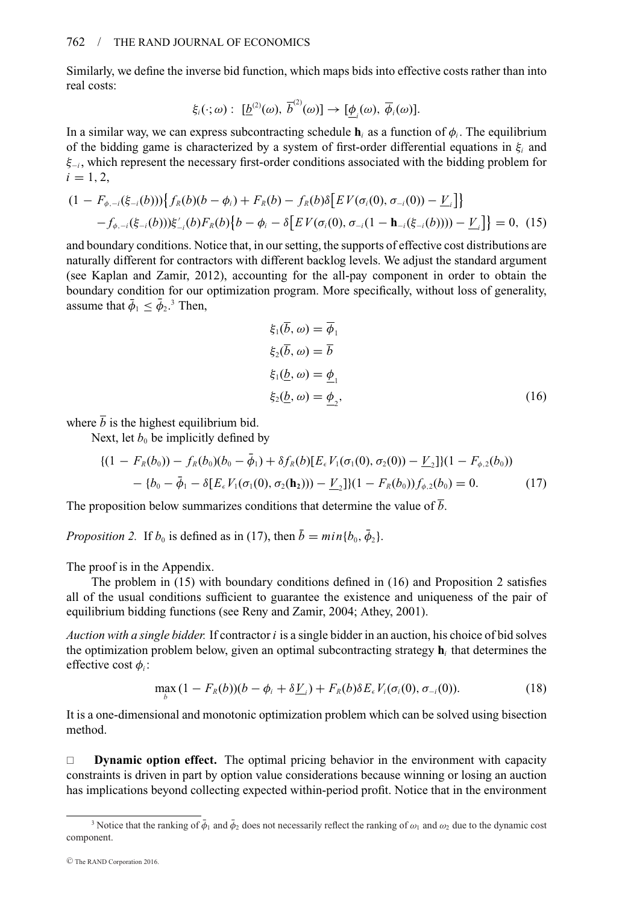Similarly, we define the inverse bid function, which maps bids into effective costs rather than into real costs:

$$
\xi_i(\cdot;\omega): [\underline{b}^{(2)}(\omega), \overline{b}^{(2)}(\omega)] \to [\underline{\phi}_i(\omega), \overline{\phi}_i(\omega)].
$$

In a similar way, we can express subcontracting schedule  $\mathbf{h}_i$  as a function of  $\phi_i$ . The equilibrium of the bidding game is characterized by a system of first-order differential equations in  $\xi$ <sub>i</sub> and ξ<sup>−</sup>*<sup>i</sup>* , which represent the necessary first-order conditions associated with the bidding problem for  $i = 1, 2,$ 

$$
(1 - F_{\phi, -i}(\xi_{-i}(b))) \{ f_R(b)(b - \phi_i) + F_R(b) - f_R(b)\delta \big[ E V(\sigma_i(0), \sigma_{-i}(0)) - \underline{V}_i \big] \} - f_{\phi, -i}(\xi_{-i}(b))) \xi'_{-i}(b) F_R(b) \{ b - \phi_i - \delta \big[ E V(\sigma_i(0), \sigma_{-i}(1 - \mathbf{h}_{-i}(\xi_{-i}(b)))) - \underline{V}_i \big] \} = 0, (15)
$$

and boundary conditions. Notice that, in our setting, the supports of effective cost distributions are naturally different for contractors with different backlog levels. We adjust the standard argument (see Kaplan and Zamir, 2012), accounting for the all-pay component in order to obtain the boundary condition for our optimization program. More specifically, without loss of generality, assume that  $\bar{\phi}_1 \leq \bar{\phi}_2$ .<sup>3</sup> Then,

$$
\xi_1(\overline{b}, \omega) = \overline{\phi}_1
$$
  
\n
$$
\xi_2(\overline{b}, \omega) = \overline{b}
$$
  
\n
$$
\xi_1(\underline{b}, \omega) = \underline{\phi}_1
$$
  
\n
$$
\xi_2(\underline{b}, \omega) = \underline{\phi}_2,
$$
\n(16)

where  $\bar{b}$  is the highest equilibrium bid.

Next, let  $b_0$  be implicitly defined by

$$
\begin{aligned} \n\{(1 - F_R(b_0)) - f_R(b_0)(b_0 - \bar{\phi}_1) + \delta f_R(b)[E_{\epsilon} V_1(\sigma_1(0), \sigma_2(0)) - \underline{V}_2]\}(1 - F_{\phi,2}(b_0)) \\ \n&- \{b_0 - \bar{\phi}_1 - \delta[E_{\epsilon} V_1(\sigma_1(0), \sigma_2(\mathbf{h}_2))) - \underline{V}_2\}(1 - F_R(b_0))f_{\phi,2}(b_0) = 0. \n\end{aligned} \tag{17}
$$

The proposition below summarizes conditions that determine the value of  $\overline{b}$ .

*Proposition 2.* If  $b_0$  is defined as in (17), then  $\bar{b} = min\{b_0, \bar{\phi}_2\}$ .

The proof is in the Appendix.

The problem in (15) with boundary conditions defined in (16) and Proposition 2 satisfies all of the usual conditions sufficient to guarantee the existence and uniqueness of the pair of equilibrium bidding functions (see Reny and Zamir, 2004; Athey, 2001).

*Auction with a single bidder.* If contractor *i* is a single bidder in an auction, his choice of bid solves the optimization problem below, given an optimal subcontracting strategy **h***<sup>i</sup>* that determines the effective cost φ*<sup>i</sup>* :

$$
\max_{b} (1 - F_R(b))(b - \phi_i + \delta \underline{V}_i) + F_R(b)\delta E_{\epsilon} V_i(\sigma_i(0), \sigma_{-i}(0)).
$$
\n(18)

It is a one-dimensional and monotonic optimization problem which can be solved using bisection method.

**Dynamic option effect.** The optimal pricing behavior in the environment with capacity constraints is driven in part by option value considerations because winning or losing an auction has implications beyond collecting expected within-period profit. Notice that in the environment

<sup>&</sup>lt;sup>3</sup> Notice that the ranking of  $\bar{\phi}_1$  and  $\bar{\phi}_2$  does not necessarily reflect the ranking of  $\omega_1$  and  $\omega_2$  due to the dynamic cost component.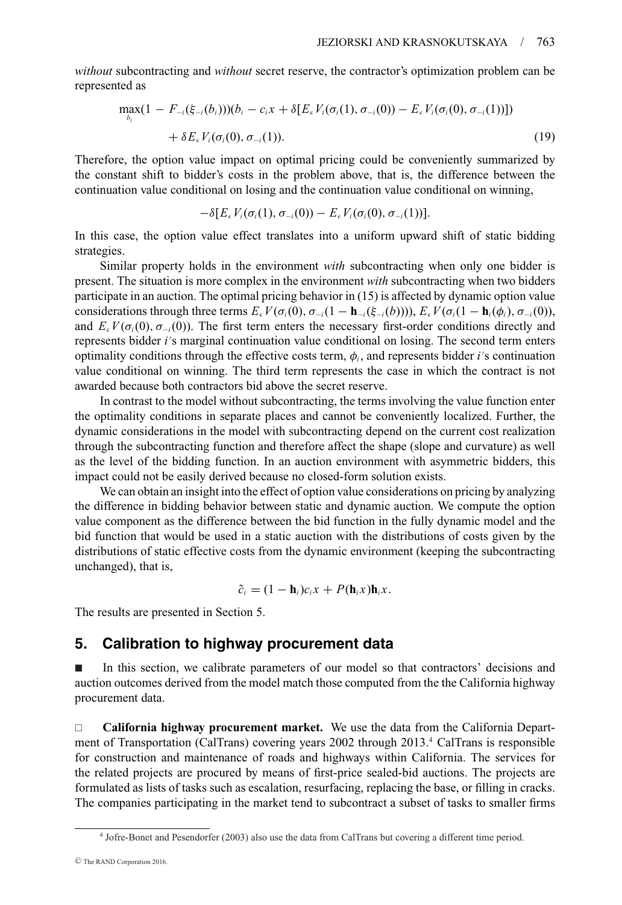*without* subcontracting and *without* secret reserve, the contractor's optimization problem can be represented as

$$
\max_{b_i} (1 - F_{-i}(\xi_{-i}(b_i)))(b_i - c_i x + \delta [E_{\epsilon} V_i(\sigma_i(1), \sigma_{-i}(0)) - E_{\epsilon} V_i(\sigma_i(0), \sigma_{-i}(1))]) + \delta E_{\epsilon} V_i(\sigma_i(0), \sigma_{-i}(1)).
$$
\n(19)

Therefore, the option value impact on optimal pricing could be conveniently summarized by the constant shift to bidder's costs in the problem above, that is, the difference between the continuation value conditional on losing and the continuation value conditional on winning,

$$
-\delta[E_{\epsilon}V_i(\sigma_i(1),\sigma_{-i}(0))-E_{\epsilon}V_i(\sigma_i(0),\sigma_{-i}(1))].
$$

In this case, the option value effect translates into a uniform upward shift of static bidding strategies.

Similar property holds in the environment *with* subcontracting when only one bidder is present. The situation is more complex in the environment *with* subcontracting when two bidders participate in an auction. The optimal pricing behavior in (15) is affected by dynamic option value considerations through three terms  $E_\epsilon V(\sigma_i(0), \sigma_{-i}(1 - \mathbf{h}_{-i}(\xi_{-i}(b))))$ ,  $E_\epsilon V(\sigma_i(1 - \mathbf{h}_i(\phi_i), \sigma_{-i}(0)))$ , and  $E_ \epsilon V(\sigma_i(0), \sigma_{-i}(0))$ . The first term enters the necessary first-order conditions directly and represents bidder *i'*s marginal continuation value conditional on losing. The second term enters optimality conditions through the effective costs term,  $\phi_i$ , and represents bidder *i's* continuation value conditional on winning. The third term represents the case in which the contract is not awarded because both contractors bid above the secret reserve.

In contrast to the model without subcontracting, the terms involving the value function enter the optimality conditions in separate places and cannot be conveniently localized. Further, the dynamic considerations in the model with subcontracting depend on the current cost realization through the subcontracting function and therefore affect the shape (slope and curvature) as well as the level of the bidding function. In an auction environment with asymmetric bidders, this impact could not be easily derived because no closed-form solution exists.

We can obtain an insight into the effect of option value considerations on pricing by analyzing the difference in bidding behavior between static and dynamic auction. We compute the option value component as the difference between the bid function in the fully dynamic model and the bid function that would be used in a static auction with the distributions of costs given by the distributions of static effective costs from the dynamic environment (keeping the subcontracting unchanged), that is,

$$
\tilde{c}_i = (1 - \mathbf{h}_i)c_i x + P(\mathbf{h}_i x)\mathbf{h}_i x.
$$

The results are presented in Section 5.

# **5. Calibration to highway procurement data**

- In this section, we calibrate parameters of our model so that contractors' decisions and auction outcomes derived from the model match those computed from the the California highway procurement data.

 **California highway procurement market.** We use the data from the California Department of Transportation (CalTrans) covering years 2002 through 2013.4 CalTrans is responsible for construction and maintenance of roads and highways within California. The services for the related projects are procured by means of first-price sealed-bid auctions. The projects are formulated as lists of tasks such as escalation, resurfacing, replacing the base, or filling in cracks. The companies participating in the market tend to subcontract a subset of tasks to smaller firms

<sup>4</sup> Jofre-Bonet and Pesendorfer (2003) also use the data from CalTrans but covering a different time period.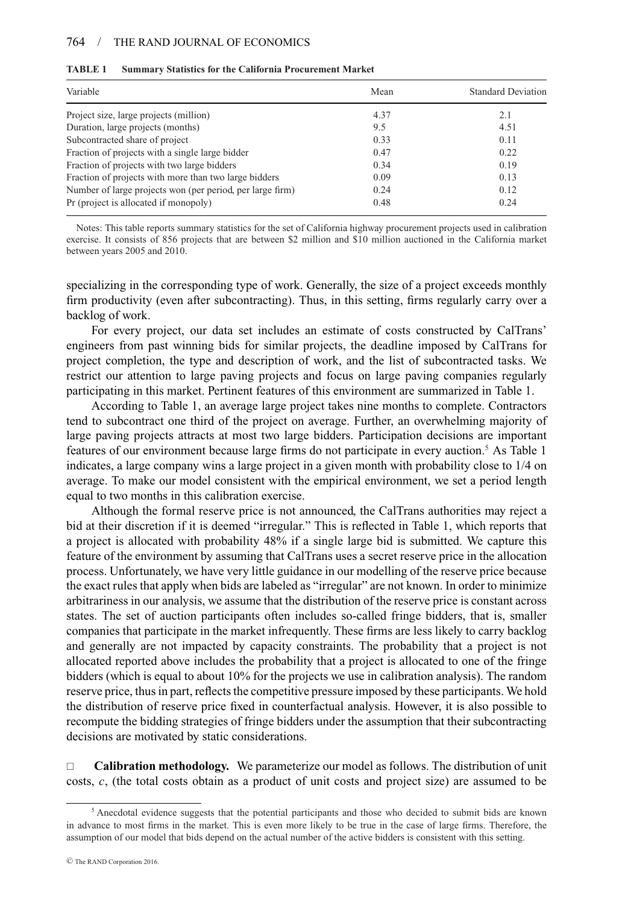#### 764 / THE RAND JOURNAL OF ECONOMICS

| Variable                                                  | Mean | <b>Standard Deviation</b> |
|-----------------------------------------------------------|------|---------------------------|
| Project size, large projects (million)                    | 4.37 | 2.1                       |
| Duration, large projects (months)                         | 9.5  | 4.51                      |
| Subcontracted share of project                            | 0.33 | 0.11                      |
| Fraction of projects with a single large bidder           | 0.47 | 0.22                      |
| Fraction of projects with two large bidders               | 0.34 | 0.19                      |
| Fraction of projects with more than two large bidders     | 0.09 | 0.13                      |
| Number of large projects won (per period, per large firm) | 0.24 | 0.12                      |
| Pr (project is allocated if monopoly)                     | 0.48 | 0.24                      |

#### **TABLE 1 Summary Statistics for the California Procurement Market**

Notes: This table reports summary statistics for the set of California highway procurement projects used in calibration exercise. It consists of 856 projects that are between \$2 million and \$10 million auctioned in the California market between years 2005 and 2010.

specializing in the corresponding type of work. Generally, the size of a project exceeds monthly firm productivity (even after subcontracting). Thus, in this setting, firms regularly carry over a backlog of work.

For every project, our data set includes an estimate of costs constructed by CalTrans' engineers from past winning bids for similar projects, the deadline imposed by CalTrans for project completion, the type and description of work, and the list of subcontracted tasks. We restrict our attention to large paving projects and focus on large paving companies regularly participating in this market. Pertinent features of this environment are summarized in Table 1.

According to Table 1, an average large project takes nine months to complete. Contractors tend to subcontract one third of the project on average. Further, an overwhelming majority of large paving projects attracts at most two large bidders. Participation decisions are important features of our environment because large firms do not participate in every auction.<sup>5</sup> As Table 1 indicates, a large company wins a large project in a given month with probability close to 1/4 on average. To make our model consistent with the empirical environment, we set a period length equal to two months in this calibration exercise.

Although the formal reserve price is not announced, the CalTrans authorities may reject a bid at their discretion if it is deemed "irregular." This is reflected in Table 1, which reports that a project is allocated with probability 48% if a single large bid is submitted. We capture this feature of the environment by assuming that CalTrans uses a secret reserve price in the allocation process. Unfortunately, we have very little guidance in our modelling of the reserve price because the exact rules that apply when bids are labeled as "irregular" are not known. In order to minimize arbitrariness in our analysis, we assume that the distribution of the reserve price is constant across states. The set of auction participants often includes so-called fringe bidders, that is, smaller companies that participate in the market infrequently. These firms are less likely to carry backlog and generally are not impacted by capacity constraints. The probability that a project is not allocated reported above includes the probability that a project is allocated to one of the fringe bidders (which is equal to about 10% for the projects we use in calibration analysis). The random reserve price, thus in part, reflects the competitive pressure imposed by these participants. We hold the distribution of reserve price fixed in counterfactual analysis. However, it is also possible to recompute the bidding strategies of fringe bidders under the assumption that their subcontracting decisions are motivated by static considerations.

 **Calibration methodology.** We parameterize our model as follows. The distribution of unit costs, *c*, (the total costs obtain as a product of unit costs and project size) are assumed to be

<sup>5</sup> Anecdotal evidence suggests that the potential participants and those who decided to submit bids are known in advance to most firms in the market. This is even more likely to be true in the case of large firms. Therefore, the assumption of our model that bids depend on the actual number of the active bidders is consistent with this setting.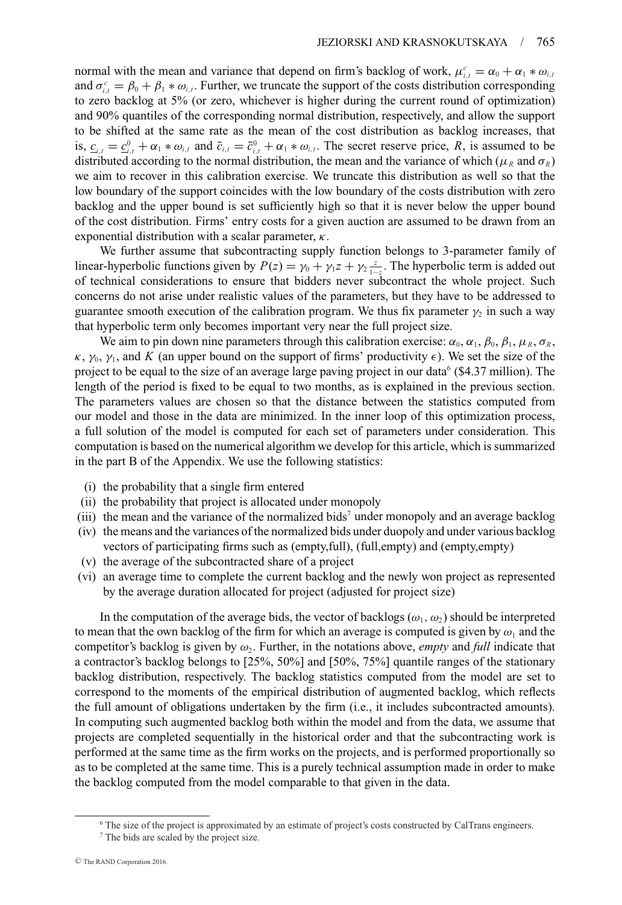normal with the mean and variance that depend on firm's backlog of work,  $\mu_{i,t}^c = \alpha_0 + \alpha_1 * \omega_{i,t}$ and  $\sigma_{i,t}^c = \beta_0 + \beta_1 * \omega_{i,t}$ . Further, we truncate the support of the costs distribution corresponding to zero backlog at 5% (or zero, whichever is higher during the current round of optimization) and 90% quantiles of the corresponding normal distribution, respectively, and allow the support to be shifted at the same rate as the mean of the cost distribution as backlog increases, that is,  $c_{i,t} = c_{i,t}^0 + \alpha_1 * \omega_{i,t}$  and  $\bar{c}_{i,t} = \bar{c}_{i,t}^0 + \alpha_1 * \omega_{i,t}$ . The secret reserve price, *R*, is assumed to be distributed according to the normal distribution, the mean and the variance of which ( $\mu_R$  and  $\sigma_R$ ) we aim to recover in this calibration exercise. We truncate this distribution as well so that the low boundary of the support coincides with the low boundary of the costs distribution with zero backlog and the upper bound is set sufficiently high so that it is never below the upper bound of the cost distribution. Firms' entry costs for a given auction are assumed to be drawn from an exponential distribution with a scalar parameter,  $\kappa$ .

We further assume that subcontracting supply function belongs to 3-parameter family of linear-hyperbolic functions given by  $P(z) = \gamma_0 + \gamma_1 z + \gamma_2 \frac{z}{1-z}$ . The hyperbolic term is added out of technical considerations to ensure that bidders never subcontract the whole project. Such concerns do not arise under realistic values of the parameters, but they have to be addressed to guarantee smooth execution of the calibration program. We thus fix parameter  $\gamma_2$  in such a way that hyperbolic term only becomes important very near the full project size.

We aim to pin down nine parameters through this calibration exercise:  $\alpha_0$ ,  $\alpha_1$ ,  $\beta_0$ ,  $\beta_1$ ,  $\mu_R$ ,  $\sigma_R$ ,  $\kappa$ ,  $\gamma_0$ ,  $\gamma_1$ , and *K* (an upper bound on the support of firms' productivity  $\epsilon$ ). We set the size of the project to be equal to the size of an average large paving project in our data<sup>6</sup> (\$4.37 million). The length of the period is fixed to be equal to two months, as is explained in the previous section. The parameters values are chosen so that the distance between the statistics computed from our model and those in the data are minimized. In the inner loop of this optimization process, a full solution of the model is computed for each set of parameters under consideration. This computation is based on the numerical algorithm we develop for this article, which is summarized in the part B of the Appendix. We use the following statistics:

- (i) the probability that a single firm entered
- (ii) the probability that project is allocated under monopoly
- (iii) the mean and the variance of the normalized bids<sup>7</sup> under monopoly and an average backlog
- (iv) the means and the variances of the normalized bids under duopoly and under various backlog vectors of participating firms such as (empty,full), (full,empty) and (empty,empty)
- (v) the average of the subcontracted share of a project
- (vi) an average time to complete the current backlog and the newly won project as represented by the average duration allocated for project (adjusted for project size)

In the computation of the average bids, the vector of backlogs ( $\omega_1, \omega_2$ ) should be interpreted to mean that the own backlog of the firm for which an average is computed is given by  $\omega_1$  and the competitor's backlog is given by  $\omega_2$ . Further, in the notations above, *empty* and *full* indicate that a contractor's backlog belongs to [25%, 50%] and [50%, 75%] quantile ranges of the stationary backlog distribution, respectively. The backlog statistics computed from the model are set to correspond to the moments of the empirical distribution of augmented backlog, which reflects the full amount of obligations undertaken by the firm (i.e., it includes subcontracted amounts). In computing such augmented backlog both within the model and from the data, we assume that projects are completed sequentially in the historical order and that the subcontracting work is performed at the same time as the firm works on the projects, and is performed proportionally so as to be completed at the same time. This is a purely technical assumption made in order to make the backlog computed from the model comparable to that given in the data.

<sup>6</sup> The size of the project is approximated by an estimate of project's costs constructed by CalTrans engineers. <sup>7</sup> The bids are scaled by the project size.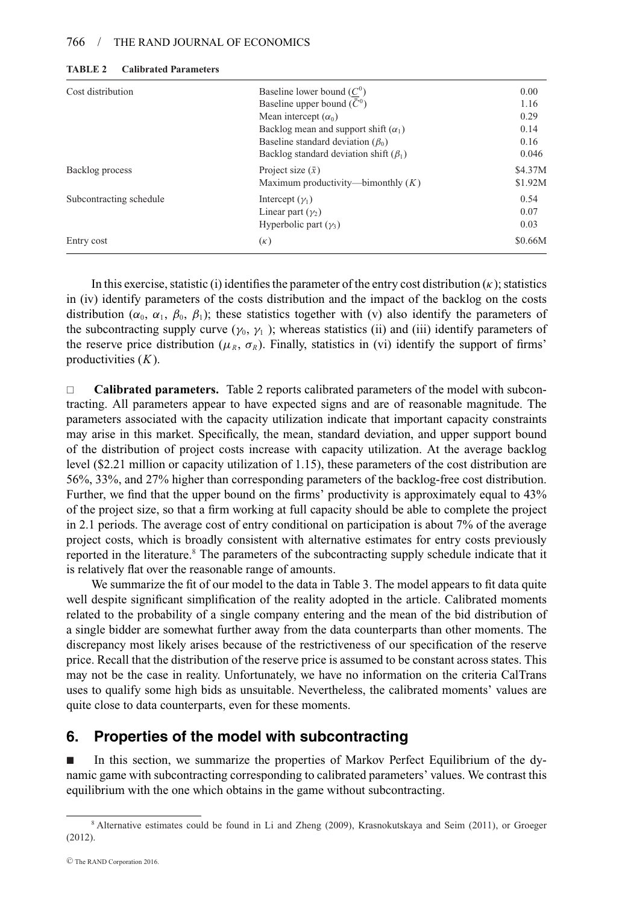#### 766 / THE RAND JOURNAL OF ECONOMICS

| Cost distribution       | Baseline lower bound $(C^0)$                 | 0.00    |
|-------------------------|----------------------------------------------|---------|
|                         | Baseline upper bound $(\bar{C}^0)$           | 1.16    |
|                         | Mean intercept $(\alpha_0)$                  | 0.29    |
|                         | Backlog mean and support shift $(\alpha_1)$  | 0.14    |
|                         | Baseline standard deviation $(\beta_0)$      | 0.16    |
|                         | Backlog standard deviation shift $(\beta_1)$ | 0.046   |
| Backlog process         | Project size $(\bar{x})$                     | \$4.37M |
|                         | Maximum productivity—bimonthly $(K)$         | \$1.92M |
| Subcontracting schedule | Intercept $(\gamma_1)$                       | 0.54    |
|                         | Linear part $(\gamma_2)$                     | 0.07    |
|                         | Hyperbolic part $(\gamma_3)$                 | 0.03    |
| Entry cost              | $(\kappa)$                                   | \$0.66M |

| TABLE 2<br><b>Calibrated Parameters</b> |  |
|-----------------------------------------|--|
|-----------------------------------------|--|

In this exercise, statistic (i) identifies the parameter of the entry cost distribution  $(\kappa)$ ; statistics in (iv) identify parameters of the costs distribution and the impact of the backlog on the costs distribution ( $\alpha_0$ ,  $\alpha_1$ ,  $\beta_0$ ,  $\beta_1$ ); these statistics together with (v) also identify the parameters of the subcontracting supply curve ( $\gamma_0$ ,  $\gamma_1$ ); whereas statistics (ii) and (iii) identify parameters of the reserve price distribution ( $\mu_R$ ,  $\sigma_R$ ). Finally, statistics in (vi) identify the support of firms' productivities (*K*).

□ **Calibrated parameters.** Table 2 reports calibrated parameters of the model with subcontracting. All parameters appear to have expected signs and are of reasonable magnitude. The parameters associated with the capacity utilization indicate that important capacity constraints may arise in this market. Specifically, the mean, standard deviation, and upper support bound of the distribution of project costs increase with capacity utilization. At the average backlog level (\$2.21 million or capacity utilization of 1.15), these parameters of the cost distribution are 56%, 33%, and 27% higher than corresponding parameters of the backlog-free cost distribution. Further, we find that the upper bound on the firms' productivity is approximately equal to 43% of the project size, so that a firm working at full capacity should be able to complete the project in 2.1 periods. The average cost of entry conditional on participation is about 7% of the average project costs, which is broadly consistent with alternative estimates for entry costs previously reported in the literature.<sup>8</sup> The parameters of the subcontracting supply schedule indicate that it is relatively flat over the reasonable range of amounts.

We summarize the fit of our model to the data in Table 3. The model appears to fit data quite well despite significant simplification of the reality adopted in the article. Calibrated moments related to the probability of a single company entering and the mean of the bid distribution of a single bidder are somewhat further away from the data counterparts than other moments. The discrepancy most likely arises because of the restrictiveness of our specification of the reserve price. Recall that the distribution of the reserve price is assumed to be constant across states. This may not be the case in reality. Unfortunately, we have no information on the criteria CalTrans uses to qualify some high bids as unsuitable. Nevertheless, the calibrated moments' values are quite close to data counterparts, even for these moments.

# **6. Properties of the model with subcontracting**

- In this section, we summarize the properties of Markov Perfect Equilibrium of the dynamic game with subcontracting corresponding to calibrated parameters' values. We contrast this equilibrium with the one which obtains in the game without subcontracting.

<sup>8</sup> Alternative estimates could be found in Li and Zheng (2009), Krasnokutskaya and Seim (2011), or Groeger (2012).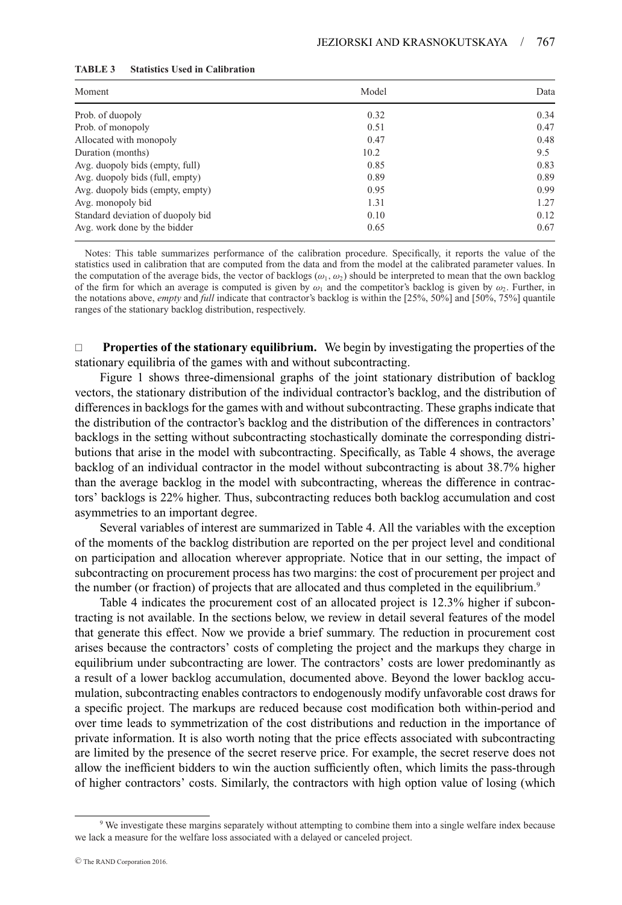| Moment                            | Model | Data |
|-----------------------------------|-------|------|
| Prob. of duopoly                  | 0.32  | 0.34 |
| Prob. of monopoly                 | 0.51  | 0.47 |
| Allocated with monopoly           | 0.47  | 0.48 |
| Duration (months)                 | 10.2  | 9.5  |
| Avg. duopoly bids (empty, full)   | 0.85  | 0.83 |
| Avg. duopoly bids (full, empty)   | 0.89  | 0.89 |
| Avg. duopoly bids (empty, empty)  | 0.95  | 0.99 |
| Avg. monopoly bid                 | 1.31  | 1.27 |
| Standard deviation of duopoly bid | 0.10  | 0.12 |
| Avg. work done by the bidder      | 0.65  | 0.67 |

#### **TABLE 3 Statistics Used in Calibration**

Notes: This table summarizes performance of the calibration procedure. Specifically, it reports the value of the statistics used in calibration that are computed from the data and from the model at the calibrated parameter values. In the computation of the average bids, the vector of backlogs  $(\omega_1, \omega_2)$  should be interpreted to mean that the own backlog of the firm for which an average is computed is given by  $\omega_1$  and the competitor's backlog is given by  $\omega_2$ . Further, in the notations above, *empty* and *full* indicate that contractor's backlog is within the [25%, 50%] and [50%, 75%] quantile ranges of the stationary backlog distribution, respectively.

 **Properties of the stationary equilibrium.** We begin by investigating the properties of the stationary equilibria of the games with and without subcontracting.

Figure 1 shows three-dimensional graphs of the joint stationary distribution of backlog vectors, the stationary distribution of the individual contractor's backlog, and the distribution of differences in backlogs for the games with and without subcontracting. These graphs indicate that the distribution of the contractor's backlog and the distribution of the differences in contractors' backlogs in the setting without subcontracting stochastically dominate the corresponding distributions that arise in the model with subcontracting. Specifically, as Table 4 shows, the average backlog of an individual contractor in the model without subcontracting is about 38.7% higher than the average backlog in the model with subcontracting, whereas the difference in contractors' backlogs is 22% higher. Thus, subcontracting reduces both backlog accumulation and cost asymmetries to an important degree.

Several variables of interest are summarized in Table 4. All the variables with the exception of the moments of the backlog distribution are reported on the per project level and conditional on participation and allocation wherever appropriate. Notice that in our setting, the impact of subcontracting on procurement process has two margins: the cost of procurement per project and the number (or fraction) of projects that are allocated and thus completed in the equilibrium.<sup>9</sup>

Table 4 indicates the procurement cost of an allocated project is 12.3% higher if subcontracting is not available. In the sections below, we review in detail several features of the model that generate this effect. Now we provide a brief summary. The reduction in procurement cost arises because the contractors' costs of completing the project and the markups they charge in equilibrium under subcontracting are lower. The contractors' costs are lower predominantly as a result of a lower backlog accumulation, documented above. Beyond the lower backlog accumulation, subcontracting enables contractors to endogenously modify unfavorable cost draws for a specific project. The markups are reduced because cost modification both within-period and over time leads to symmetrization of the cost distributions and reduction in the importance of private information. It is also worth noting that the price effects associated with subcontracting are limited by the presence of the secret reserve price. For example, the secret reserve does not allow the inefficient bidders to win the auction sufficiently often, which limits the pass-through of higher contractors' costs. Similarly, the contractors with high option value of losing (which

<sup>&</sup>lt;sup>9</sup> We investigate these margins separately without attempting to combine them into a single welfare index because we lack a measure for the welfare loss associated with a delayed or canceled project.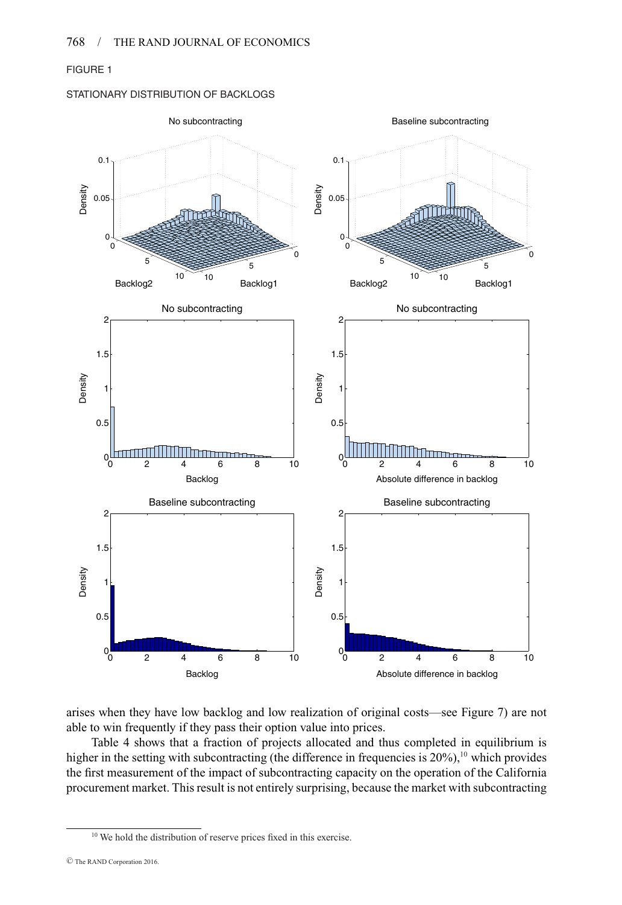# FIGURE 1

# STATIONARY DISTRIBUTION OF BACKLOGS



arises when they have low backlog and low realization of original costs—see Figure 7) are not able to win frequently if they pass their option value into prices.

Table 4 shows that a fraction of projects allocated and thus completed in equilibrium is higher in the setting with subcontracting (the difference in frequencies is  $20\%$ ),<sup>10</sup> which provides the first measurement of the impact of subcontracting capacity on the operation of the California procurement market. This result is not entirely surprising, because the market with subcontracting

<sup>&</sup>lt;sup>10</sup> We hold the distribution of reserve prices fixed in this exercise.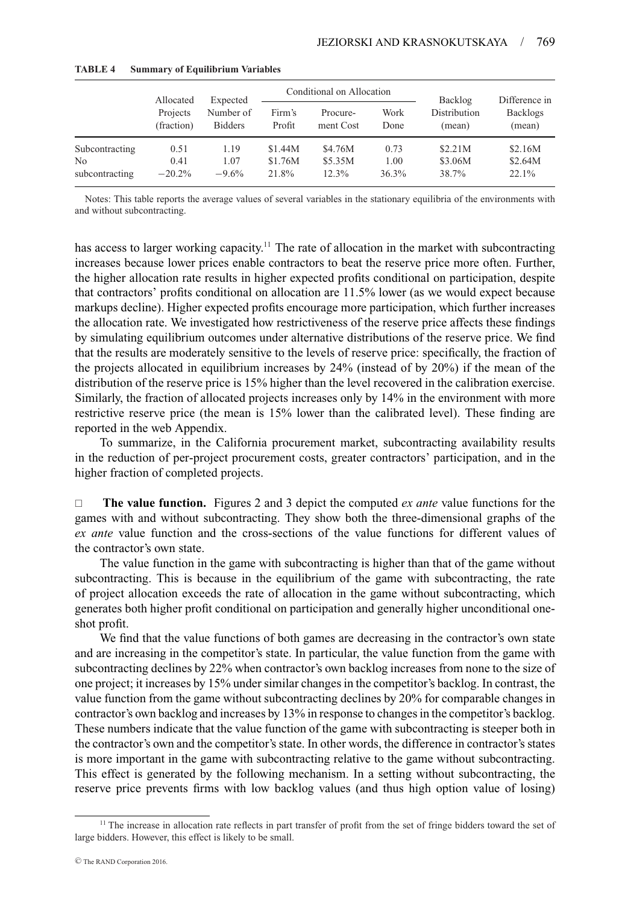|                      |                                                                   |                 |                  | Conditional on Allocation |               |                                   |                                            |  |
|----------------------|-------------------------------------------------------------------|-----------------|------------------|---------------------------|---------------|-----------------------------------|--------------------------------------------|--|
|                      | Allocated<br>Expected<br>Projects<br>(fraction)<br><b>Bidders</b> | Number of       | Firm's<br>Profit | Procure-<br>ment Cost     | Work<br>Done  | Backlog<br>Distribution<br>(mean) | Difference in<br><b>Backlogs</b><br>(mean) |  |
| Subcontracting       | 0.51                                                              | 1.19            | \$1.44M          | \$4.76M                   | 0.73          | \$2.21M                           | \$2.16M                                    |  |
| Nο<br>subcontracting | 0.41<br>$-20.2%$                                                  | 1.07<br>$-9.6%$ | \$1.76M<br>21.8% | \$5.35M<br>12.3%          | 1.00<br>36.3% | \$3.06M<br>38.7%                  | \$2.64M<br>22.1%                           |  |
|                      |                                                                   |                 |                  |                           |               |                                   |                                            |  |

#### **TABLE 4 Summary of Equilibrium Variables**

Notes: This table reports the average values of several variables in the stationary equilibria of the environments with and without subcontracting.

has access to larger working capacity.<sup>11</sup> The rate of allocation in the market with subcontracting increases because lower prices enable contractors to beat the reserve price more often. Further, the higher allocation rate results in higher expected profits conditional on participation, despite that contractors' profits conditional on allocation are 11.5% lower (as we would expect because markups decline). Higher expected profits encourage more participation, which further increases the allocation rate. We investigated how restrictiveness of the reserve price affects these findings by simulating equilibrium outcomes under alternative distributions of the reserve price. We find that the results are moderately sensitive to the levels of reserve price: specifically, the fraction of the projects allocated in equilibrium increases by 24% (instead of by 20%) if the mean of the distribution of the reserve price is 15% higher than the level recovered in the calibration exercise. Similarly, the fraction of allocated projects increases only by 14% in the environment with more restrictive reserve price (the mean is 15% lower than the calibrated level). These finding are reported in the web Appendix.

To summarize, in the California procurement market, subcontracting availability results in the reduction of per-project procurement costs, greater contractors' participation, and in the higher fraction of completed projects.

 **The value function.** Figures 2 and 3 depict the computed *ex ante* value functions for the games with and without subcontracting. They show both the three-dimensional graphs of the *ex ante* value function and the cross-sections of the value functions for different values of the contractor's own state.

The value function in the game with subcontracting is higher than that of the game without subcontracting. This is because in the equilibrium of the game with subcontracting, the rate of project allocation exceeds the rate of allocation in the game without subcontracting, which generates both higher profit conditional on participation and generally higher unconditional oneshot profit.

We find that the value functions of both games are decreasing in the contractor's own state and are increasing in the competitor's state. In particular, the value function from the game with subcontracting declines by 22% when contractor's own backlog increases from none to the size of one project; it increases by 15% under similar changes in the competitor's backlog. In contrast, the value function from the game without subcontracting declines by 20% for comparable changes in contractor's own backlog and increases by 13% in response to changes in the competitor's backlog. These numbers indicate that the value function of the game with subcontracting is steeper both in the contractor's own and the competitor's state. In other words, the difference in contractor's states is more important in the game with subcontracting relative to the game without subcontracting. This effect is generated by the following mechanism. In a setting without subcontracting, the reserve price prevents firms with low backlog values (and thus high option value of losing)

<sup>&</sup>lt;sup>11</sup> The increase in allocation rate reflects in part transfer of profit from the set of fringe bidders toward the set of large bidders. However, this effect is likely to be small.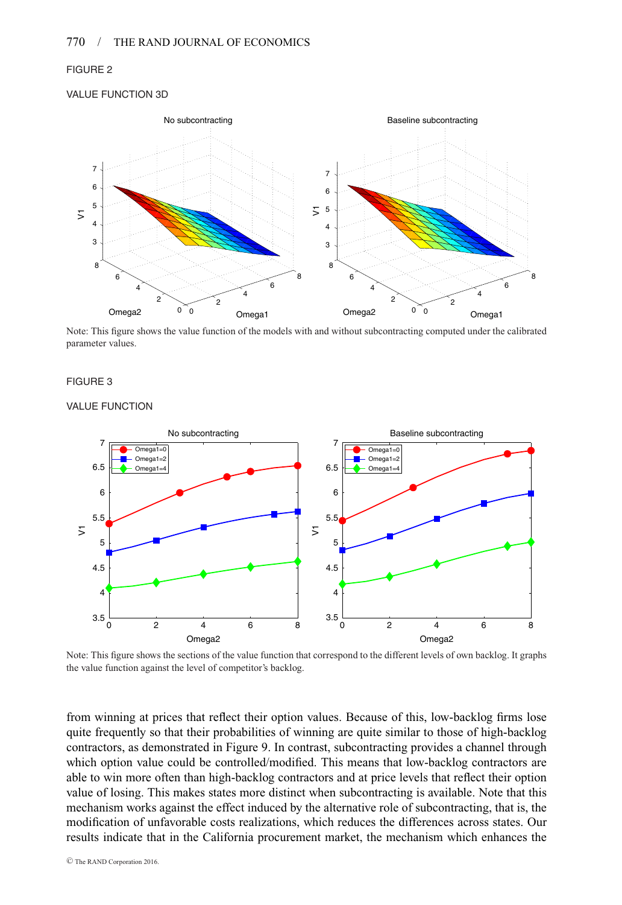## FIGURE 2

#### VALUE FUNCTION 3D



Note: This figure shows the value function of the models with and without subcontracting computed under the calibrated parameter values.

## FIGURE 3

#### VALUE FUNCTION



Note: This figure shows the sections of the value function that correspond to the different levels of own backlog. It graphs the value function against the level of competitor's backlog.

from winning at prices that reflect their option values. Because of this, low-backlog firms lose quite frequently so that their probabilities of winning are quite similar to those of high-backlog contractors, as demonstrated in Figure 9. In contrast, subcontracting provides a channel through which option value could be controlled/modified. This means that low-backlog contractors are able to win more often than high-backlog contractors and at price levels that reflect their option value of losing. This makes states more distinct when subcontracting is available. Note that this mechanism works against the effect induced by the alternative role of subcontracting, that is, the modification of unfavorable costs realizations, which reduces the differences across states. Our results indicate that in the California procurement market, the mechanism which enhances the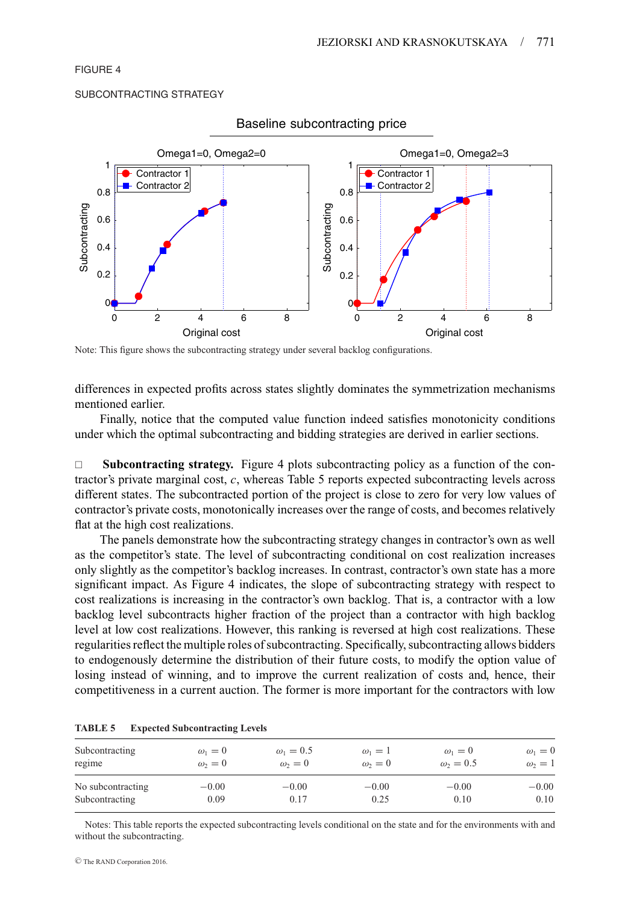## FIGURE 4

#### SUBCONTRACTING STRATEGY



Baseline subcontracting price

Note: This figure shows the subcontracting strategy under several backlog configurations.

differences in expected profits across states slightly dominates the symmetrization mechanisms mentioned earlier.

Finally, notice that the computed value function indeed satisfies monotonicity conditions under which the optimal subcontracting and bidding strategies are derived in earlier sections.

□ **Subcontracting strategy.** Figure 4 plots subcontracting policy as a function of the contractor's private marginal cost, *c*, whereas Table 5 reports expected subcontracting levels across different states. The subcontracted portion of the project is close to zero for very low values of contractor's private costs, monotonically increases over the range of costs, and becomes relatively flat at the high cost realizations.

The panels demonstrate how the subcontracting strategy changes in contractor's own as well as the competitor's state. The level of subcontracting conditional on cost realization increases only slightly as the competitor's backlog increases. In contrast, contractor's own state has a more significant impact. As Figure 4 indicates, the slope of subcontracting strategy with respect to cost realizations is increasing in the contractor's own backlog. That is, a contractor with a low backlog level subcontracts higher fraction of the project than a contractor with high backlog level at low cost realizations. However, this ranking is reversed at high cost realizations. These regularities reflect the multiple roles of subcontracting. Specifically, subcontracting allows bidders to endogenously determine the distribution of their future costs, to modify the option value of losing instead of winning, and to improve the current realization of costs and, hence, their competitiveness in a current auction. The former is more important for the contractors with low

| Subcontracting    | $\omega_1=0$ | $\omega_1 = 0.5$ | $\omega_1=1$ | $\omega_1=0$     | $\omega_1=0$ |
|-------------------|--------------|------------------|--------------|------------------|--------------|
| regime            | $\omega_2=0$ | $\omega_2=0$     | $\omega_2=0$ | $\omega_2 = 0.5$ | $\omega_2=1$ |
| No subcontracting | $-0.00$      | $-0.00$          | $-0.00$      | $-0.00$          | $-0.00$      |
| Subcontracting    | 0.09         | 0.17             | 0.25         | 0.10             | 0.10         |

| <b>TABLE 5</b> | <b>Expected Subcontracting Levels</b> |  |
|----------------|---------------------------------------|--|
|                |                                       |  |

Notes: This table reports the expected subcontracting levels conditional on the state and for the environments with and without the subcontracting.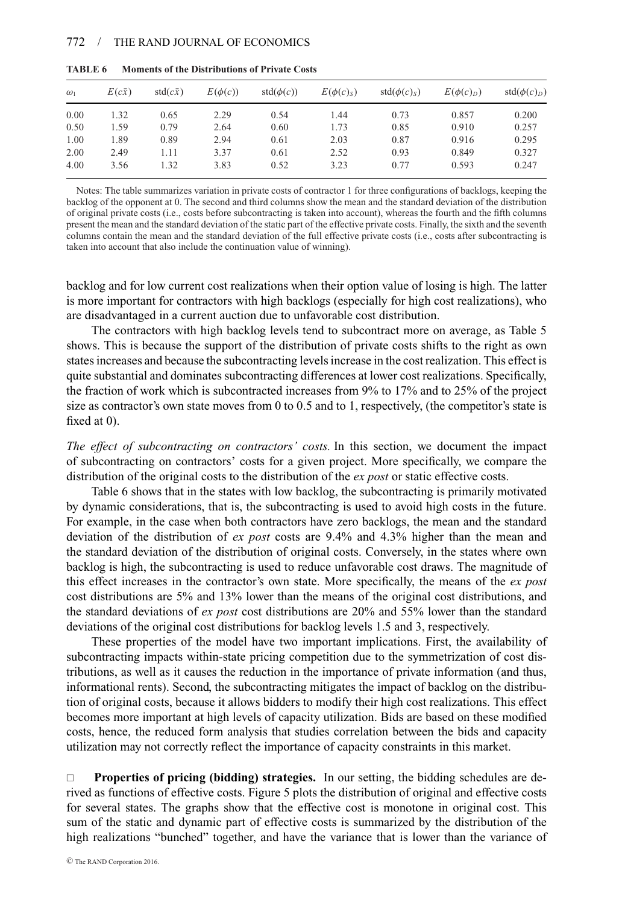| $\omega_1$ | $E(c\bar{x})$ | $std(c\bar{x})$ | $E(\phi(c))$ | $std(\phi(c))$ | $E(\phi(c)_s)$ | $std(\phi(c)_s)$ | $E(\phi(c)D)$ | $std(\phi(c)D)$ |
|------------|---------------|-----------------|--------------|----------------|----------------|------------------|---------------|-----------------|
| 0.00       | 1.32          | 0.65            | 2.29         | 0.54           | 1.44           | 0.73             | 0.857         | 0.200           |
| 0.50       | 1.59          | 0.79            | 2.64         | 0.60           | 1.73           | 0.85             | 0.910         | 0.257           |
| 1.00       | 1.89          | 0.89            | 2.94         | 0.61           | 2.03           | 0.87             | 0.916         | 0.295           |
| 2.00       | 2.49          | 1.11            | 3.37         | 0.61           | 2.52           | 0.93             | 0.849         | 0.327           |
| 4.00       | 3.56          | 1.32            | 3.83         | 0.52           | 3.23           | 0.77             | 0.593         | 0.247           |

**TABLE 6 Moments of the Distributions of Private Costs**

Notes: The table summarizes variation in private costs of contractor 1 for three configurations of backlogs, keeping the backlog of the opponent at 0. The second and third columns show the mean and the standard deviation of the distribution of original private costs (i.e., costs before subcontracting is taken into account), whereas the fourth and the fifth columns present the mean and the standard deviation of the static part of the effective private costs. Finally, the sixth and the seventh columns contain the mean and the standard deviation of the full effective private costs (i.e., costs after subcontracting is taken into account that also include the continuation value of winning).

backlog and for low current cost realizations when their option value of losing is high. The latter is more important for contractors with high backlogs (especially for high cost realizations), who are disadvantaged in a current auction due to unfavorable cost distribution.

The contractors with high backlog levels tend to subcontract more on average, as Table 5 shows. This is because the support of the distribution of private costs shifts to the right as own states increases and because the subcontracting levels increase in the cost realization. This effect is quite substantial and dominates subcontracting differences at lower cost realizations. Specifically, the fraction of work which is subcontracted increases from 9% to 17% and to 25% of the project size as contractor's own state moves from 0 to 0.5 and to 1, respectively, (the competitor's state is fixed at 0).

*The effect of subcontracting on contractors' costs.* In this section, we document the impact of subcontracting on contractors' costs for a given project. More specifically, we compare the distribution of the original costs to the distribution of the *ex post* or static effective costs.

Table 6 shows that in the states with low backlog, the subcontracting is primarily motivated by dynamic considerations, that is, the subcontracting is used to avoid high costs in the future. For example, in the case when both contractors have zero backlogs, the mean and the standard deviation of the distribution of *ex post* costs are 9.4% and 4.3% higher than the mean and the standard deviation of the distribution of original costs. Conversely, in the states where own backlog is high, the subcontracting is used to reduce unfavorable cost draws. The magnitude of this effect increases in the contractor's own state. More specifically, the means of the *ex post* cost distributions are 5% and 13% lower than the means of the original cost distributions, and the standard deviations of *ex post* cost distributions are 20% and 55% lower than the standard deviations of the original cost distributions for backlog levels 1.5 and 3, respectively.

These properties of the model have two important implications. First, the availability of subcontracting impacts within-state pricing competition due to the symmetrization of cost distributions, as well as it causes the reduction in the importance of private information (and thus, informational rents). Second, the subcontracting mitigates the impact of backlog on the distribution of original costs, because it allows bidders to modify their high cost realizations. This effect becomes more important at high levels of capacity utilization. Bids are based on these modified costs, hence, the reduced form analysis that studies correlation between the bids and capacity utilization may not correctly reflect the importance of capacity constraints in this market.

 **Properties of pricing (bidding) strategies.** In our setting, the bidding schedules are derived as functions of effective costs. Figure 5 plots the distribution of original and effective costs for several states. The graphs show that the effective cost is monotone in original cost. This sum of the static and dynamic part of effective costs is summarized by the distribution of the high realizations "bunched" together, and have the variance that is lower than the variance of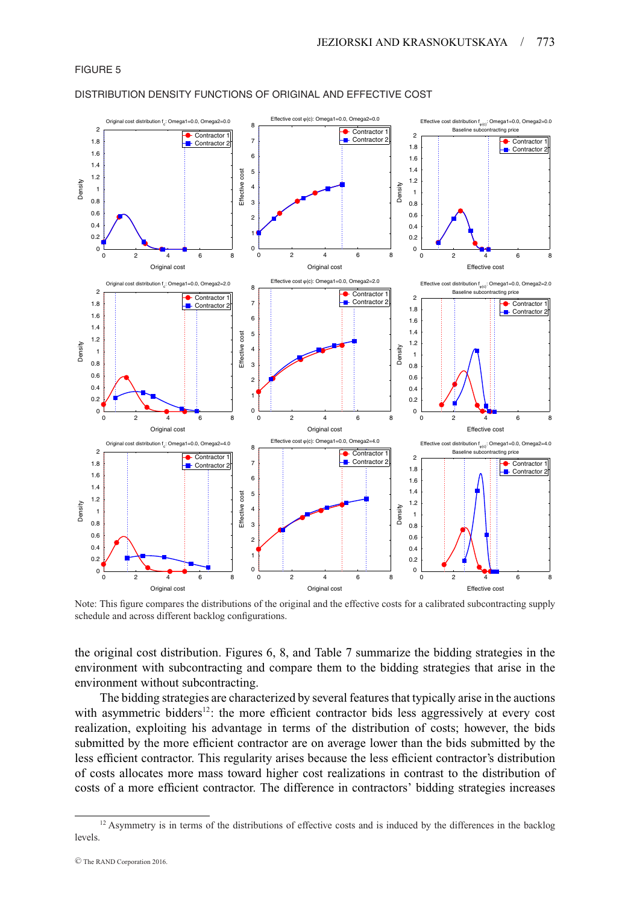## FIGURE 5



#### DISTRIBUTION DENSITY FUNCTIONS OF ORIGINAL AND EFFECTIVE COST

Note: This figure compares the distributions of the original and the effective costs for a calibrated subcontracting supply schedule and across different backlog configurations.

the original cost distribution. Figures 6, 8, and Table 7 summarize the bidding strategies in the environment with subcontracting and compare them to the bidding strategies that arise in the environment without subcontracting.

The bidding strategies are characterized by several features that typically arise in the auctions with asymmetric bidders<sup>12</sup>: the more efficient contractor bids less aggressively at every cost realization, exploiting his advantage in terms of the distribution of costs; however, the bids submitted by the more efficient contractor are on average lower than the bids submitted by the less efficient contractor. This regularity arises because the less efficient contractor's distribution of costs allocates more mass toward higher cost realizations in contrast to the distribution of costs of a more efficient contractor. The difference in contractors' bidding strategies increases

<sup>&</sup>lt;sup>12</sup> Asymmetry is in terms of the distributions of effective costs and is induced by the differences in the backlog levels.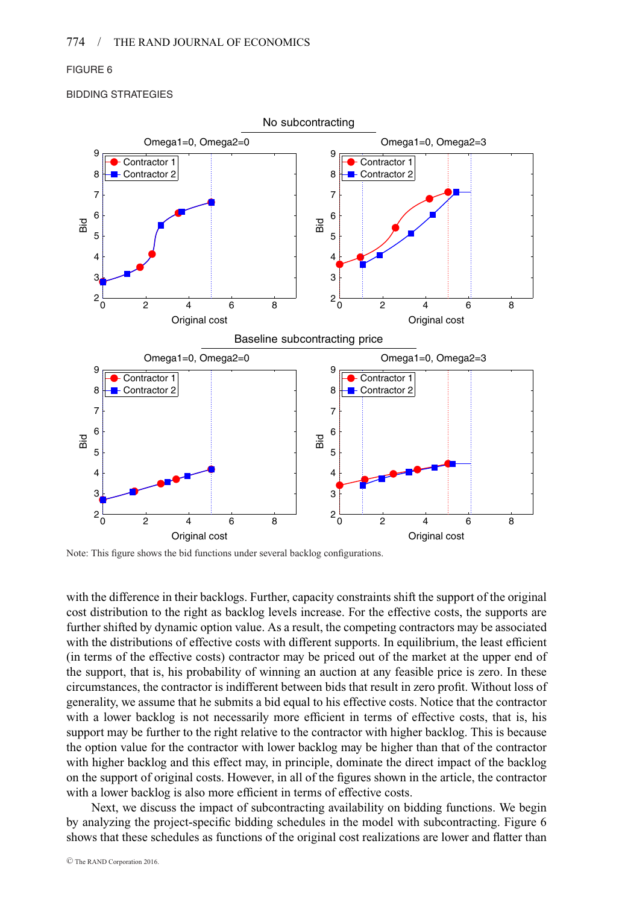## FIGURE 6

BIDDING STRATEGIES



Note: This figure shows the bid functions under several backlog configurations.

with the difference in their backlogs. Further, capacity constraints shift the support of the original cost distribution to the right as backlog levels increase. For the effective costs, the supports are further shifted by dynamic option value. As a result, the competing contractors may be associated with the distributions of effective costs with different supports. In equilibrium, the least efficient (in terms of the effective costs) contractor may be priced out of the market at the upper end of the support, that is, his probability of winning an auction at any feasible price is zero. In these circumstances, the contractor is indifferent between bids that result in zero profit. Without loss of generality, we assume that he submits a bid equal to his effective costs. Notice that the contractor with a lower backlog is not necessarily more efficient in terms of effective costs, that is, his support may be further to the right relative to the contractor with higher backlog. This is because the option value for the contractor with lower backlog may be higher than that of the contractor with higher backlog and this effect may, in principle, dominate the direct impact of the backlog on the support of original costs. However, in all of the figures shown in the article, the contractor with a lower backlog is also more efficient in terms of effective costs.

Next, we discuss the impact of subcontracting availability on bidding functions. We begin by analyzing the project-specific bidding schedules in the model with subcontracting. Figure 6 shows that these schedules as functions of the original cost realizations are lower and flatter than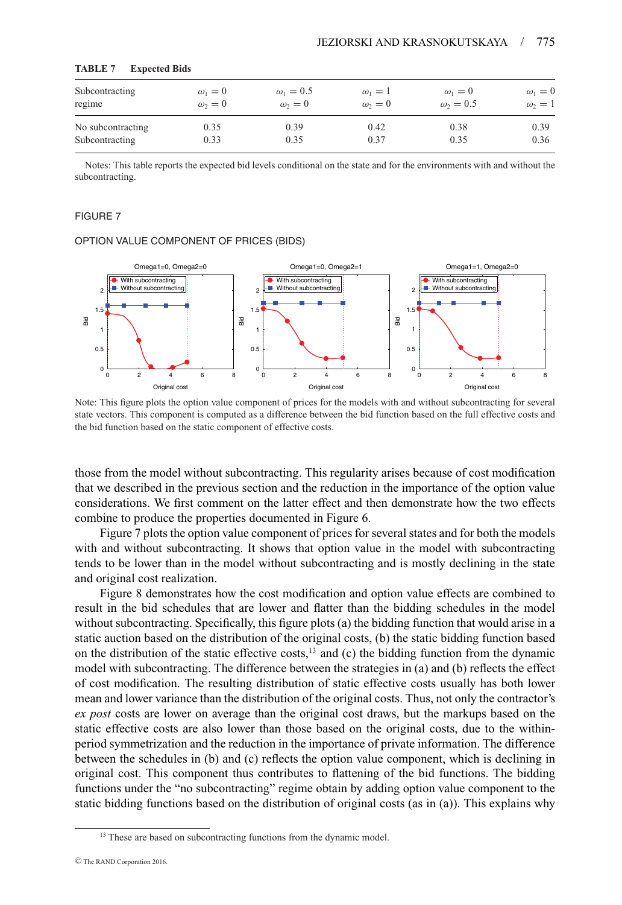| Subcontracting    | $\omega_1=0$ | $\omega_1 = 0.5$ | $\omega_1=1$ | $\omega_1=0$     | $\omega_1=0$ |
|-------------------|--------------|------------------|--------------|------------------|--------------|
| regime            | $\omega_2=0$ | $\omega_2=0$     | $\omega_2=0$ | $\omega_2 = 0.5$ | $\omega_2=1$ |
| No subcontracting | 0.35         | 0.39             | 0.42         | 0.38             | 0.39         |
| Subcontracting    | 0.33         | 0.35             | 0.37         | 0.35             | 0.36         |

#### **TABLE 7 Expected Bids**

Notes: This table reports the expected bid levels conditional on the state and for the environments with and without the subcontracting.

#### FIGURE 7

#### OPTION VALUE COMPONENT OF PRICES (BIDS)



Note: This figure plots the option value component of prices for the models with and without subcontracting for several state vectors. This component is computed as a difference between the bid function based on the full effective costs and the bid function based on the static component of effective costs.

those from the model without subcontracting. This regularity arises because of cost modification that we described in the previous section and the reduction in the importance of the option value considerations. We first comment on the latter effect and then demonstrate how the two effects combine to produce the properties documented in Figure 6.

Figure 7 plots the option value component of prices for several states and for both the models with and without subcontracting. It shows that option value in the model with subcontracting tends to be lower than in the model without subcontracting and is mostly declining in the state and original cost realization.

Figure 8 demonstrates how the cost modification and option value effects are combined to result in the bid schedules that are lower and flatter than the bidding schedules in the model without subcontracting. Specifically, this figure plots (a) the bidding function that would arise in a static auction based on the distribution of the original costs, (b) the static bidding function based on the distribution of the static effective costs, $13$  and (c) the bidding function from the dynamic model with subcontracting. The difference between the strategies in (a) and (b) reflects the effect of cost modification. The resulting distribution of static effective costs usually has both lower mean and lower variance than the distribution of the original costs. Thus, not only the contractor's *ex post* costs are lower on average than the original cost draws, but the markups based on the static effective costs are also lower than those based on the original costs, due to the withinperiod symmetrization and the reduction in the importance of private information. The difference between the schedules in (b) and (c) reflects the option value component, which is declining in original cost. This component thus contributes to flattening of the bid functions. The bidding functions under the "no subcontracting" regime obtain by adding option value component to the static bidding functions based on the distribution of original costs (as in (a)). This explains why

<sup>&</sup>lt;sup>13</sup> These are based on subcontracting functions from the dynamic model.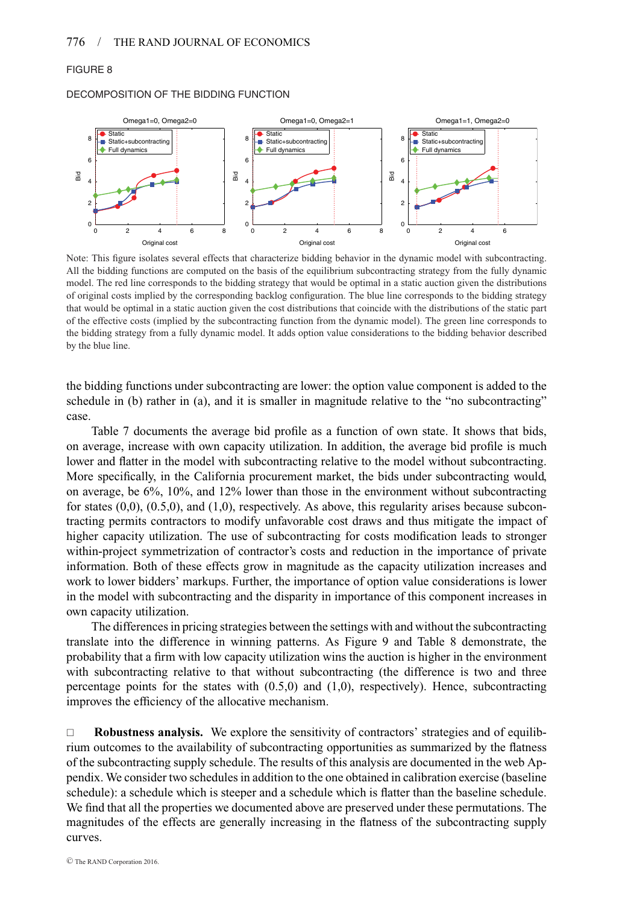## FIGURE 8

#### DECOMPOSITION OF THE BIDDING FUNCTION



Note: This figure isolates several effects that characterize bidding behavior in the dynamic model with subcontracting. All the bidding functions are computed on the basis of the equilibrium subcontracting strategy from the fully dynamic model. The red line corresponds to the bidding strategy that would be optimal in a static auction given the distributions of original costs implied by the corresponding backlog configuration. The blue line corresponds to the bidding strategy that would be optimal in a static auction given the cost distributions that coincide with the distributions of the static part of the effective costs (implied by the subcontracting function from the dynamic model). The green line corresponds to the bidding strategy from a fully dynamic model. It adds option value considerations to the bidding behavior described by the blue line.

the bidding functions under subcontracting are lower: the option value component is added to the schedule in (b) rather in (a), and it is smaller in magnitude relative to the "no subcontracting" case.

Table 7 documents the average bid profile as a function of own state. It shows that bids, on average, increase with own capacity utilization. In addition, the average bid profile is much lower and flatter in the model with subcontracting relative to the model without subcontracting. More specifically, in the California procurement market, the bids under subcontracting would, on average, be 6%, 10%, and 12% lower than those in the environment without subcontracting for states  $(0,0)$ ,  $(0.5,0)$ , and  $(1,0)$ , respectively. As above, this regularity arises because subcontracting permits contractors to modify unfavorable cost draws and thus mitigate the impact of higher capacity utilization. The use of subcontracting for costs modification leads to stronger within-project symmetrization of contractor's costs and reduction in the importance of private information. Both of these effects grow in magnitude as the capacity utilization increases and work to lower bidders' markups. Further, the importance of option value considerations is lower in the model with subcontracting and the disparity in importance of this component increases in own capacity utilization.

The differences in pricing strategies between the settings with and without the subcontracting translate into the difference in winning patterns. As Figure 9 and Table 8 demonstrate, the probability that a firm with low capacity utilization wins the auction is higher in the environment with subcontracting relative to that without subcontracting (the difference is two and three percentage points for the states with  $(0.5,0)$  and  $(1,0)$ , respectively). Hence, subcontracting improves the efficiency of the allocative mechanism.

 **Robustness analysis.** We explore the sensitivity of contractors' strategies and of equilibrium outcomes to the availability of subcontracting opportunities as summarized by the flatness of the subcontracting supply schedule. The results of this analysis are documented in the web Appendix. We consider two schedules in addition to the one obtained in calibration exercise (baseline schedule): a schedule which is steeper and a schedule which is flatter than the baseline schedule. We find that all the properties we documented above are preserved under these permutations. The magnitudes of the effects are generally increasing in the flatness of the subcontracting supply curves.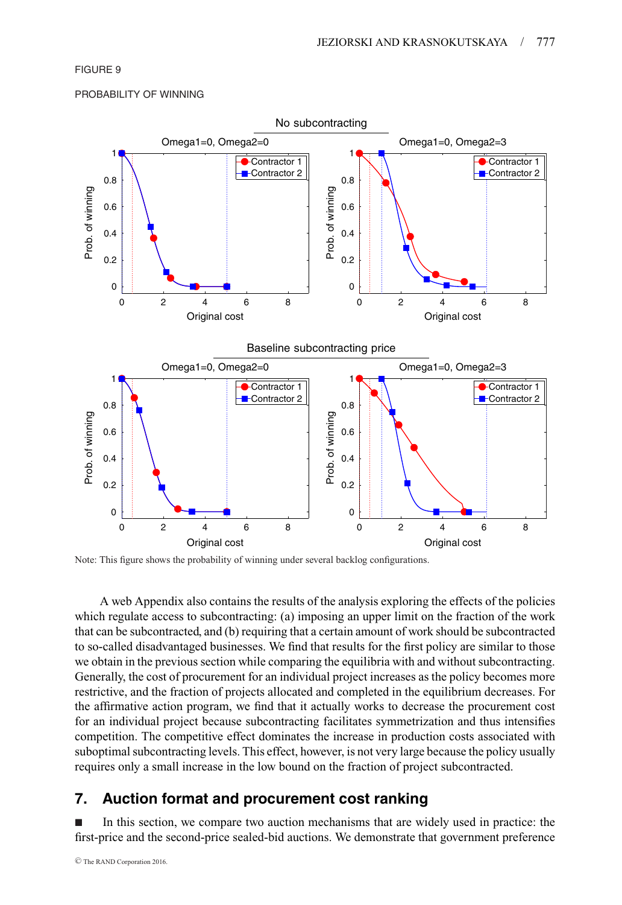## FIGURE 9

#### PROBABILITY OF WINNING



Note: This figure shows the probability of winning under several backlog configurations.

A web Appendix also contains the results of the analysis exploring the effects of the policies which regulate access to subcontracting: (a) imposing an upper limit on the fraction of the work that can be subcontracted, and (b) requiring that a certain amount of work should be subcontracted to so-called disadvantaged businesses. We find that results for the first policy are similar to those we obtain in the previous section while comparing the equilibria with and without subcontracting. Generally, the cost of procurement for an individual project increases as the policy becomes more restrictive, and the fraction of projects allocated and completed in the equilibrium decreases. For the affirmative action program, we find that it actually works to decrease the procurement cost for an individual project because subcontracting facilitates symmetrization and thus intensifies competition. The competitive effect dominates the increase in production costs associated with suboptimal subcontracting levels. This effect, however, is not very large because the policy usually requires only a small increase in the low bound on the fraction of project subcontracted.

# **7. Auction format and procurement cost ranking**

- In this section, we compare two auction mechanisms that are widely used in practice: the first-price and the second-price sealed-bid auctions. We demonstrate that government preference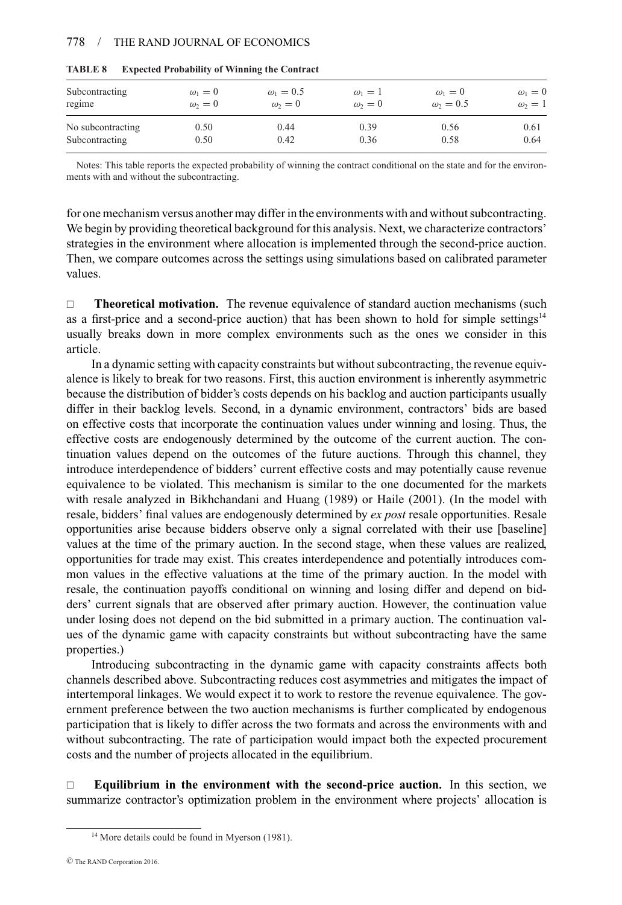#### 778 / THE RAND JOURNAL OF ECONOMICS

| Subcontracting    | $\omega_1=0$ | $\omega_1 = 0.5$ | $\omega_1=1$ | $\omega_1=0$   | $\omega_1=0$ |
|-------------------|--------------|------------------|--------------|----------------|--------------|
| regime            | $\omega_2=0$ | $\omega_2=0$     | $\omega_2=0$ | $\omega_2=0.5$ | $\omega_2=1$ |
| No subcontracting | 0.50         | 0.44             | 0.39         | 0.56           | 0.61         |
| Subcontracting    | 0.50         | 0.42             | 0.36         | 0.58           | 0.64         |

| <b>TABLE 8</b> |  | <b>Expected Probability of Winning the Contract</b> |  |  |
|----------------|--|-----------------------------------------------------|--|--|
|----------------|--|-----------------------------------------------------|--|--|

Notes: This table reports the expected probability of winning the contract conditional on the state and for the environments with and without the subcontracting.

for one mechanism versus another may differ in the environments with and without subcontracting. We begin by providing theoretical background for this analysis. Next, we characterize contractors' strategies in the environment where allocation is implemented through the second-price auction. Then, we compare outcomes across the settings using simulations based on calibrated parameter values.

□ **Theoretical motivation.** The revenue equivalence of standard auction mechanisms (such as a first-price and a second-price auction) that has been shown to hold for simple settings<sup>14</sup> usually breaks down in more complex environments such as the ones we consider in this article.

In a dynamic setting with capacity constraints but without subcontracting, the revenue equivalence is likely to break for two reasons. First, this auction environment is inherently asymmetric because the distribution of bidder's costs depends on his backlog and auction participants usually differ in their backlog levels. Second, in a dynamic environment, contractors' bids are based on effective costs that incorporate the continuation values under winning and losing. Thus, the effective costs are endogenously determined by the outcome of the current auction. The continuation values depend on the outcomes of the future auctions. Through this channel, they introduce interdependence of bidders' current effective costs and may potentially cause revenue equivalence to be violated. This mechanism is similar to the one documented for the markets with resale analyzed in Bikhchandani and Huang (1989) or Haile (2001). (In the model with resale, bidders' final values are endogenously determined by *ex post* resale opportunities. Resale opportunities arise because bidders observe only a signal correlated with their use [baseline] values at the time of the primary auction. In the second stage, when these values are realized, opportunities for trade may exist. This creates interdependence and potentially introduces common values in the effective valuations at the time of the primary auction. In the model with resale, the continuation payoffs conditional on winning and losing differ and depend on bidders' current signals that are observed after primary auction. However, the continuation value under losing does not depend on the bid submitted in a primary auction. The continuation values of the dynamic game with capacity constraints but without subcontracting have the same properties.)

Introducing subcontracting in the dynamic game with capacity constraints affects both channels described above. Subcontracting reduces cost asymmetries and mitigates the impact of intertemporal linkages. We would expect it to work to restore the revenue equivalence. The government preference between the two auction mechanisms is further complicated by endogenous participation that is likely to differ across the two formats and across the environments with and without subcontracting. The rate of participation would impact both the expected procurement costs and the number of projects allocated in the equilibrium.

 **Equilibrium in the environment with the second-price auction.** In this section, we summarize contractor's optimization problem in the environment where projects' allocation is

<sup>&</sup>lt;sup>14</sup> More details could be found in Myerson (1981).

<sup>C</sup> The RAND Corporation 2016.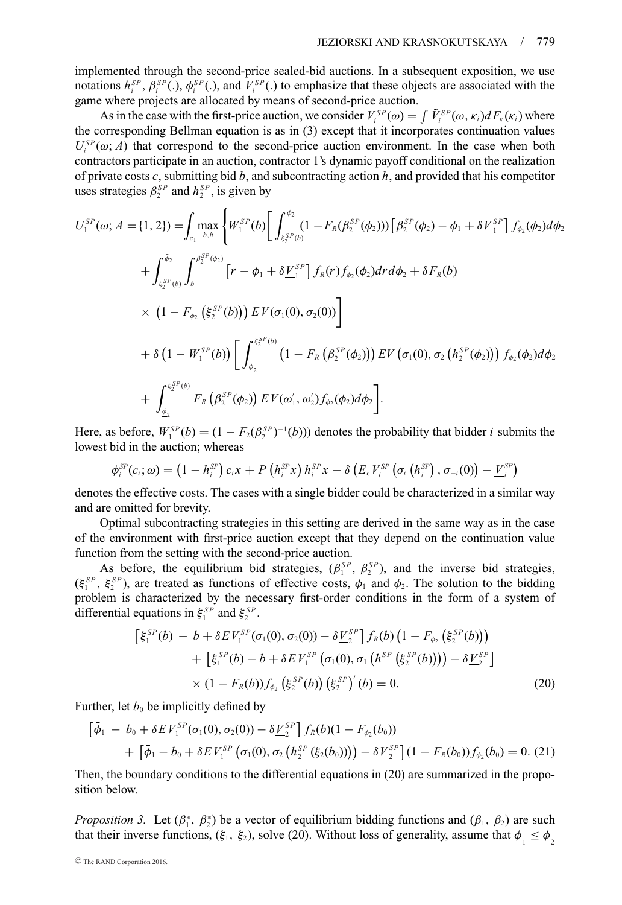implemented through the second-price sealed-bid auctions. In a subsequent exposition, we use notations  $h_i^{SP}$ ,  $\beta_i^{SP}$ (.),  $\phi_i^{SP}$ (.), and  $V_i^{SP}$ (.) to emphasize that these objects are associated with the game where projects are allocated by means of second-price auction.

As in the case with the first-price auction, we consider  $V_i^{SP}(\omega) = \int \tilde{V}_i^{SP}(\omega, \kappa_i) dF_{\kappa}(\kappa_i)$  where the corresponding Bellman equation is as in (3) except that it incorporates continuation values  $U_i^{SP}(\omega; A)$  that correspond to the second-price auction environment. In the case when both contractors participate in an auction, contractor 1's dynamic payoff conditional on the realization of private costs *c*, submitting bid *b*, and subcontracting action *h*, and provided that his competitor uses strategies  $\beta_2^{SP}$  and  $h_2^{SP}$ , is given by

$$
U_{1}^{SP}(\omega; A = \{1, 2\}) = \int_{c_{1}} \max_{b, h} \left\{ W_{1}^{SP}(b) \left[ \int_{\xi_{2}^{SP}(b)}^{\bar{\phi}_{2}} (1 - F_{R}(\beta_{2}^{SP}(\phi_{2}))) \left[ \beta_{2}^{SP}(\phi_{2}) - \phi_{1} + \delta \underline{V}_{1}^{SP} \right] f_{\phi_{2}}(\phi_{2}) d\phi_{2} \right. \right.\left. + \int_{\xi_{2}^{SP}(b)}^{\bar{\phi}_{2}} \int_{b}^{\beta_{2}^{SP}(\phi_{2})} \left[ r - \phi_{1} + \delta \underline{V}_{1}^{SP} \right] f_{R}(r) f_{\phi_{2}}(\phi_{2}) dr d\phi_{2} + \delta F_{R}(b) \right.\times \left( 1 - F_{\phi_{2}} \left( \xi_{2}^{SP}(b) \right) \right) E V(\sigma_{1}(0), \sigma_{2}(0)) \right]+ \delta \left( 1 - W_{1}^{SP}(b) \right) \left[ \int_{\phi_{2}}^{\xi_{2}^{SP}(b)} \left( 1 - F_{R} \left( \beta_{2}^{SP}(\phi_{2}) \right) \right) E V \left( \sigma_{1}(0), \sigma_{2} \left( h_{2}^{SP}(\phi_{2}) \right) \right) f_{\phi_{2}}(\phi_{2}) d\phi_{2} \right.+ \int_{\phi_{2}}^{\xi_{2}^{SP}(b)} F_{R} \left( \beta_{2}^{SP}(\phi_{2}) \right) E V(\omega_{1}', \omega_{2}') f_{\phi_{2}}(\phi_{2}) d\phi_{2} \right].
$$

Here, as before,  $W_1^{SP}(b) = (1 - F_2(\beta_2^{SP})^{-1}(b))$  denotes the probability that bidder *i* submits the lowest bid in the auction; whereas

$$
\phi_i^{SP}(c_i;\omega) = \left(1-h_i^{SP}\right)c_i x + P\left(h_i^{SP} x\right) h_i^{SP} x - \delta\left(E_{\epsilon} V_i^{SP}\left(\sigma_i\left(h_i^{SP}\right), \sigma_{-i}(0)\right) - \underline{V}_{i}^{SP}\right)
$$

denotes the effective costs. The cases with a single bidder could be characterized in a similar way and are omitted for brevity.

Optimal subcontracting strategies in this setting are derived in the same way as in the case of the environment with first-price auction except that they depend on the continuation value function from the setting with the second-price auction.

As before, the equilibrium bid strategies,  $(\beta_1^{SP}, \beta_2^{SP})$ , and the inverse bid strategies,  $(\xi_1^{SP}, \xi_2^{SP})$ , are treated as functions of effective costs,  $\phi_1$  and  $\phi_2$ . The solution to the bidding problem is characterized by the necessary first-order conditions in the form of a system of differential equations in  $\xi_1^{SP}$  and  $\xi_2^{SP}$ .

$$
\begin{aligned} \left[\xi_1^{SP}(b) - b + \delta E V_1^{SP}(\sigma_1(0), \sigma_2(0)) - \delta \underline{V}_2^{SP} \right] f_R(b) \left(1 - F_{\phi_2} \left(\xi_2^{SP}(b)\right)\right) \\ &+ \left[\xi_1^{SP}(b) - b + \delta E V_1^{SP} \left(\sigma_1(0), \sigma_1 \left(h^{SP} \left(\xi_2^{SP}(b)\right)\right)\right) - \delta \underline{V}_2^{SP} \right] \\ &\times (1 - F_R(b)) f_{\phi_2} \left(\xi_2^{SP}(b)\right) \left(\xi_2^{SP}\right)'(b) = 0. \end{aligned} \tag{20}
$$

Further, let  $b_0$  be implicitly defined by

$$
\begin{aligned} \left[\bar{\phi}_1 \ -\ b_0 + \delta E \, V_1^{SP}(\sigma_1(0),\sigma_2(0)) - \delta \underline{V}_2^{SP} \right] f_R(b)(1-F_{\phi_2}(b_0)) \\ + \left[\bar{\phi}_1 - b_0 + \delta E \, V_1^{SP} \left(\sigma_1(0),\sigma_2 \left(h_2^{SP} \left(\xi_2(b_0)\right)\right)\right) - \delta \underline{V}_2^{SP} \right](1-F_R(b_0)) f_{\phi_2}(b_0) = 0. \ (21) \end{aligned}
$$

Then, the boundary conditions to the differential equations in (20) are summarized in the proposition below.

*Proposition 3.* Let  $(\beta_1^*, \beta_2^*)$  be a vector of equilibrium bidding functions and  $(\beta_1, \beta_2)$  are such that their inverse functions,  $(\xi_1, \xi_2)$ , solve (20). Without loss of generality, assume that  $\phi_1 \le \phi_2$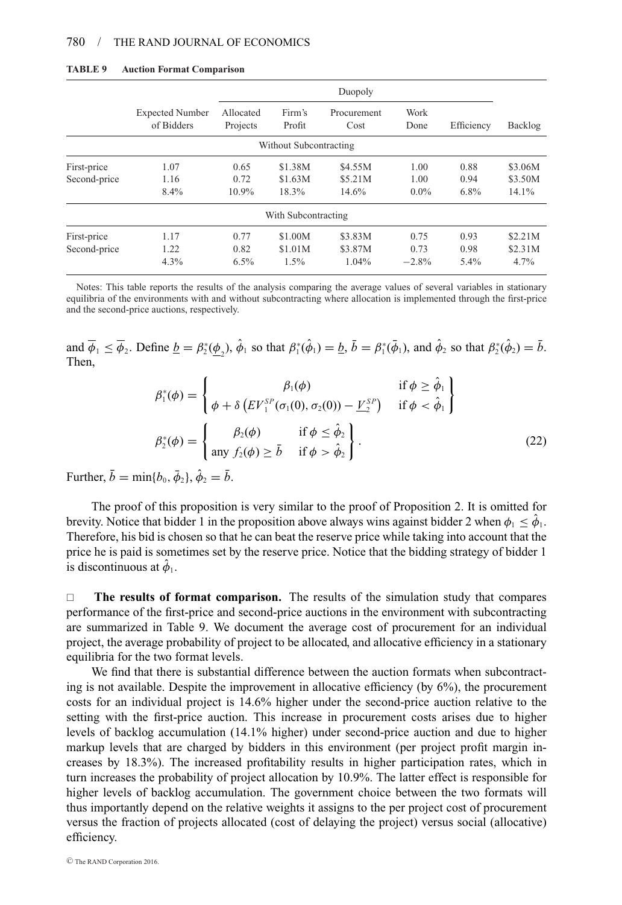|              | Duopoly                              |                       |                        |                     |              |            |         |
|--------------|--------------------------------------|-----------------------|------------------------|---------------------|--------------|------------|---------|
|              | <b>Expected Number</b><br>of Bidders | Allocated<br>Projects | Firm's<br>Profit       | Procurement<br>Cost | Work<br>Done | Efficiency | Backlog |
|              |                                      |                       | Without Subcontracting |                     |              |            |         |
| First-price  | 1.07                                 | 0.65                  | \$1.38M                | \$4.55M             | 1.00         | 0.88       | \$3.06M |
| Second-price | 1.16                                 | 0.72                  | \$1.63M                | \$5.21M             | 1.00         | 0.94       | \$3.50M |
|              | 8.4%                                 | $10.9\%$              | 18.3%                  | 14.6%               | $0.0\%$      | $6.8\%$    | 14.1%   |
|              |                                      |                       | With Subcontracting    |                     |              |            |         |
| First-price  | 1.17                                 | 0.77                  | \$1.00M                | \$3.83M             | 0.75         | 0.93       | \$2.21M |
| Second-price | 1.22                                 | 0.82                  | \$1.01M                | \$3.87M             | 0.73         | 0.98       | \$2.31M |
|              | $4.3\%$                              | $6.5\%$               | $1.5\%$                | $1.04\%$            | $-2.8%$      | 5.4%       | 4.7%    |

#### **TABLE 9 Auction Format Comparison**

Notes: This table reports the results of the analysis comparing the average values of several variables in stationary equilibria of the environments with and without subcontracting where allocation is implemented through the first-price and the second-price auctions, respectively.

and  $\overline{\phi}_1 \le \overline{\phi}_2$ . Define  $\underline{b} = \beta_2^*(\underline{\phi}_2)$ ,  $\hat{\phi}_1$  so that  $\beta_1^*(\hat{\phi}_1) = \underline{b}$ ,  $\overline{b} = \beta_1^*(\overline{\phi}_1)$ , and  $\hat{\phi}_2$  so that  $\beta_2^*(\hat{\phi}_2) = \overline{b}$ . Then,

$$
\beta_1^*(\phi) = \begin{cases}\n\beta_1(\phi) & \text{if } \phi \geq \hat{\phi}_1 \\
\phi + \delta \left( E V_1^{SP}(\sigma_1(0), \sigma_2(0)) - \underline{V}_2^{SP} \right) & \text{if } \phi < \hat{\phi}_1\n\end{cases}
$$
\n
$$
\beta_2^*(\phi) = \begin{cases}\n\beta_2(\phi) & \text{if } \phi \leq \hat{\phi}_2 \\
\text{any } f_2(\phi) \geq \bar{b} & \text{if } \phi > \hat{\phi}_2\n\end{cases}.
$$
\n(22)

Further,  $\bar{b} = \min\{b_0, \bar{\phi}_2\}, \hat{\phi}_2 = \bar{b}$ .

The proof of this proposition is very similar to the proof of Proposition 2. It is omitted for brevity. Notice that bidder 1 in the proposition above always wins against bidder 2 when  $\phi_1 \leq \phi_1$ . Therefore, his bid is chosen so that he can beat the reserve price while taking into account that the price he is paid is sometimes set by the reserve price. Notice that the bidding strategy of bidder 1 is discontinuous at  $\hat{\phi}_1$ .

 **The results of format comparison.** The results of the simulation study that compares performance of the first-price and second-price auctions in the environment with subcontracting are summarized in Table 9. We document the average cost of procurement for an individual project, the average probability of project to be allocated, and allocative efficiency in a stationary equilibria for the two format levels.

We find that there is substantial difference between the auction formats when subcontracting is not available. Despite the improvement in allocative efficiency (by  $6\%$ ), the procurement costs for an individual project is 14.6% higher under the second-price auction relative to the setting with the first-price auction. This increase in procurement costs arises due to higher levels of backlog accumulation (14.1% higher) under second-price auction and due to higher markup levels that are charged by bidders in this environment (per project profit margin increases by 18.3%). The increased profitability results in higher participation rates, which in turn increases the probability of project allocation by 10.9%. The latter effect is responsible for higher levels of backlog accumulation. The government choice between the two formats will thus importantly depend on the relative weights it assigns to the per project cost of procurement versus the fraction of projects allocated (cost of delaying the project) versus social (allocative) efficiency.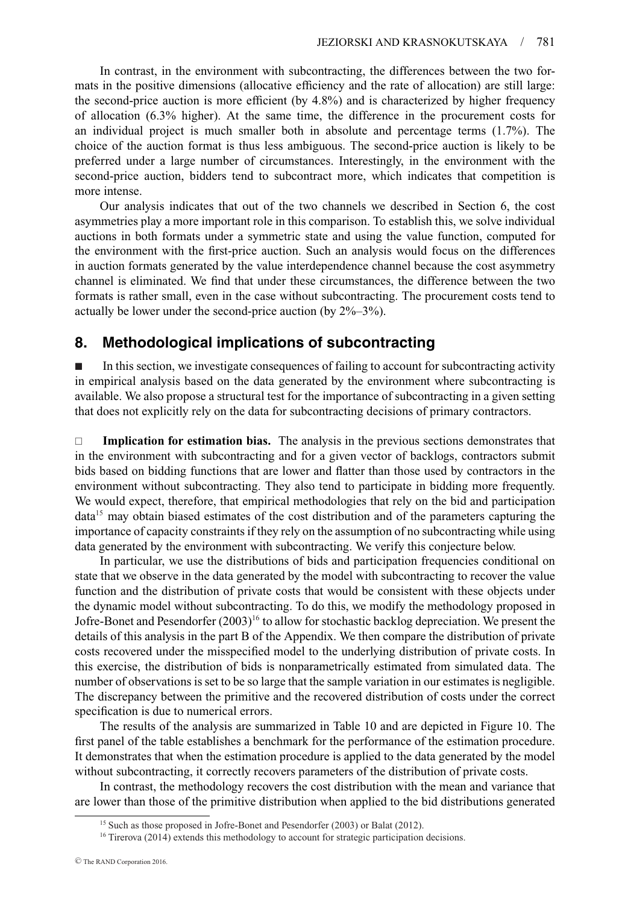In contrast, in the environment with subcontracting, the differences between the two formats in the positive dimensions (allocative efficiency and the rate of allocation) are still large: the second-price auction is more efficient (by 4.8%) and is characterized by higher frequency of allocation (6.3% higher). At the same time, the difference in the procurement costs for an individual project is much smaller both in absolute and percentage terms (1.7%). The choice of the auction format is thus less ambiguous. The second-price auction is likely to be preferred under a large number of circumstances. Interestingly, in the environment with the second-price auction, bidders tend to subcontract more, which indicates that competition is more intense.

Our analysis indicates that out of the two channels we described in Section 6, the cost asymmetries play a more important role in this comparison. To establish this, we solve individual auctions in both formats under a symmetric state and using the value function, computed for the environment with the first-price auction. Such an analysis would focus on the differences in auction formats generated by the value interdependence channel because the cost asymmetry channel is eliminated. We find that under these circumstances, the difference between the two formats is rather small, even in the case without subcontracting. The procurement costs tend to actually be lower under the second-price auction (by 2%–3%).

# **8. Methodological implications of subcontracting**

- In this section, we investigate consequences of failing to account for subcontracting activity in empirical analysis based on the data generated by the environment where subcontracting is available. We also propose a structural test for the importance of subcontracting in a given setting that does not explicitly rely on the data for subcontracting decisions of primary contractors.

 **Implication for estimation bias.** The analysis in the previous sections demonstrates that in the environment with subcontracting and for a given vector of backlogs, contractors submit bids based on bidding functions that are lower and flatter than those used by contractors in the environment without subcontracting. They also tend to participate in bidding more frequently. We would expect, therefore, that empirical methodologies that rely on the bid and participation  $data<sup>15</sup>$  may obtain biased estimates of the cost distribution and of the parameters capturing the importance of capacity constraints if they rely on the assumption of no subcontracting while using data generated by the environment with subcontracting. We verify this conjecture below.

In particular, we use the distributions of bids and participation frequencies conditional on state that we observe in the data generated by the model with subcontracting to recover the value function and the distribution of private costs that would be consistent with these objects under the dynamic model without subcontracting. To do this, we modify the methodology proposed in Jofre-Bonet and Pesendorfer  $(2003)^{16}$  to allow for stochastic backlog depreciation. We present the details of this analysis in the part B of the Appendix. We then compare the distribution of private costs recovered under the misspecified model to the underlying distribution of private costs. In this exercise, the distribution of bids is nonparametrically estimated from simulated data. The number of observations is set to be so large that the sample variation in our estimates is negligible. The discrepancy between the primitive and the recovered distribution of costs under the correct specification is due to numerical errors.

The results of the analysis are summarized in Table 10 and are depicted in Figure 10. The first panel of the table establishes a benchmark for the performance of the estimation procedure. It demonstrates that when the estimation procedure is applied to the data generated by the model without subcontracting, it correctly recovers parameters of the distribution of private costs.

In contrast, the methodology recovers the cost distribution with the mean and variance that are lower than those of the primitive distribution when applied to the bid distributions generated

<sup>&</sup>lt;sup>15</sup> Such as those proposed in Jofre-Bonet and Pesendorfer (2003) or Balat (2012).

<sup>&</sup>lt;sup>16</sup> Tirerova (2014) extends this methodology to account for strategic participation decisions.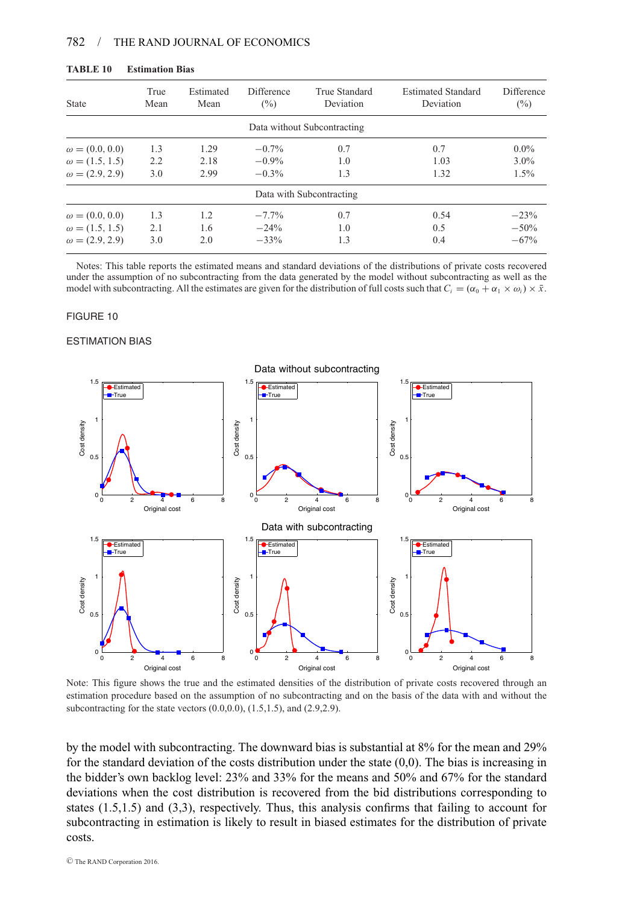| <b>State</b>          | True<br>Mean | Estimated<br>Mean | Difference<br>$(\%)$ | True Standard<br>Deviation  | <b>Estimated Standard</b><br>Deviation | Difference<br>$\binom{0}{0}$ |
|-----------------------|--------------|-------------------|----------------------|-----------------------------|----------------------------------------|------------------------------|
|                       |              |                   |                      | Data without Subcontracting |                                        |                              |
| $\omega = (0.0, 0.0)$ | 1.3          | 1.29              | $-0.7\%$             | 0.7                         | 0.7                                    | $0.0\%$                      |
| $\omega = (1.5, 1.5)$ | 2.2          | 2.18              | $-0.9%$              | 1.0                         | 1.03                                   | $3.0\%$                      |
| $\omega = (2.9, 2.9)$ | 3.0          | 2.99              | $-0.3\%$             | 1.3                         | 1.32                                   | $1.5\%$                      |
|                       |              |                   |                      | Data with Subcontracting    |                                        |                              |
| $\omega = (0.0, 0.0)$ | 1.3          | 1.2               | $-7.7%$              | 0.7                         | 0.54                                   | $-23%$                       |
| $\omega = (1.5, 1.5)$ | 2.1          | 1.6               | $-24%$               | 1.0                         | 0.5                                    | $-50%$                       |
| $\omega = (2.9, 2.9)$ | 3.0          | 2.0               | $-33%$               | 1.3                         | 0.4                                    | $-67%$                       |

Notes: This table reports the estimated means and standard deviations of the distributions of private costs recovered under the assumption of no subcontracting from the data generated by the model without subcontracting as well as the model with subcontracting. All the estimates are given for the distribution of full costs such that  $C_i = (\alpha_0 + \alpha_1 \times \omega_i) \times \bar{x}$ .

#### FIGURE 10

ESTIMATION BIAS



Note: This figure shows the true and the estimated densities of the distribution of private costs recovered through an estimation procedure based on the assumption of no subcontracting and on the basis of the data with and without the subcontracting for the state vectors  $(0.0, 0.0)$ ,  $(1.5, 1.5)$ , and  $(2.9, 2.9)$ .

by the model with subcontracting. The downward bias is substantial at 8% for the mean and 29% for the standard deviation of the costs distribution under the state  $(0,0)$ . The bias is increasing in the bidder's own backlog level: 23% and 33% for the means and 50% and 67% for the standard deviations when the cost distribution is recovered from the bid distributions corresponding to states (1.5,1.5) and (3,3), respectively. Thus, this analysis confirms that failing to account for subcontracting in estimation is likely to result in biased estimates for the distribution of private costs.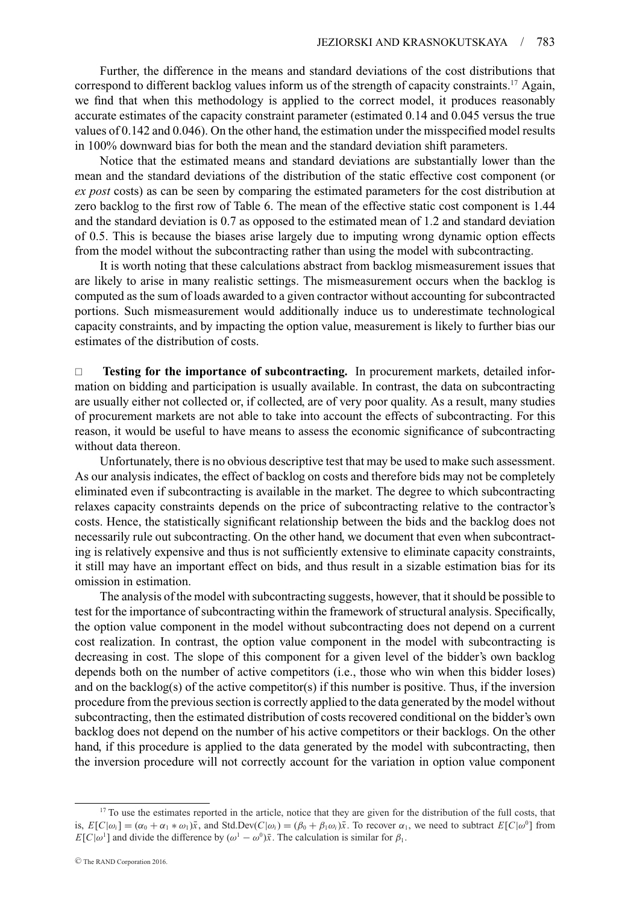Further, the difference in the means and standard deviations of the cost distributions that correspond to different backlog values inform us of the strength of capacity constraints.<sup>17</sup> Again, we find that when this methodology is applied to the correct model, it produces reasonably accurate estimates of the capacity constraint parameter (estimated 0.14 and 0.045 versus the true values of 0.142 and 0.046). On the other hand, the estimation under the misspecified model results in 100% downward bias for both the mean and the standard deviation shift parameters.

Notice that the estimated means and standard deviations are substantially lower than the mean and the standard deviations of the distribution of the static effective cost component (or *ex post* costs) as can be seen by comparing the estimated parameters for the cost distribution at zero backlog to the first row of Table 6. The mean of the effective static cost component is 1.44 and the standard deviation is 0.7 as opposed to the estimated mean of 1.2 and standard deviation of 0.5. This is because the biases arise largely due to imputing wrong dynamic option effects from the model without the subcontracting rather than using the model with subcontracting.

It is worth noting that these calculations abstract from backlog mismeasurement issues that are likely to arise in many realistic settings. The mismeasurement occurs when the backlog is computed as the sum of loads awarded to a given contractor without accounting for subcontracted portions. Such mismeasurement would additionally induce us to underestimate technological capacity constraints, and by impacting the option value, measurement is likely to further bias our estimates of the distribution of costs.

 **Testing for the importance of subcontracting.** In procurement markets, detailed information on bidding and participation is usually available. In contrast, the data on subcontracting are usually either not collected or, if collected, are of very poor quality. As a result, many studies of procurement markets are not able to take into account the effects of subcontracting. For this reason, it would be useful to have means to assess the economic significance of subcontracting without data thereon.

Unfortunately, there is no obvious descriptive test that may be used to make such assessment. As our analysis indicates, the effect of backlog on costs and therefore bids may not be completely eliminated even if subcontracting is available in the market. The degree to which subcontracting relaxes capacity constraints depends on the price of subcontracting relative to the contractor's costs. Hence, the statistically significant relationship between the bids and the backlog does not necessarily rule out subcontracting. On the other hand, we document that even when subcontracting is relatively expensive and thus is not sufficiently extensive to eliminate capacity constraints, it still may have an important effect on bids, and thus result in a sizable estimation bias for its omission in estimation.

The analysis of the model with subcontracting suggests, however, that it should be possible to test for the importance of subcontracting within the framework of structural analysis. Specifically, the option value component in the model without subcontracting does not depend on a current cost realization. In contrast, the option value component in the model with subcontracting is decreasing in cost. The slope of this component for a given level of the bidder's own backlog depends both on the number of active competitors (i.e., those who win when this bidder loses) and on the backlog(s) of the active competitor(s) if this number is positive. Thus, if the inversion procedure from the previous section is correctly applied to the data generated by the model without subcontracting, then the estimated distribution of costs recovered conditional on the bidder's own backlog does not depend on the number of his active competitors or their backlogs. On the other hand, if this procedure is applied to the data generated by the model with subcontracting, then the inversion procedure will not correctly account for the variation in option value component

<sup>&</sup>lt;sup>17</sup> To use the estimates reported in the article, notice that they are given for the distribution of the full costs, that is,  $E[C|\omega_i] = (\alpha_0 + \alpha_1 * \omega_1)\bar{x}$ , and Std.Dev( $C|\omega_i$ ) = ( $\beta_0 + \beta_1\omega_i\bar{x}$ . To recover  $\alpha_1$ , we need to subtract  $E[C|\omega^0]$  from *E*[*C*| $\omega$ <sup>1</sup>] and divide the difference by  $(\omega^1 - \omega^0)\bar{x}$ . The calculation is similar for  $\beta_1$ .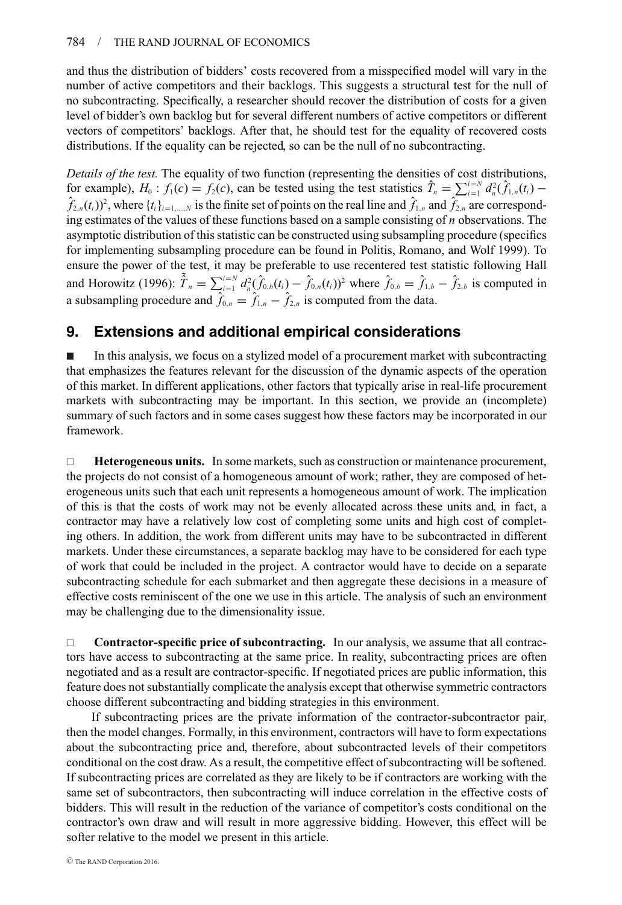and thus the distribution of bidders' costs recovered from a misspecified model will vary in the number of active competitors and their backlogs. This suggests a structural test for the null of no subcontracting. Specifically, a researcher should recover the distribution of costs for a given level of bidder's own backlog but for several different numbers of active competitors or different vectors of competitors' backlogs. After that, he should test for the equality of recovered costs distributions. If the equality can be rejected, so can be the null of no subcontracting.

*Details of the test.* The equality of two function (representing the densities of cost distributions, for example),  $H_0: f_1(c) = f_2(c)$ , can be tested using the test statistics  $\hat{T}_n = \sum_{i=1}^{i=N} d_n^2(\hat{f}_{1,n}(t_i))$  $\hat{f}_{2,n}(t_i)$ <sup>2</sup>, where  $\{t_i\}_{i=1,\dots,N}$  is the finite set of points on the real line and  $\hat{f}_{1,n}$  and  $\hat{f}_{2,n}$  are corresponding estimates of the values of these functions based on a sample consisting of *n* observations. The asymptotic distribution of this statistic can be constructed using subsampling procedure (specifics for implementing subsampling procedure can be found in Politis, Romano, and Wolf 1999). To ensure the power of the test, it may be preferable to use recentered test statistic following Hall and Horowitz (1996):  $\tilde{\hat{T}}_n = \sum_{i=1}^{i=N} d_n^2 (\hat{f}_{0,b}(t_i) - \hat{f}_{0,n}(t_i))^2$  where  $\hat{f}_{0,b} = \hat{f}_{1,b} - \hat{f}_{2,b}$  is computed in a subsampling procedure and  $\hat{f}_{0,n} = \hat{f}_{1,n} - \hat{f}_{2,n}$  is computed from the data.

# **9. Extensions and additional empirical considerations**

- In this analysis, we focus on a stylized model of a procurement market with subcontracting that emphasizes the features relevant for the discussion of the dynamic aspects of the operation of this market. In different applications, other factors that typically arise in real-life procurement markets with subcontracting may be important. In this section, we provide an (incomplete) summary of such factors and in some cases suggest how these factors may be incorporated in our framework.

□ **Heterogeneous units.** In some markets, such as construction or maintenance procurement, the projects do not consist of a homogeneous amount of work; rather, they are composed of heterogeneous units such that each unit represents a homogeneous amount of work. The implication of this is that the costs of work may not be evenly allocated across these units and, in fact, a contractor may have a relatively low cost of completing some units and high cost of completing others. In addition, the work from different units may have to be subcontracted in different markets. Under these circumstances, a separate backlog may have to be considered for each type of work that could be included in the project. A contractor would have to decide on a separate subcontracting schedule for each submarket and then aggregate these decisions in a measure of effective costs reminiscent of the one we use in this article. The analysis of such an environment may be challenging due to the dimensionality issue.

 **Contractor-specific price of subcontracting.** In our analysis, we assume that all contractors have access to subcontracting at the same price. In reality, subcontracting prices are often negotiated and as a result are contractor-specific. If negotiated prices are public information, this feature does not substantially complicate the analysis except that otherwise symmetric contractors choose different subcontracting and bidding strategies in this environment.

If subcontracting prices are the private information of the contractor-subcontractor pair, then the model changes. Formally, in this environment, contractors will have to form expectations about the subcontracting price and, therefore, about subcontracted levels of their competitors conditional on the cost draw. As a result, the competitive effect of subcontracting will be softened. If subcontracting prices are correlated as they are likely to be if contractors are working with the same set of subcontractors, then subcontracting will induce correlation in the effective costs of bidders. This will result in the reduction of the variance of competitor's costs conditional on the contractor's own draw and will result in more aggressive bidding. However, this effect will be softer relative to the model we present in this article.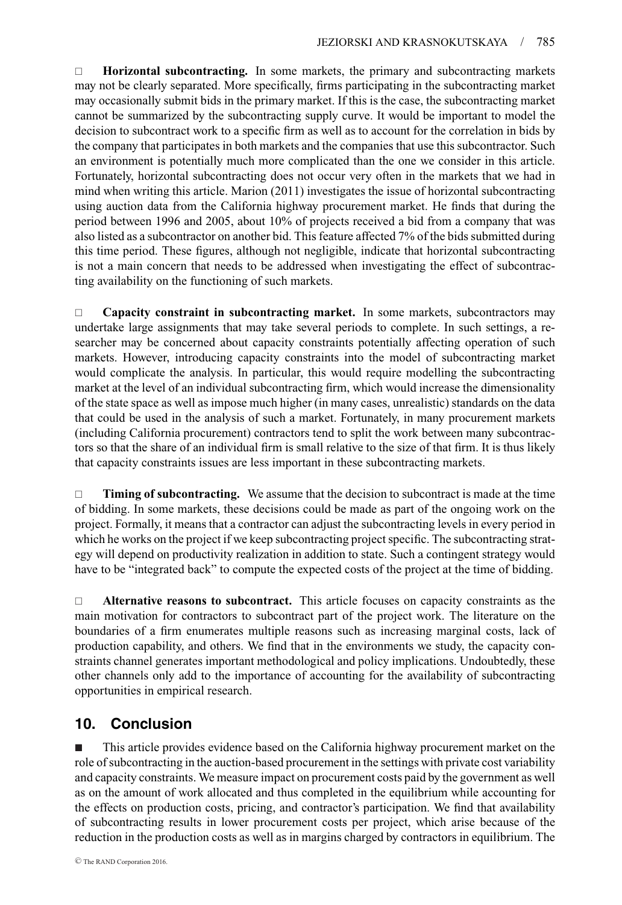**Horizontal subcontracting.** In some markets, the primary and subcontracting markets may not be clearly separated. More specifically, firms participating in the subcontracting market may occasionally submit bids in the primary market. If this is the case, the subcontracting market cannot be summarized by the subcontracting supply curve. It would be important to model the decision to subcontract work to a specific firm as well as to account for the correlation in bids by the company that participates in both markets and the companies that use this subcontractor. Such an environment is potentially much more complicated than the one we consider in this article. Fortunately, horizontal subcontracting does not occur very often in the markets that we had in mind when writing this article. Marion (2011) investigates the issue of horizontal subcontracting using auction data from the California highway procurement market. He finds that during the period between 1996 and 2005, about 10% of projects received a bid from a company that was also listed as a subcontractor on another bid. This feature affected 7% of the bids submitted during this time period. These figures, although not negligible, indicate that horizontal subcontracting is not a main concern that needs to be addressed when investigating the effect of subcontracting availability on the functioning of such markets.

 **Capacity constraint in subcontracting market.** In some markets, subcontractors may undertake large assignments that may take several periods to complete. In such settings, a researcher may be concerned about capacity constraints potentially affecting operation of such markets. However, introducing capacity constraints into the model of subcontracting market would complicate the analysis. In particular, this would require modelling the subcontracting market at the level of an individual subcontracting firm, which would increase the dimensionality of the state space as well as impose much higher (in many cases, unrealistic) standards on the data that could be used in the analysis of such a market. Fortunately, in many procurement markets (including California procurement) contractors tend to split the work between many subcontractors so that the share of an individual firm is small relative to the size of that firm. It is thus likely that capacity constraints issues are less important in these subcontracting markets.

 **Timing of subcontracting.** We assume that the decision to subcontract is made at the time of bidding. In some markets, these decisions could be made as part of the ongoing work on the project. Formally, it means that a contractor can adjust the subcontracting levels in every period in which he works on the project if we keep subcontracting project specific. The subcontracting strategy will depend on productivity realization in addition to state. Such a contingent strategy would have to be "integrated back" to compute the expected costs of the project at the time of bidding.

 **Alternative reasons to subcontract.** This article focuses on capacity constraints as the main motivation for contractors to subcontract part of the project work. The literature on the boundaries of a firm enumerates multiple reasons such as increasing marginal costs, lack of production capability, and others. We find that in the environments we study, the capacity constraints channel generates important methodological and policy implications. Undoubtedly, these other channels only add to the importance of accounting for the availability of subcontracting opportunities in empirical research.

# **10. Conclusion**

- This article provides evidence based on the California highway procurement market on the role of subcontracting in the auction-based procurement in the settings with private cost variability and capacity constraints. We measure impact on procurement costs paid by the government as well as on the amount of work allocated and thus completed in the equilibrium while accounting for the effects on production costs, pricing, and contractor's participation. We find that availability of subcontracting results in lower procurement costs per project, which arise because of the reduction in the production costs as well as in margins charged by contractors in equilibrium. The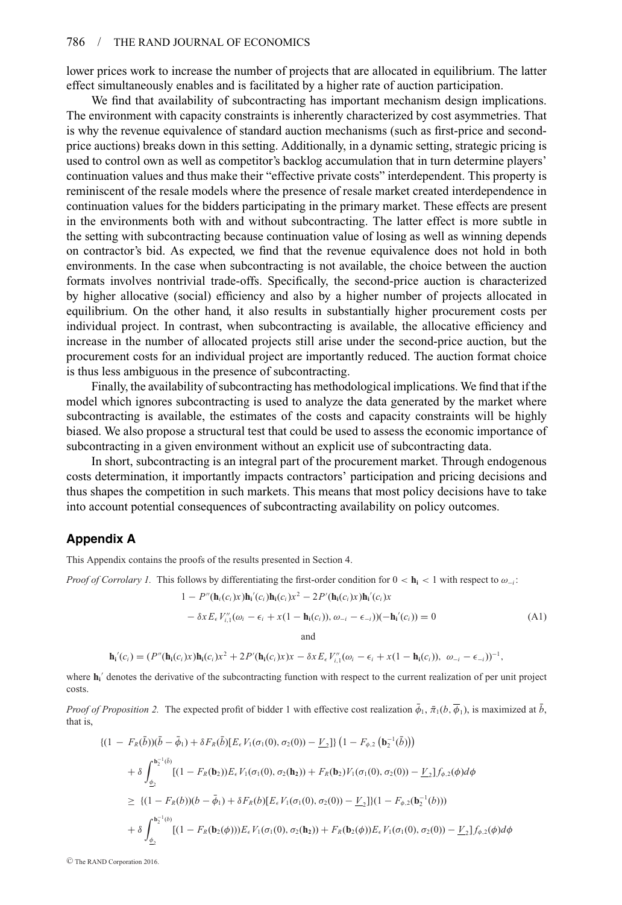lower prices work to increase the number of projects that are allocated in equilibrium. The latter effect simultaneously enables and is facilitated by a higher rate of auction participation.

We find that availability of subcontracting has important mechanism design implications. The environment with capacity constraints is inherently characterized by cost asymmetries. That is why the revenue equivalence of standard auction mechanisms (such as first-price and secondprice auctions) breaks down in this setting. Additionally, in a dynamic setting, strategic pricing is used to control own as well as competitor's backlog accumulation that in turn determine players' continuation values and thus make their "effective private costs" interdependent. This property is reminiscent of the resale models where the presence of resale market created interdependence in continuation values for the bidders participating in the primary market. These effects are present in the environments both with and without subcontracting. The latter effect is more subtle in the setting with subcontracting because continuation value of losing as well as winning depends on contractor's bid. As expected, we find that the revenue equivalence does not hold in both environments. In the case when subcontracting is not available, the choice between the auction formats involves nontrivial trade-offs. Specifically, the second-price auction is characterized by higher allocative (social) efficiency and also by a higher number of projects allocated in equilibrium. On the other hand, it also results in substantially higher procurement costs per individual project. In contrast, when subcontracting is available, the allocative efficiency and increase in the number of allocated projects still arise under the second-price auction, but the procurement costs for an individual project are importantly reduced. The auction format choice is thus less ambiguous in the presence of subcontracting.

Finally, the availability of subcontracting has methodological implications. We find that if the model which ignores subcontracting is used to analyze the data generated by the market where subcontracting is available, the estimates of the costs and capacity constraints will be highly biased. We also propose a structural test that could be used to assess the economic importance of subcontracting in a given environment without an explicit use of subcontracting data.

In short, subcontracting is an integral part of the procurement market. Through endogenous costs determination, it importantly impacts contractors' participation and pricing decisions and thus shapes the competition in such markets. This means that most policy decisions have to take into account potential consequences of subcontracting availability on policy outcomes.

## **Appendix A**

This Appendix contains the proofs of the results presented in Section 4.

*Proof of Corrolary 1.* This follows by differentiating the first-order condition for  $0 < h<sub>i</sub> < 1$  with respect to  $\omega<sub>-i</sub>$ :

$$
1 - P''(\mathbf{h}_i(c_i)x)\mathbf{h}_i'(c_i)\mathbf{h}_i(c_i)x^2 - 2P'(\mathbf{h}_i(c_i)x)\mathbf{h}_i'(c_i)x
$$
  
-  $\delta x E_{\epsilon} V''_{i,1}(\omega_i - \epsilon_i + x(1 - \mathbf{h}_i(c_i)), \omega_{-i} - \epsilon_{-i}))(-\mathbf{h}_i'(c_i)) = 0$  (A1)

and

$$
\mathbf{h}_{i}'(c_{i})=(P''(\mathbf{h}_{i}(c_{i})x)\mathbf{h}_{i}(c_{i})x^{2}+2P'(\mathbf{h}_{i}(c_{i})x)x-\delta x E_{\epsilon}V''_{i,1}(\omega_{i}-\epsilon_{i}+x(1-\mathbf{h}_{i}(c_{i})), \ \omega_{-i}-\epsilon_{-i}))^{-1},
$$

where  $h_i$ <sup>'</sup> denotes the derivative of the subcontracting function with respect to the current realization of per unit project costs.

*Proof of Proposition 2.* The expected profit of bidder 1 with effective cost realization  $\bar{\phi}_1$ ,  $\bar{\pi}_1(b, \bar{\phi}_1)$ , is maximized at  $\bar{b}$ , that is,

$$
\begin{split}\n\{(1 - F_R(\bar{b}))(\bar{b} - \bar{\phi}_1) + \delta F_R(\bar{b})[E_{\epsilon}V_1(\sigma_1(0), \sigma_2(0)) - \underline{V}_2]\} \left(1 - F_{\phi,2} \left(\mathbf{b}_2^{-1}(\bar{b})\right)\right) \\
&+ \delta \int_{\phi_2}^{\mathbf{b}_2^{-1}(\bar{b})} \left[ (1 - F_R(\mathbf{b}_2))E_{\epsilon}V_1(\sigma_1(0), \sigma_2(\mathbf{h}_2)) + F_R(\mathbf{b}_2)V_1(\sigma_1(0), \sigma_2(0)) - \underline{V}_2 \right] f_{\phi,2}(\phi) d\phi \\
&\geq \{ (1 - F_R(b))(b - \bar{\phi}_1) + \delta F_R(b)[E_{\epsilon}V_1(\sigma_1(0), \sigma_2(0)) - \underline{V}_2] \} (1 - F_{\phi,2}(\mathbf{b}_2^{-1}(b))) \\
&+ \delta \int_{\phi_2}^{\mathbf{b}_2^{-1}(b)} \left[ (1 - F_R(\mathbf{b}_2(\phi)))E_{\epsilon}V_1(\sigma_1(0), \sigma_2(\mathbf{h}_2)) + F_R(\mathbf{b}_2(\phi))E_{\epsilon}V_1(\sigma_1(0), \sigma_2(0)) - \underline{V}_2 \} f_{\phi,2}(\phi) d\phi \right]\n\end{split}
$$

<sup>C</sup> The RAND Corporation 2016.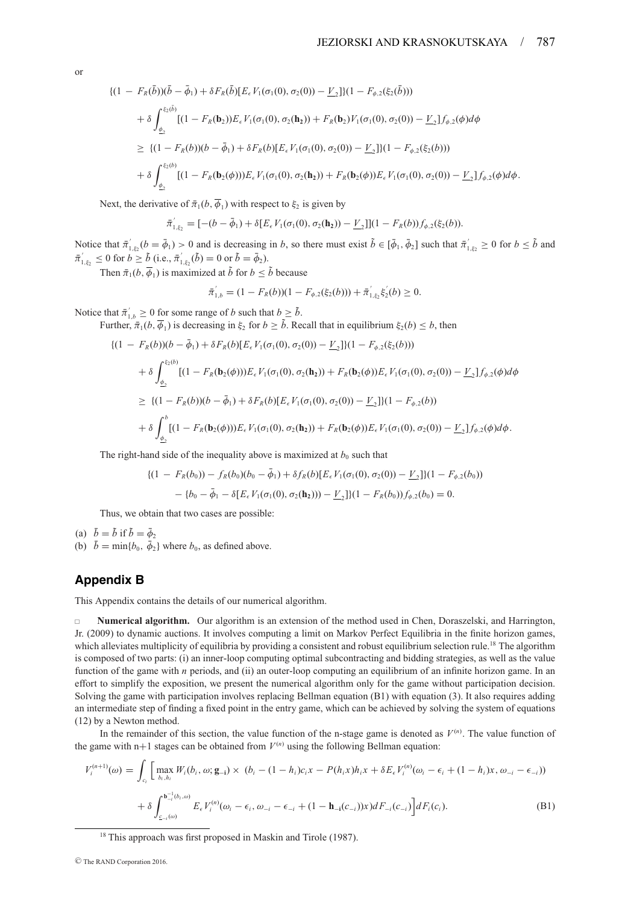or

$$
\begin{split}\n\{(1 - F_R(\bar{b}))(\bar{b} - \bar{\phi}_1) + \delta F_R(\bar{b})[E_{\epsilon}V_1(\sigma_1(0), \sigma_2(0)) - \underline{V}_2]\}(1 - F_{\phi,2}(\xi_2(\bar{b}))) \\
&+ \delta \int_{\underline{\phi}_2}^{\xi_2(\bar{b})} [(1 - F_R(\mathbf{b}_2))E_{\epsilon}V_1(\sigma_1(0), \sigma_2(\mathbf{h}_2)) + F_R(\mathbf{b}_2)V_1(\sigma_1(0), \sigma_2(0)) - \underline{V}_2]f_{\phi,2}(\phi)d\phi \\
&\geq \{(1 - F_R(b))(b - \bar{\phi}_1) + \delta F_R(b)[E_{\epsilon}V_1(\sigma_1(0), \sigma_2(0)) - \underline{V}_2]\}(1 - F_{\phi,2}(\xi_2(b))) \\
&+ \delta \int_{\underline{\phi}_2}^{\xi_2(b)} [(1 - F_R(\mathbf{b}_2(\phi)))E_{\epsilon}V_1(\sigma_1(0), \sigma_2(\mathbf{h}_2)) + F_R(\mathbf{b}_2(\phi))E_{\epsilon}V_1(\sigma_1(0), \sigma_2(0)) - \underline{V}_2]f_{\phi,2}(\phi)d\phi.\n\end{split}
$$

Next, the derivative of  $\bar{\pi}_1(b, \bar{\phi}_1)$  with respect to  $\xi_2$  is given by

$$
\bar{\pi}_{1,\xi_2}^{\prime} = [-(b - \bar{\phi}_1) + \delta[E_{\epsilon} V_1(\sigma_1(0), \sigma_2(\mathbf{h}_2)) - \underline{V}_2]](1 - F_R(b))f_{\phi,2}(\xi_2(b)).
$$

Notice that  $\bar{\pi}_{1,\xi_2}'(b = \bar{\phi}_1) > 0$  and is decreasing in *b*, so there must exist  $\tilde{b} \in [\bar{\phi}_1, \bar{\phi}_2]$  such that  $\bar{\pi}_{1,\xi_2}' \ge 0$  for  $b \le \tilde{b}$  and  $\bar{\pi}'_{1,\xi_2} \leq 0$  for  $b \geq \tilde{b}$  (i.e.,  $\bar{\pi}'_{1,\xi_2}(\tilde{b}) = 0$  or  $\tilde{b} = \bar{\phi}_2$ ).

Then  $\bar{\pi}_1(b, \bar{\phi}_1)$  is maximized at  $\tilde{b}$  for  $b \leq \tilde{b}$  because

$$
\bar{\pi}'_{1,b} = (1 - F_R(b))(1 - F_{\phi,2}(\xi_2(b))) + \bar{\pi}'_{1,\xi_2}\xi'_2(b) \ge 0.
$$

Notice that  $\bar{\pi}'_{1,b} \geq 0$  for some range of *b* such that  $b \geq \tilde{b}$ .

Further,  $\bar{\pi}_1(b, \bar{\phi}_1)$  is decreasing in  $\xi_2$  for  $b \geq \tilde{b}$ . Recall that in equilibrium  $\xi_2(b) \leq b$ , then

$$
\begin{split} \n\{(1 - F_R(b))(b - \bar{\phi}_1) + \delta F_R(b)[E_{\epsilon}V_1(\sigma_1(0), \sigma_2(0)) - \underline{V}_2]\}(1 - F_{\phi,2}(\xi_2(b))) \\ \n&+ \delta \int_{\underline{\phi}_2}^{\xi_2(b)} [(1 - F_R(\mathbf{b}_2(\phi)))E_{\epsilon}V_1(\sigma_1(0), \sigma_2(\mathbf{h}_2)) + F_R(\mathbf{b}_2(\phi))E_{\epsilon}V_1(\sigma_1(0), \sigma_2(0)) - \underline{V}_2]f_{\phi,2}(\phi)d\phi \\ \n&\geq \{(1 - F_R(b))(b - \bar{\phi}_1) + \delta F_R(b)[E_{\epsilon}V_1(\sigma_1(0), \sigma_2(0)) - \underline{V}_2]\}(1 - F_{\phi,2}(b)) \\ \n&+ \delta \int_{\underline{\phi}_2}^b [(1 - F_R(\mathbf{b}_2(\phi)))E_{\epsilon}V_1(\sigma_1(0), \sigma_2(\mathbf{h}_2)) + F_R(\mathbf{b}_2(\phi))E_{\epsilon}V_1(\sigma_1(0), \sigma_2(0)) - \underline{V}_2]f_{\phi,2}(\phi)d\phi. \n\end{split}
$$

The right-hand side of the inequality above is maximized at  $b_0$  such that

$$
\begin{aligned} \n\{(1 - F_R(b_0)) - f_R(b_0)(b_0 - \bar{\phi}_1) + \delta f_R(b)[E_{\epsilon} V_1(\sigma_1(0), \sigma_2(0)) - \underline{V}_2])(1 - F_{\phi,2}(b_0)) \\ \n&- \{b_0 - \bar{\phi}_1 - \delta [E_{\epsilon} V_1(\sigma_1(0), \sigma_2(\mathbf{h}_2))) - \underline{V}_2]\}(1 - F_R(b_0))f_{\phi,2}(b_0) = 0. \n\end{aligned}
$$

Thus, we obtain that two cases are possible:

(a)  $\bar{b} = \tilde{b}$  if  $\tilde{b} = \bar{\phi}_2$ (b)  $\bar{b} = \min\{b_0, \bar{\phi}_2\}$  where  $b_0$ , as defined above.

# **Appendix B**

This Appendix contains the details of our numerical algorithm.

 **Numerical algorithm.** Our algorithm is an extension of the method used in Chen, Doraszelski, and Harrington, Jr. (2009) to dynamic auctions. It involves computing a limit on Markov Perfect Equilibria in the finite horizon games, which alleviates multiplicity of equilibria by providing a consistent and robust equilibrium selection rule.<sup>18</sup> The algorithm is composed of two parts: (i) an inner-loop computing optimal subcontracting and bidding strategies, as well as the value function of the game with *n* periods, and (ii) an outer-loop computing an equilibrium of an infinite horizon game. In an effort to simplify the exposition, we present the numerical algorithm only for the game without participation decision. Solving the game with participation involves replacing Bellman equation (B1) with equation (3). It also requires adding an intermediate step of finding a fixed point in the entry game, which can be achieved by solving the system of equations (12) by a Newton method.

In the remainder of this section, the value function of the n-stage game is denoted as  $V^{(n)}$ . The value function of the game with  $n+1$  stages can be obtained from  $V^{(n)}$  using the following Bellman equation:

$$
V_i^{(n+1)}(\omega) = \int_{c_i} \left[ \max_{b_i, h_i} W_i(b_i, \omega; \mathbf{g}_{-i}) \times (b_i - (1 - h_i)c_i x - P(h_i x)h_i x + \delta E_{\epsilon} V_i^{(n)}(\omega_i - \epsilon_i + (1 - h_i)x, \omega_{-i} - \epsilon_{-i}) \right] + \delta \int_{c_{-i}(\omega)}^{b_{-i}^{-1}(b_i, \omega)} E_{\epsilon} V_i^{(n)}(\omega_i - \epsilon_i, \omega_{-i} - \epsilon_{-i} + (1 - \mathbf{h}_{-i}(c_{-i})) x) dF_{-i}(c_{-i}) \right] dF_i(c_i).
$$
 (B1)

<sup>18</sup> This approach was first proposed in Maskin and Tirole (1987).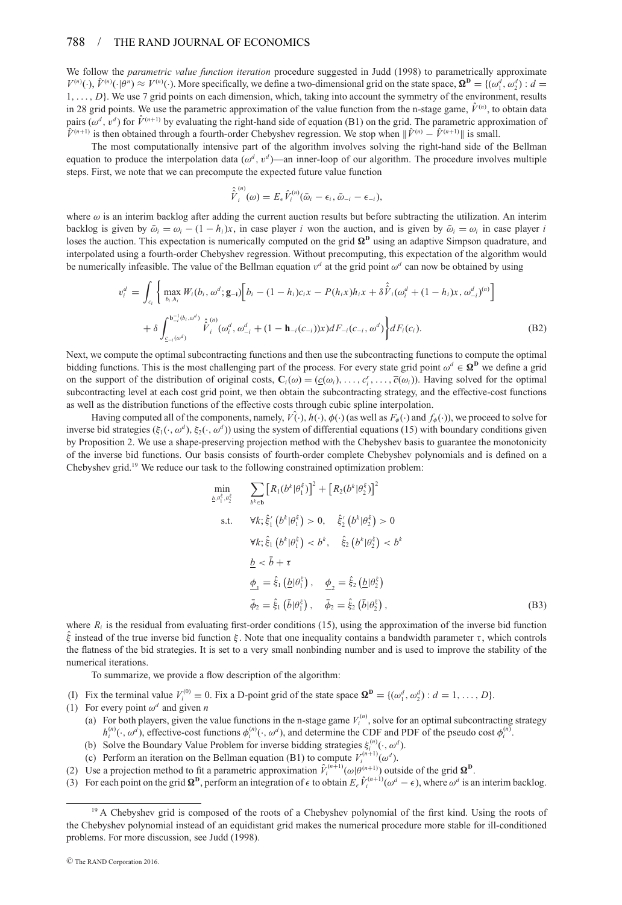#### 788 / THE RAND JOURNAL OF ECONOMICS

We follow the *parametric value function iteration* procedure suggested in Judd (1998) to parametrically approximate  $V^{(n)}(\cdot)$ ,  $\hat{V}^{(n)}(\cdot|\theta^n) \approx V^{(n)}(\cdot)$ . More specifically, we define a two-dimensional grid on the state space,  $\mathbf{\Omega}^{\mathbf{D}} = \{(\omega_1^d, \omega_2^d) : d = 1, 2, \ldots, n\}$ 1,..., *D*}. We use 7 grid points on each dimension, which, taking into account the symmetry of the environment, results in 28 grid points. We use the parametric approximation of the value function from the n-stage game,  $\hat{V}^{(n)}$ , to obtain data pairs ( $\omega^d$ ,  $v^d$ ) for  $\hat{V}^{(n+1)}$  by evaluating the right-hand side of equation (B1) on the grid. The parametric approximation of  $\hat{V}^{(n+1)}$  is then obtained through a fourth-order Chebyshev regression. We stop when  $\|\hat{V}^{(n)} - \hat{V}^{(n+1)}\|$  is small.

The most computationally intensive part of the algorithm involves solving the right-hand side of the Bellman equation to produce the interpolation data  $(\omega^d, v^d)$ —an inner-loop of our algorithm. The procedure involves multiple steps. First, we note that we can precompute the expected future value function

$$
\hat{\hat{V}}_i^{(n)}(\omega) = E_{\epsilon} \hat{V}_i^{(n)}(\bar{\omega}_i - \epsilon_i, \bar{\omega}_{-i} - \epsilon_{-i}),
$$

where  $\omega$  is an interim backlog after adding the current auction results but before subtracting the utilization. An interim backlog is given by  $\bar{\omega}_i = \omega_i - (1 - h_i)x$ , in case player *i* won the auction, and is given by  $\bar{\omega}_i = \omega_i$  in case player *i* loses the auction. This expectation is numerically computed on the grid  $\Omega^D$  using an adaptive Simpson quadrature, and interpolated using a fourth-order Chebyshev regression. Without precomputing, this expectation of the algorithm would be numerically infeasible. The value of the Bellman equation  $v^d$  at the grid point  $\omega^d$  can now be obtained by using

$$
v_i^d = \int_{c_i} \left\{ \max_{b_i, h_i} W_i(b_i, \omega^d; \mathbf{g}_{-i}) \left[ b_i - (1 - h_i)c_i x - P(h_i x)h_i x + \delta \hat{V}_i(\omega_i^d + (1 - h_i)x, \omega_{-i}^d)^{(n)} \right] + \delta \int_{c_{-i}(\omega^d)}^{b_{-i}^-(b_i, \omega^d)} \hat{V}_i^(0, \omega_i^d, \omega_{-i}^d + (1 - \mathbf{h}_{-i}(c_{-i}))x) dF_{-i}(c_{-i}, \omega^d) \right\} dF_i(c_i).
$$
 (B2)

Next, we compute the optimal subcontracting functions and then use the subcontracting functions to compute the optimal bidding functions. This is the most challenging part of the process. For every state grid point  $\omega^d \in \mathbf{\Omega}^{\mathbf{D}}$  we define a grid on the support of the distribution of original costs,  $\mathbf{C}_i(\omega) = (\underline{c}(\omega_i), \dots, \overline{c}_i', \dots, \overline{c}(\omega_i))$ . Having solved for the optimal subcontracting level at each cost grid point, we then obtain the subcontracting strategy, and the effective-cost functions as well as the distribution functions of the effective costs through cubic spline interpolation.

Having computed all of the components, namely,  $V(\cdot)$ ,  $h(\cdot)$ ,  $\phi(\cdot)$  (as well as  $F_{\phi}(\cdot)$  and  $f_{\phi}(\cdot)$ ), we proceed to solve for inverse bid strategies ( $\xi_1(\cdot, \omega^d)$ ,  $\xi_2(\cdot, \omega^d)$ ) using the system of differential equations (15) with boundary conditions given by Proposition 2. We use a shape-preserving projection method with the Chebyshev basis to guarantee the monotonicity of the inverse bid functions. Our basis consists of fourth-order complete Chebyshev polynomials and is defined on a Chebyshev grid.19 We reduce our task to the following constrained optimization problem:

$$
\begin{aligned}\n\min_{\xi_1, \theta_2^k} & \sum_{b^k \in \mathbf{b}} \left[ R_1(b^k | \theta_1^k) \right]^2 + \left[ R_2(b^k | \theta_2^k) \right]^2 \\
\text{s.t.} & \forall k; \hat{\xi}_1^{\prime} \left( b^k | \theta_1^k \right) > 0, \quad \hat{\xi}_2^{\prime} \left( b^k | \theta_2^k \right) > 0 \\
& \forall k; \hat{\xi}_1 \left( b^k | \theta_1^k \right) < b^k, \quad \hat{\xi}_2 \left( b^k | \theta_2^k \right) < b^k \\
& \underline{b} < \bar{b} + \tau \\
& \underline{\phi}_1 = \hat{\xi}_1 \left( \underline{b} | \theta_1^k \right), \quad \underline{\phi}_2 = \hat{\xi}_2 \left( \underline{b} | \theta_2^k \right) \\
& \bar{\phi}_2 = \hat{\xi}_1 \left( \bar{b} | \theta_1^k \right), \quad \bar{\phi}_2 = \hat{\xi}_2 \left( \underline{b} | \theta_2^k \right),\n\end{aligned}
$$
\n(B3)

where  $R_i$  is the residual from evaluating first-order conditions (15), using the approximation of the inverse bid function  $\hat{\xi}$  instead of the true inverse bid function  $\xi$ . Note that one inequality contains a bandwidth parameter  $\tau$ , which controls the flatness of the bid strategies. It is set to a very small nonbinding number and is used to improve the stability of the numerical iterations.

To summarize, we provide a flow description of the algorithm:

min  $b, \theta$ 

- (I) Fix the terminal value  $V_i^{(0)} \equiv 0$ . Fix a D-point grid of the state space  $\Omega^{\mathbf{D}} = \{(\omega_1^d, \omega_2^d) : d = 1, ..., D\}$ .
- (1) For every point  $\omega^d$  and given *n* 
	- (a) For both players, given the value functions in the n-stage game  $V_i^{(n)}$ , solve for an optimal subcontracting strategy  $h_i^{(n)}(\cdot, \omega^d)$ , effective-cost functions  $\phi_i^{(n)}(\cdot, \omega^d)$ , and determine the CDF and PDF of the pseudo cost  $\phi_i^{(n)}$ .
	- (b) Solve the Boundary Value Problem for inverse bidding strategies  $\xi_i^{(n)}(\cdot, \omega^d)$ .
	- (c) Perform an iteration on the Bellman equation (B1) to compute  $V_i^{(n+1)}(\omega^d)$ .
- (2) Use a projection method to fit a parametric approximation  $\hat{V}^{(n+1)}_i(\omega|\theta^{(n+1)})$  outside of the grid  $\Omega^D$ .
- (3) For each point on the grid  $\Omega^D$ , perform an integration of  $\epsilon$  to obtain  $E_\epsilon \hat{V}_i^{(n+1)}(\omega^d \epsilon)$ , where  $\omega^d$  is an interim backlog.

<sup>&</sup>lt;sup>19</sup> A Chebyshev grid is composed of the roots of a Chebyshev polynomial of the first kind. Using the roots of the Chebyshev polynomial instead of an equidistant grid makes the numerical procedure more stable for ill-conditioned problems. For more discussion, see Judd (1998).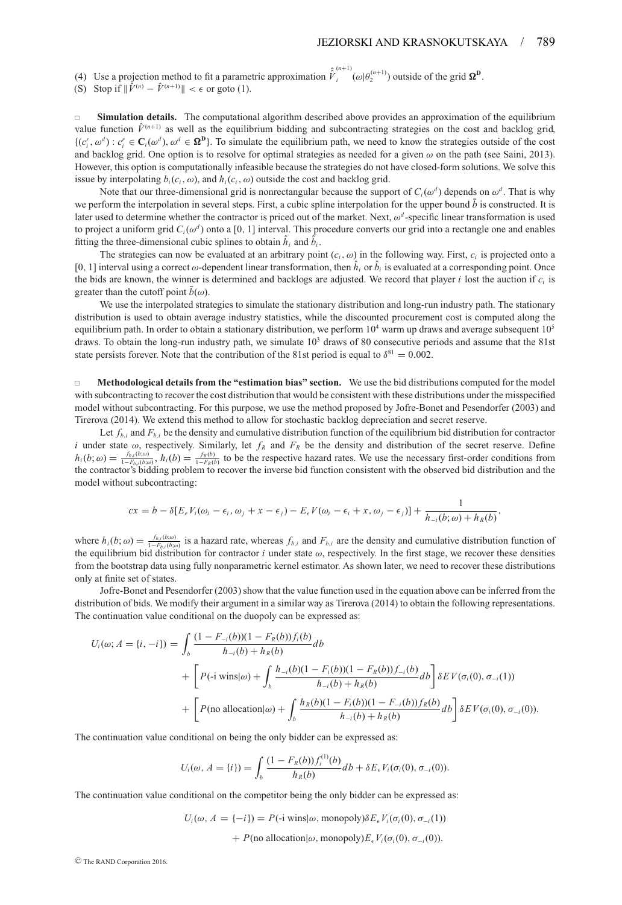(4) Use a projection method to fit a parametric approximation  $\hat{V}_i^{(n+1)}(\omega|\theta_2^{(n+1)})$  outside of the grid  $\Omega^D$ .

(S) Stop if  $\|\hat{V}^{(n)} - \hat{V}^{(n+1)}\| < \epsilon$  or goto (1).

 $\Box$  **Simulation details.** The computational algorithm described above provides an approximation of the equilibrium value function  $\hat{V}^{(n+1)}$  as well as the equilibrium bidding and subcontracting strategies on the cost and backlog grid,  $\{(c_i^r, \omega^d) : c_i^r \in \mathbf{C}_i(\omega^d), \omega^d \in \mathbf{\Omega}^{\mathbf{D}}\}$ . To simulate the equilibrium path, we need to know the strategies outside of the cost and backlog grid. One option is to resolve for optimal strategies as needed for a given  $\omega$  on the path (see Saini, 2013). However, this option is computationally infeasible because the strategies do not have closed-form solutions. We solve this issue by interpolating  $b_i(c_i, \omega)$ , and  $h_i(c_i, \omega)$  outside the cost and backlog grid.

Note that our three-dimensional grid is nonrectangular because the support of  $C_i(\omega^d)$  depends on  $\omega^d$ . That is why we perform the interpolation in several steps. First, a cubic spline interpolation for the upper bound  $\bar{b}$  is constructed. It is later used to determine whether the contractor is priced out of the market. Next,  $\omega^d$ -specific linear transformation is used to project a uniform grid  $C_i(\omega^d)$  onto a [0, 1] interval. This procedure converts our grid into a rectangle one and enables fitting the three-dimensional cubic splines to obtain  $\hat{h}_i$  and  $\hat{b}_i$ .

The strategies can now be evaluated at an arbitrary point  $(c_i, \omega)$  in the following way. First,  $c_i$  is projected onto a [0, 1] interval using a correct  $\omega$ -dependent linear transformation, then  $h_i$  or  $b_i$  is evaluated at a corresponding point. Once the bids are known, the winner is determined and backlogs are adjusted. We record that player *i* lost the auction if *ci* is greater than the cutoff point  $\bar{b}(\omega)$ .

We use the interpolated strategies to simulate the stationary distribution and long-run industry path. The stationary distribution is used to obtain average industry statistics, while the discounted procurement cost is computed along the equilibrium path. In order to obtain a stationary distribution, we perform  $10^4$  warm up draws and average subsequent  $10^5$ draws. To obtain the long-run industry path, we simulate  $10<sup>3</sup>$  draws of 80 consecutive periods and assume that the 81st state persists forever. Note that the contribution of the 81st period is equal to  $\delta^{81} = 0.002$ .

 **Methodological details from the "estimation bias" section.** We use the bid distributions computed for the model with subcontracting to recover the cost distribution that would be consistent with these distributions under the misspecified model without subcontracting. For this purpose, we use the method proposed by Jofre-Bonet and Pesendorfer (2003) and Tirerova (2014). We extend this method to allow for stochastic backlog depreciation and secret reserve.

Let  $f_{b,i}$  and  $F_{b,i}$  be the density and cumulative distribution function of the equilibrium bid distribution for contractor *i* under state  $\omega$ , respectively. Similarly, let  $f_R$  and  $F_R$  be the density and distribution of the secret reserve. Define  $h_i(b;\omega) = \frac{f_{b,i}(b;\omega)}{1-F_{b,i}(b;\omega)}, h_i(b) = \frac{f_R(b)}{1-F_R(b)}$  to be the respective hazard rates. We use the necessary first-order conditions from the contractor's bidding problem to recover the inverse bid function consistent with the observed bid distribution and the model without subcontracting:

$$
cx = b - \delta[E_{\epsilon}V_i(\omega_i - \epsilon_i, \omega_j + x - \epsilon_j) - E_{\epsilon}V(\omega_i - \epsilon_i + x, \omega_j - \epsilon_j)] + \frac{1}{h_{-i}(b;\omega) + h_R(b)},
$$

where  $h_i(b; \omega) = \frac{f_{b,i}(b; \omega)}{1 - F_{b,i}(b; \omega)}$  is a hazard rate, whereas  $f_{b,i}$  and  $F_{b,i}$  are the density and cumulative distribution function of the equilibrium bid distribution for contractor *i* under state  $\omega$ , respectively. In the first stage, we recover these densities from the bootstrap data using fully nonparametric kernel estimator. As shown later, we need to recover these distributions only at finite set of states.

Jofre-Bonet and Pesendorfer (2003) show that the value function used in the equation above can be inferred from the distribution of bids. We modify their argument in a similar way as Tirerova (2014) to obtain the following representations. The continuation value conditional on the duopoly can be expressed as:

$$
U_i(\omega; A = \{i, -i\}) = \int_b \frac{(1 - F_{-i}(b))(1 - F_R(b))f_i(b)}{h_{-i}(b) + h_R(b)}db + \left[ P(\text{-i wins}|\omega) + \int_b \frac{h_{-i}(b)(1 - F_i(b))(1 - F_R(b))f_{-i}(b)}{h_{-i}(b) + h_R(b)} db \right] \delta EV(\sigma_i(0), \sigma_{-i}(1)) + \left[ P(\text{no allocation}|\omega) + \int_b \frac{h_R(b)(1 - F_i(b))(1 - F_{-i}(b))f_R(b)}{h_{-i}(b) + h_R(b)} db \right] \delta EV(\sigma_i(0), \sigma_{-i}(0)).
$$

The continuation value conditional on being the only bidder can be expressed as:

$$
U_i(\omega, A = \{i\}) = \int_b \frac{(1 - F_R(b)) f_i^{(1)}(b)}{h_R(b)} db + \delta E_{\epsilon} V_i(\sigma_i(0), \sigma_{-i}(0)).
$$

The continuation value conditional on the competitor being the only bidder can be expressed as:

$$
U_i(\omega, A = \{-i\}) = P(\text{-i wins}|\omega, \text{monopoly})\delta E_{\epsilon} V_i(\sigma_i(0), \sigma_{-i}(1))
$$

 $+ P$ (no allocation|ω, monopoly) $E_{\epsilon} V_i(\sigma_i(0), \sigma_{-i}(0))$ .

<sup>C</sup> The RAND Corporation 2016.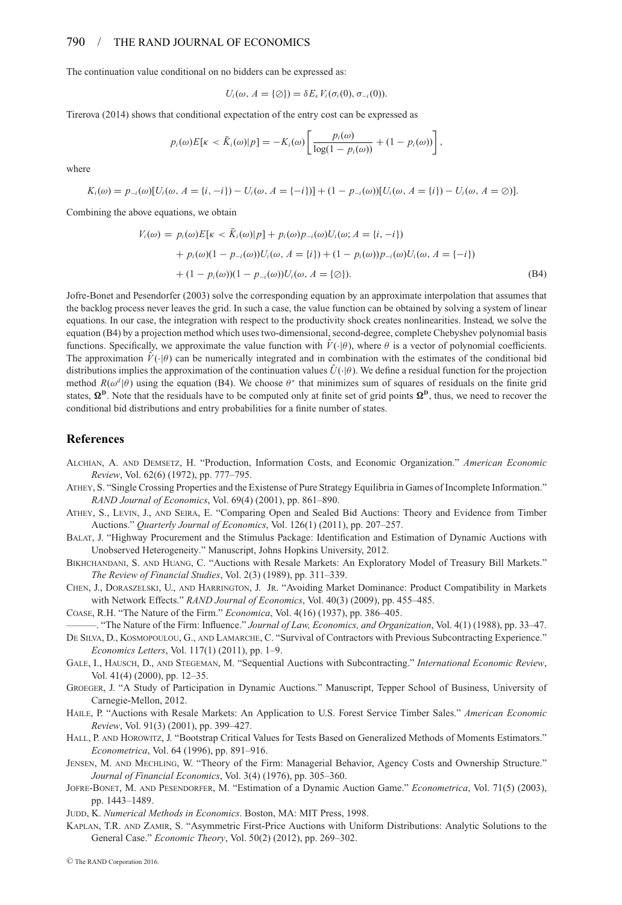#### 790 / THE RAND JOURNAL OF ECONOMICS

The continuation value conditional on no bidders can be expressed as:

$$
U_i(\omega, A = \{\emptyset\}) = \delta E_{\epsilon} V_i(\sigma_i(0), \sigma_{-i}(0)).
$$

Tirerova (2014) shows that conditional expectation of the entry cost can be expressed as

$$
p_i(\omega)E[\kappa < \bar{K}_i(\omega)|p] = -K_i(\omega)\left[\frac{p_i(\omega)}{\log(1-p_i(\omega))} + (1-p_i(\omega))\right],
$$

where

$$
K_i(\omega) = p_{-i}(\omega)[U_i(\omega, A = \{i, -i\}) - U_i(\omega, A = \{-i\})] + (1 - p_{-i}(\omega))[U_i(\omega, A = \{i\}) - U_i(\omega, A = \emptyset)].
$$

Combining the above equations, we obtain

$$
V_i(\omega) = p_i(\omega)E[k \lt \bar{K}_i(\omega)|p] + p_i(\omega)p_{-i}(\omega)U_i(\omega; A = \{i, -i\})
$$
  
+  $p_i(\omega)(1 - p_{-i}(\omega))U_i(\omega, A = \{i\}) + (1 - p_i(\omega))p_{-i}(\omega)U_i(\omega, A = \{-i\})$   
+  $(1 - p_i(\omega))(1 - p_{-i}(\omega))U_i(\omega, A = \{\emptyset\}).$  (B4)

Jofre-Bonet and Pesendorfer (2003) solve the corresponding equation by an approximate interpolation that assumes that the backlog process never leaves the grid. In such a case, the value function can be obtained by solving a system of linear equations. In our case, the integration with respect to the productivity shock creates nonlinearities. Instead, we solve the equation (B4) by a projection method which uses two-dimensional, second-degree, complete Chebyshev polynomial basis functions. Specifically, we approximate the value function with  $V(\cdot|\theta)$ , where  $\theta$  is a vector of polynomial coefficients. The approximation  $V(\cdot|\theta)$  can be numerically integrated and in combination with the estimates of the conditional bid distributions implies the approximation of the continuation values  $\hat{U}(\cdot|\theta)$ . We define a residual function for the projection method  $R(\omega^d|\theta)$  using the equation (B4). We choose  $\theta^*$  that minimizes sum of squares of residuals on the finite grid states,  $\Omega^D$ . Note that the residuals have to be computed only at finite set of grid points  $\Omega^D$ , thus, we need to recover the conditional bid distributions and entry probabilities for a finite number of states.

#### **References**

- ALCHIAN, A. AND DEMSETZ, H. "Production, Information Costs, and Economic Organization." *American Economic Review*, Vol. 62(6) (1972), pp. 777–795.
- ATHEY, S. "Single Crossing Properties and the Existense of Pure Strategy Equilibria in Games of Incomplete Information." *RAND Journal of Economics*, Vol. 69(4) (2001), pp. 861–890.
- ATHEY, S., LEVIN, J., AND SEIRA, E. "Comparing Open and Sealed Bid Auctions: Theory and Evidence from Timber Auctions." *Quarterly Journal of Economics*, Vol. 126(1) (2011), pp. 207–257.
- BALAT, J. "Highway Procurement and the Stimulus Package: Identification and Estimation of Dynamic Auctions with Unobserved Heterogeneity." Manuscript, Johns Hopkins University, 2012.
- BIKHCHANDANI, S. AND HUANG, C. "Auctions with Resale Markets: An Exploratory Model of Treasury Bill Markets." *The Review of Financial Studies*, Vol. 2(3) (1989), pp. 311–339.
- CHEN, J., DORASZELSKI, U., AND HARRINGTON, J. JR. "Avoiding Market Dominance: Product Compatibility in Markets with Network Effects." *RAND Journal of Economics*, Vol. 40(3) (2009), pp. 455–485.

COASE, R.H. "The Nature of the Firm." *Economica*, Vol. 4(16) (1937), pp. 386–405.

———. "The Nature of the Firm: Influence." *Journal of Law, Economics, and Organization*, Vol. 4(1) (1988), pp. 33–47.

- DE SILVA, D., KOSMOPOULOU, G., AND LAMARCHE, C. "Survival of Contractors with Previous Subcontracting Experience." *Economics Letters*, Vol. 117(1) (2011), pp. 1–9.
- GALE, I., HAUSCH, D., AND STEGEMAN, M. "Sequential Auctions with Subcontracting." *International Economic Review*, Vol. 41(4) (2000), pp. 12–35.
- GROEGER, J. "A Study of Participation in Dynamic Auctions." Manuscript, Tepper School of Business, University of Carnegie-Mellon, 2012.
- HAILE, P. "Auctions with Resale Markets: An Application to U.S. Forest Service Timber Sales." *American Economic Review*, Vol. 91(3) (2001), pp. 399–427.
- HALL, P. AND HOROWITZ, J. "Bootstrap Critical Values for Tests Based on Generalized Methods of Moments Estimators." *Econometrica*, Vol. 64 (1996), pp. 891–916.
- JENSEN, M. AND MECHLING, W. "Theory of the Firm: Managerial Behavior, Agency Costs and Ownership Structure." *Journal of Financial Economics*, Vol. 3(4) (1976), pp. 305–360.
- JOFRE-BONET, M. AND PESENDORFER, M. "Estimation of a Dynamic Auction Game." *Econometrica*, Vol. 71(5) (2003), pp. 1443–1489.
- JUDD, K. *Numerical Methods in Economics*. Boston, MA: MIT Press, 1998.
- KAPLAN, T.R. AND ZAMIR, S. "Asymmetric First-Price Auctions with Uniform Distributions: Analytic Solutions to the General Case." *Economic Theory*, Vol. 50(2) (2012), pp. 269–302.